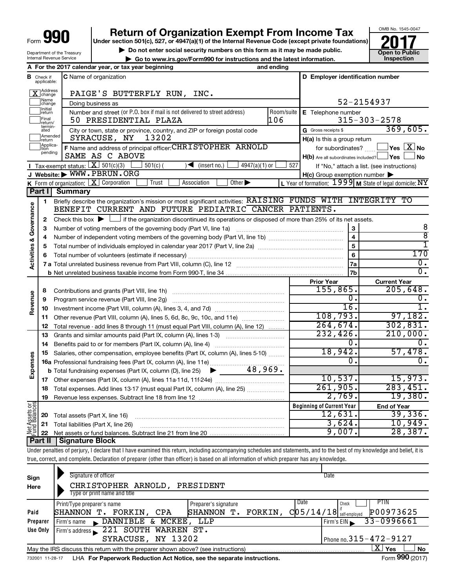Department of the Treasury Internal Revenue Service

# **990 Return of Organization Exempt From Income Tax 1990 2017 Divide the section 501(c)**, 527, or 4947(a)(1) of the Internal Revenue Code (except private foundations) **2017**

**Under section 501(c), 527, or 4947(a)(1) of the Internal Revenue Code (except private foundations)**

▶ Do not enter social security numbers on this form as it may be made public.<br>● Go to www.irs.gov/Form990 for instructions and the latest information. **Department in the latest** information.

**| Go to www.irs.gov/Form990 for instructions and the latest information. Inspection**



| A For the 2017 calendar year, or tax year beginning<br>and ending |                               |                                                                                                                                             |            |                                                               |                                                                   |  |
|-------------------------------------------------------------------|-------------------------------|---------------------------------------------------------------------------------------------------------------------------------------------|------------|---------------------------------------------------------------|-------------------------------------------------------------------|--|
|                                                                   | <b>B</b> Check if applicable: | <b>C</b> Name of organization                                                                                                               |            | D Employer identification number                              |                                                                   |  |
|                                                                   | Address<br>change             | PAIGE'S BUTTERFLY RUN, INC.                                                                                                                 |            |                                                               |                                                                   |  |
|                                                                   | Name<br>change                | Doing business as                                                                                                                           |            |                                                               | 52-2154937                                                        |  |
|                                                                   | Initial<br>return             | Number and street (or P.O. box if mail is not delivered to street address)                                                                  | Room/suite | E Telephone number                                            |                                                                   |  |
|                                                                   | Final<br>return/              | 106<br>50 PRESIDENTIAL PLAZA                                                                                                                |            |                                                               | $315 - 303 - 2578$                                                |  |
|                                                                   | termin-<br>ated               | City or town, state or province, country, and ZIP or foreign postal code                                                                    |            | G Gross receipts \$                                           | 369,605.                                                          |  |
|                                                                   | Amended<br>return             | 13202<br>SYRACUSE, NY                                                                                                                       |            | $H(a)$ is this a group return                                 |                                                                   |  |
|                                                                   | Applica-<br>tion<br>pending   | F Name and address of principal officer: CHRISTOPHER ARNOLD                                                                                 |            | $\exists$ Yes $\boxed{\text{X}}$ No<br>for subordinates?      |                                                                   |  |
|                                                                   |                               | SAME AS C ABOVE                                                                                                                             |            | $H(b)$ Are all subordinates included? $\Box$ Yes<br><b>No</b> |                                                                   |  |
|                                                                   |                               | <b>I</b> Tax-exempt status: $\boxed{\mathbf{X}}$ 501(c)(3)<br>$\sqrt{\frac{1}{1}}$ (insert no.)<br>$4947(a)(1)$ or<br>$501(c)$ (            | 527        |                                                               | If "No," attach a list. (see instructions)                        |  |
|                                                                   |                               | J Website: WWW.PBRUN.ORG                                                                                                                    |            | $H(c)$ Group exemption number $\blacktriangleright$           |                                                                   |  |
|                                                                   | Part I                        | Other $\blacktriangleright$<br><b>K</b> Form of organization: $X$ Corporation<br>Association<br>Trust<br>Summary                            |            |                                                               | L Year of formation: $1999 \text{ M}$ State of legal domicile: NY |  |
|                                                                   |                               | Briefly describe the organization's mission or most significant activities: RAISING FUNDS WITH INTEGRITY TO                                 |            |                                                               |                                                                   |  |
|                                                                   | 1                             | BENEFIT CURRENT AND FUTURE PEDIATRIC CANCER PATIENTS.                                                                                       |            |                                                               |                                                                   |  |
| Activities & Governance                                           | 2                             | Check this box $\blacktriangleright$ $\Box$ if the organization discontinued its operations or disposed of more than 25% of its net assets. |            |                                                               |                                                                   |  |
|                                                                   | з                             | Number of voting members of the governing body (Part VI, line 1a)                                                                           |            | 3                                                             | 8                                                                 |  |
|                                                                   | 4                             |                                                                                                                                             |            | $\overline{4}$                                                | ह                                                                 |  |
|                                                                   | 5                             |                                                                                                                                             |            | 5                                                             | 1                                                                 |  |
|                                                                   | 6                             |                                                                                                                                             |            | 6                                                             | 170                                                               |  |
|                                                                   |                               |                                                                                                                                             |            | 7a                                                            | $\overline{0}$ .                                                  |  |
|                                                                   |                               |                                                                                                                                             |            | 7b                                                            | $\overline{0}$ .                                                  |  |
|                                                                   |                               |                                                                                                                                             |            | <b>Prior Year</b>                                             | <b>Current Year</b>                                               |  |
|                                                                   | 8                             | Contributions and grants (Part VIII, line 1h)                                                                                               |            | 155,865.                                                      | 205,648.                                                          |  |
| Revenue                                                           | 9                             | Program service revenue (Part VIII, line 2g)                                                                                                |            | 0.                                                            | О.                                                                |  |
|                                                                   | 10                            |                                                                                                                                             |            | $\overline{16}$ .                                             | 1.                                                                |  |
|                                                                   | 11                            | Other revenue (Part VIII, column (A), lines 5, 6d, 8c, 9c, 10c, and 11e)                                                                    |            | 108,793.                                                      | 97,182.                                                           |  |
|                                                                   | 12                            | Total revenue - add lines 8 through 11 (must equal Part VIII, column (A), line 12)                                                          |            | 264,674.                                                      | 302, 831.                                                         |  |
|                                                                   | 13                            | Grants and similar amounts paid (Part IX, column (A), lines 1-3)                                                                            |            | 232,426.<br>$\mathfrak{o}$ .                                  | 210,000.<br>Ω.                                                    |  |
|                                                                   | 14                            | Benefits paid to or for members (Part IX, column (A), line 4)                                                                               |            | 18,942.                                                       | 57,478.                                                           |  |
|                                                                   | 15                            | Salaries, other compensation, employee benefits (Part IX, column (A), lines 5-10)                                                           |            | Ο.                                                            | 0.                                                                |  |
| Expenses                                                          |                               | 48,969.<br><b>b</b> Total fundraising expenses (Part IX, column (D), line 25)<br>$\blacktriangleright$                                      |            |                                                               |                                                                   |  |
|                                                                   | 17                            |                                                                                                                                             |            | 10,537.                                                       | 15,973.                                                           |  |
|                                                                   | 18                            | Total expenses. Add lines 13-17 (must equal Part IX, column (A), line 25)                                                                   |            | 261,905.                                                      | 283,451.                                                          |  |
|                                                                   | 19                            |                                                                                                                                             |            | 2,769.                                                        | 19,380.                                                           |  |
|                                                                   |                               |                                                                                                                                             |            | <b>Beginning of Current Year</b>                              | <b>End of Year</b>                                                |  |
|                                                                   | 20                            | Total assets (Part X, line 16)                                                                                                              |            | 12,631.                                                       | 39,336.                                                           |  |
| Net Assets or<br>Fund Balances                                    | 21                            | Total liabilities (Part X, line 26)                                                                                                         |            | 3,624.                                                        | 10,949.                                                           |  |
|                                                                   | 22                            |                                                                                                                                             |            | 9,007.                                                        | 28,387.                                                           |  |
|                                                                   | Part II                       | Signature Block                                                                                                                             |            |                                                               |                                                                   |  |

Under penalties of perjury, I declare that I have examined this return, including accompanying schedules and statements, and to the best of my knowledge and belief, it is true, correct, and complete. Declaration of preparer (other than officer) is based on all information of which preparer has any knowledge.

| Sign<br>Here | Signature of officer<br>CHRISTOPHER ARNOLD,<br>PRESIDENT<br>Type or print name and title                           | Date                                    |  |  |  |  |  |
|--------------|--------------------------------------------------------------------------------------------------------------------|-----------------------------------------|--|--|--|--|--|
|              | Date<br>Preparer's signature<br>Print/Type preparer's name                                                         | PTIN<br>Check                           |  |  |  |  |  |
| Paid         | FORKIN,<br><b>SHANNON</b><br>FORKIN,<br>SHANNON T.<br>CPA<br>$\cdot$ T.                                            | P00973625<br>$C$ 05/14/18 self-employed |  |  |  |  |  |
| Preparer     |                                                                                                                    | $33 - 0996661$<br>Firm's EIN            |  |  |  |  |  |
| Use Only     | Firm's address 221 SOUTH WARREN ST.                                                                                |                                         |  |  |  |  |  |
|              | Phone no. $315 - 472 - 9127$<br>SYRACUSE, NY 13202                                                                 |                                         |  |  |  |  |  |
|              | $\mathbf{X}$ Yes<br><b>No</b><br>May the IRS discuss this return with the preparer shown above? (see instructions) |                                         |  |  |  |  |  |
|              | $\mathbf{r} = \mathbf{0} \mathbf{0} \mathbf{0}$                                                                    |                                         |  |  |  |  |  |

732001 11-28-17 LHA For Paperwork Reduction Act Notice, see the separate instructions. Form 990 (2017)

Form **990** (2017)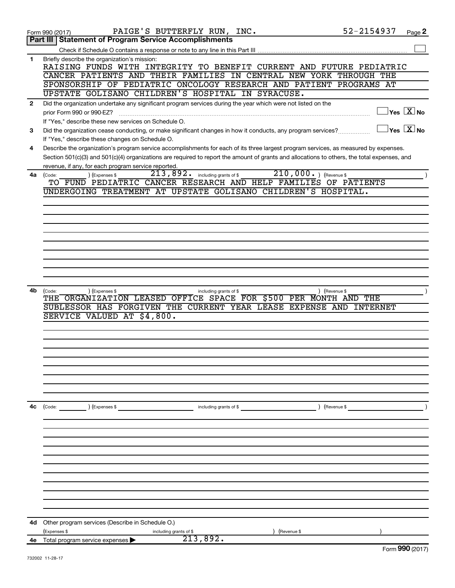|              | PAIGE'S BUTTERFLY RUN, INC.<br>Form 990 (2017)                                                                                               | 52-2154937    | Page 2                                               |
|--------------|----------------------------------------------------------------------------------------------------------------------------------------------|---------------|------------------------------------------------------|
|              | <b>Statement of Program Service Accomplishments</b><br>Part III                                                                              |               |                                                      |
|              |                                                                                                                                              |               |                                                      |
| 1            | Briefly describe the organization's mission:                                                                                                 |               |                                                      |
|              | RAISING FUNDS WITH INTEGRITY TO BENEFIT CURRENT AND FUTURE PEDIATRIC                                                                         |               |                                                      |
|              | CANCER PATIENTS AND THEIR FAMILIES IN CENTRAL NEW YORK THROUGH THE                                                                           |               |                                                      |
|              | SPONSORSHIP OF PEDIATRIC ONCOLOGY RESEARCH AND PATIENT PROGRAMS AT                                                                           |               |                                                      |
|              | UPSTATE GOLISANO CHILDREN'S HOSPITAL IN SYRACUSE.                                                                                            |               |                                                      |
| $\mathbf{2}$ | Did the organization undertake any significant program services during the year which were not listed on the                                 |               |                                                      |
|              | prior Form 990 or 990-EZ?                                                                                                                    |               | $\sqrt{\mathsf{Yes}\ \mathbf{X}}$ No                 |
|              | If "Yes," describe these new services on Schedule O.                                                                                         |               |                                                      |
| 3            | Did the organization cease conducting, or make significant changes in how it conducts, any program services?                                 |               | $\overline{\mathsf{Yes}}$ $\overline{\mathsf{X}}$ No |
|              | If "Yes," describe these changes on Schedule O.                                                                                              |               |                                                      |
| 4            | Describe the organization's program service accomplishments for each of its three largest program services, as measured by expenses.         |               |                                                      |
|              | Section 501(c)(3) and 501(c)(4) organizations are required to report the amount of grants and allocations to others, the total expenses, and |               |                                                      |
|              | revenue, if any, for each program service reported.                                                                                          |               |                                                      |
|              | $\overline{210,000\cdot}$ ) (Revenue \$<br>$213,892$ . including grants of \$<br>) (Expenses \$<br>4a (Code:                                 |               |                                                      |
|              | TO FUND PEDIATRIC CANCER RESEARCH AND HELP FAMILIES OF PATIENTS                                                                              |               |                                                      |
|              | UNDERGOING TREATMENT AT UPSTATE GOLISANO CHILDREN'S HOSPITAL.                                                                                |               |                                                      |
|              |                                                                                                                                              |               |                                                      |
|              |                                                                                                                                              |               |                                                      |
|              |                                                                                                                                              |               |                                                      |
|              |                                                                                                                                              |               |                                                      |
|              |                                                                                                                                              |               |                                                      |
|              |                                                                                                                                              |               |                                                      |
|              |                                                                                                                                              |               |                                                      |
|              |                                                                                                                                              |               |                                                      |
|              |                                                                                                                                              |               |                                                      |
|              |                                                                                                                                              |               |                                                      |
| 4b           | (Expenses \$<br>(Code:<br>including grants of \$                                                                                             | ) (Revenue \$ |                                                      |
|              | THE ORGANIZATION LEASED OFFICE SPACE FOR \$500 PER MONTH AND THE                                                                             |               |                                                      |
|              | SUBLESSOR HAS FORGIVEN THE CURRENT YEAR LEASE EXPENSE AND                                                                                    | INTERNET      |                                                      |
|              | SERVICE VALUED AT \$4,800.                                                                                                                   |               |                                                      |
|              |                                                                                                                                              |               |                                                      |
|              |                                                                                                                                              |               |                                                      |
|              |                                                                                                                                              |               |                                                      |
|              |                                                                                                                                              |               |                                                      |
|              |                                                                                                                                              |               |                                                      |
|              |                                                                                                                                              |               |                                                      |
|              |                                                                                                                                              |               |                                                      |
|              |                                                                                                                                              |               |                                                      |
|              |                                                                                                                                              |               |                                                      |
| 4с           | (Code: ) (Expenses \$<br>including grants of \$                                                                                              | ) (Revenue \$ |                                                      |
|              |                                                                                                                                              |               |                                                      |
|              |                                                                                                                                              |               |                                                      |
|              |                                                                                                                                              |               |                                                      |
|              |                                                                                                                                              |               |                                                      |
|              |                                                                                                                                              |               |                                                      |
|              |                                                                                                                                              |               |                                                      |
|              |                                                                                                                                              |               |                                                      |
|              |                                                                                                                                              |               |                                                      |
|              |                                                                                                                                              |               |                                                      |
|              |                                                                                                                                              |               |                                                      |
|              |                                                                                                                                              |               |                                                      |
|              |                                                                                                                                              |               |                                                      |
| 4d           | Other program services (Describe in Schedule O.)                                                                                             |               |                                                      |
|              | (Expenses \$<br>Revenue \$<br>including grants of \$<br>213,892.                                                                             |               |                                                      |
|              | 4e Total program service expenses                                                                                                            |               | $F_{\text{arm}}$ QQ $\Omega$ (2017)                  |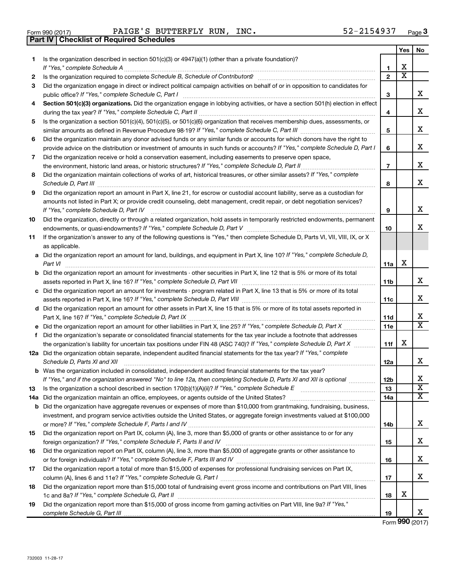|  | Form 990 (2017) |  |
|--|-----------------|--|

**Part IV Checklist of Required Schedules**

 $\frac{1}{2}$ Form 990 (2017) Page Pandels S BUTTERFLY RUN, INC.  $52-2154937$  Page PAIGE'S BUTTERFLY RUN, INC. 52-2154937

|    |                                                                                                                                                                                                                                                                                                                                                                   |                 | Yes                   | No                           |
|----|-------------------------------------------------------------------------------------------------------------------------------------------------------------------------------------------------------------------------------------------------------------------------------------------------------------------------------------------------------------------|-----------------|-----------------------|------------------------------|
| 1  | Is the organization described in section 501(c)(3) or $4947(a)(1)$ (other than a private foundation)?                                                                                                                                                                                                                                                             |                 |                       |                              |
|    | If "Yes," complete Schedule A                                                                                                                                                                                                                                                                                                                                     | 1               | х                     |                              |
| 2  | Is the organization required to complete Schedule B, Schedule of Contributors? [11] The organization required to complete Schedule B, Schedule of Contributors?                                                                                                                                                                                                   | $\overline{2}$  | $\overline{\text{x}}$ |                              |
| 3  | Did the organization engage in direct or indirect political campaign activities on behalf of or in opposition to candidates for<br>public office? If "Yes," complete Schedule C, Part I manufactured content content from the content of the content of the set of the content of the content of the set of the content of the content of the content of the cont | З               |                       | x                            |
| 4  | Section 501(c)(3) organizations. Did the organization engage in lobbying activities, or have a section 501(h) election in effect                                                                                                                                                                                                                                  | 4               |                       | x                            |
| 5  | Is the organization a section 501(c)(4), 501(c)(5), or 501(c)(6) organization that receives membership dues, assessments, or                                                                                                                                                                                                                                      |                 |                       |                              |
|    |                                                                                                                                                                                                                                                                                                                                                                   | 5               |                       | X                            |
| 6  | Did the organization maintain any donor advised funds or any similar funds or accounts for which donors have the right to                                                                                                                                                                                                                                         |                 |                       |                              |
|    | provide advice on the distribution or investment of amounts in such funds or accounts? If "Yes," complete Schedule D, Part I                                                                                                                                                                                                                                      | 6               |                       | X                            |
| 7  | Did the organization receive or hold a conservation easement, including easements to preserve open space,                                                                                                                                                                                                                                                         |                 |                       |                              |
|    |                                                                                                                                                                                                                                                                                                                                                                   | 7               |                       | x                            |
| 8  | Did the organization maintain collections of works of art, historical treasures, or other similar assets? If "Yes," complete                                                                                                                                                                                                                                      | 8               |                       | X                            |
| 9  | Did the organization report an amount in Part X, line 21, for escrow or custodial account liability, serve as a custodian for                                                                                                                                                                                                                                     |                 |                       |                              |
|    | amounts not listed in Part X; or provide credit counseling, debt management, credit repair, or debt negotiation services?                                                                                                                                                                                                                                         |                 |                       |                              |
|    | If "Yes," complete Schedule D, Part IV                                                                                                                                                                                                                                                                                                                            | 9               |                       | х                            |
| 10 | Did the organization, directly or through a related organization, hold assets in temporarily restricted endowments, permanent                                                                                                                                                                                                                                     |                 |                       | x                            |
|    |                                                                                                                                                                                                                                                                                                                                                                   | 10              |                       |                              |
| 11 | If the organization's answer to any of the following questions is "Yes," then complete Schedule D, Parts VI, VII, VIII, IX, or X                                                                                                                                                                                                                                  |                 |                       |                              |
|    | as applicable.<br>a Did the organization report an amount for land, buildings, and equipment in Part X, line 10? If "Yes," complete Schedule D,                                                                                                                                                                                                                   |                 |                       |                              |
|    | Part VI                                                                                                                                                                                                                                                                                                                                                           | 11a             | х                     |                              |
|    | <b>b</b> Did the organization report an amount for investments - other securities in Part X, line 12 that is 5% or more of its total                                                                                                                                                                                                                              |                 |                       |                              |
|    |                                                                                                                                                                                                                                                                                                                                                                   | 11 <sub>b</sub> |                       | x                            |
|    | c Did the organization report an amount for investments - program related in Part X, line 13 that is 5% or more of its total                                                                                                                                                                                                                                      |                 |                       |                              |
|    |                                                                                                                                                                                                                                                                                                                                                                   | 11c             |                       | x                            |
|    | d Did the organization report an amount for other assets in Part X, line 15 that is 5% or more of its total assets reported in                                                                                                                                                                                                                                    |                 |                       |                              |
|    |                                                                                                                                                                                                                                                                                                                                                                   | 11d             |                       | x                            |
|    | e Did the organization report an amount for other liabilities in Part X, line 25? If "Yes," complete Schedule D, Part X                                                                                                                                                                                                                                           | 11e             |                       | X                            |
| f. | Did the organization's separate or consolidated financial statements for the tax year include a footnote that addresses                                                                                                                                                                                                                                           |                 |                       |                              |
|    | the organization's liability for uncertain tax positions under FIN 48 (ASC 740)? If "Yes," complete Schedule D, Part X                                                                                                                                                                                                                                            | 11f             | х                     |                              |
|    | 12a Did the organization obtain separate, independent audited financial statements for the tax year? If "Yes," complete<br>Schedule D, Parts XI and XII                                                                                                                                                                                                           | 12a             |                       | x                            |
|    | <b>b</b> Was the organization included in consolidated, independent audited financial statements for the tax year?                                                                                                                                                                                                                                                |                 |                       |                              |
|    | If "Yes," and if the organization answered "No" to line 12a, then completing Schedule D, Parts XI and XII is optional                                                                                                                                                                                                                                             | 12D             |                       | х                            |
| 13 | Is the organization a school described in section $170(b)(1)(A)(ii)?$ If "Yes," complete Schedule E                                                                                                                                                                                                                                                               | 13              |                       | $\overline{\textbf{X}}$<br>x |
|    | 14a Did the organization maintain an office, employees, or agents outside of the United States?                                                                                                                                                                                                                                                                   | 14a             |                       |                              |
|    | <b>b</b> Did the organization have aggregate revenues or expenses of more than \$10,000 from grantmaking, fundraising, business,                                                                                                                                                                                                                                  |                 |                       |                              |
|    | investment, and program service activities outside the United States, or aggregate foreign investments valued at \$100,000                                                                                                                                                                                                                                        | 14b             |                       | x                            |
| 15 | Did the organization report on Part IX, column (A), line 3, more than \$5,000 of grants or other assistance to or for any                                                                                                                                                                                                                                         |                 |                       |                              |
|    |                                                                                                                                                                                                                                                                                                                                                                   | 15              |                       | x                            |
| 16 | Did the organization report on Part IX, column (A), line 3, more than \$5,000 of aggregate grants or other assistance to                                                                                                                                                                                                                                          |                 |                       |                              |
|    |                                                                                                                                                                                                                                                                                                                                                                   | 16              |                       | х                            |
| 17 | Did the organization report a total of more than \$15,000 of expenses for professional fundraising services on Part IX,                                                                                                                                                                                                                                           |                 |                       |                              |
|    |                                                                                                                                                                                                                                                                                                                                                                   | 17              |                       | x                            |
| 18 | Did the organization report more than \$15,000 total of fundraising event gross income and contributions on Part VIII, lines                                                                                                                                                                                                                                      |                 |                       |                              |
|    |                                                                                                                                                                                                                                                                                                                                                                   | 18              | х                     |                              |
| 19 | Did the organization report more than \$15,000 of gross income from gaming activities on Part VIII, line 9a? If "Yes,"                                                                                                                                                                                                                                            |                 |                       |                              |
|    |                                                                                                                                                                                                                                                                                                                                                                   | 19              |                       | X                            |

Form (2017) **990**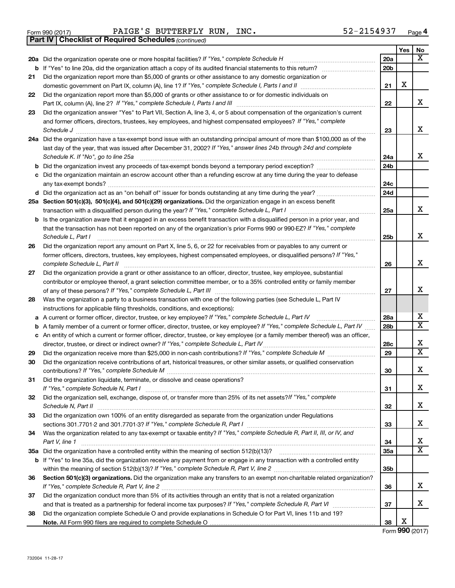732004 11-28-17

|        | 52-2154937<br>PAIGE'S BUTTERFLY RUN, INC.<br>Form 990 (2017)<br><b>Checklist of Required Schedules (continued)</b><br>Part IV       |                 |     | Page |
|--------|-------------------------------------------------------------------------------------------------------------------------------------|-----------------|-----|------|
|        |                                                                                                                                     |                 | Yes | No   |
|        | 20a Did the organization operate one or more hospital facilities? If "Yes," complete Schedule H                                     | 20a             |     | х    |
| b      |                                                                                                                                     | 20 <sub>b</sub> |     |      |
| 21     | Did the organization report more than \$5,000 of grants or other assistance to any domestic organization or                         |                 |     |      |
|        |                                                                                                                                     | 21              | х   |      |
| 22     | Did the organization report more than \$5,000 of grants or other assistance to or for domestic individuals on                       |                 |     |      |
|        | Part IX, column (A), line 2? If "Yes," complete Schedule I, Parts I and III [11]] [11]] [11] [11] [11] [11] [1                      | 22              |     | X    |
| 23     | Did the organization answer "Yes" to Part VII, Section A, line 3, 4, or 5 about compensation of the organization's current          |                 |     |      |
|        | and former officers, directors, trustees, key employees, and highest compensated employees? If "Yes," complete                      |                 |     |      |
|        | Schedule J                                                                                                                          | 23              |     | X    |
|        | 24a Did the organization have a tax-exempt bond issue with an outstanding principal amount of more than \$100,000 as of the         |                 |     |      |
|        | last day of the year, that was issued after December 31, 2002? If "Yes," answer lines 24b through 24d and complete                  |                 |     | X    |
|        | Schedule K. If "No", go to line 25a                                                                                                 | 24a<br>24b      |     |      |
| b<br>с | Did the organization maintain an escrow account other than a refunding escrow at any time during the year to defease                |                 |     |      |
|        |                                                                                                                                     | 24c             |     |      |
|        |                                                                                                                                     | 24d             |     |      |
|        | 25a Section 501(c)(3), 501(c)(4), and 501(c)(29) organizations. Did the organization engage in an excess benefit                    |                 |     |      |
|        |                                                                                                                                     | 25a             |     | X    |
|        | <b>b</b> Is the organization aware that it engaged in an excess benefit transaction with a disqualified person in a prior year, and |                 |     |      |
|        | that the transaction has not been reported on any of the organization's prior Forms 990 or 990-EZ? If "Yes," complete               |                 |     |      |
|        | Schedule L, Part I                                                                                                                  | 25 <sub>b</sub> |     | X    |
| 26     | Did the organization report any amount on Part X, line 5, 6, or 22 for receivables from or payables to any current or               |                 |     |      |
|        | former officers, directors, trustees, key employees, highest compensated employees, or disqualified persons? If "Yes,"              |                 |     |      |
|        | complete Schedule L, Part II                                                                                                        | 26              |     | X    |
| 27     | Did the organization provide a grant or other assistance to an officer, director, trustee, key employee, substantial                |                 |     |      |
|        | contributor or employee thereof, a grant selection committee member, or to a 35% controlled entity or family member                 |                 |     | X    |
| 28     | Was the organization a party to a business transaction with one of the following parties (see Schedule L, Part IV                   | 27              |     |      |
|        | instructions for applicable filing thresholds, conditions, and exceptions):                                                         |                 |     |      |
| а      | A current or former officer, director, trustee, or key employee? If "Yes," complete Schedule L, Part IV                             | 28a             |     | X    |
| b      | A family member of a current or former officer, director, trustee, or key employee? If "Yes," complete Schedule L, Part IV          | 28 <sub>b</sub> |     | х    |
| с      | An entity of which a current or former officer, director, trustee, or key employee (or a family member thereof) was an officer,     |                 |     |      |
|        |                                                                                                                                     | 28c             |     | X    |
| 29     |                                                                                                                                     | 29              |     | х    |
| 30     | Did the organization receive contributions of art, historical treasures, or other similar assets, or qualified conservation         |                 |     |      |
|        |                                                                                                                                     | 30              |     | Χ    |
| 31     | Did the organization liquidate, terminate, or dissolve and cease operations?                                                        |                 |     |      |
|        |                                                                                                                                     | 31              |     | Χ    |
| 32     | Did the organization sell, exchange, dispose of, or transfer more than 25% of its net assets?/f "Yes," complete                     |                 |     | Χ    |
|        | Schedule N, Part II<br>Did the organization own 100% of an entity disregarded as separate from the organization under Regulations   | 32              |     |      |
| 33     |                                                                                                                                     | 33              |     | X    |
|        |                                                                                                                                     |                 |     |      |

| 34 Was the organization related to any tax-exempt or taxable entity? If "Yes," complete Schedule R, Part II, III, or IV, and |  |  |  |
|------------------------------------------------------------------------------------------------------------------------------|--|--|--|
| Part V. line                                                                                                                 |  |  |  |

| 35a Did the organization have a controlled entity within the meaning of section 512(b)(13)?                                        |
|------------------------------------------------------------------------------------------------------------------------------------|
| <b>b</b> If "Yes" to line 35a, did the organization receive any payment from or engage in any transaction with a controlled entity |
| within the meaning of section 512(b)(13)? If "Yes," complete Schedule R, Part V, line 2                                            |
| Section 501(c)(3) organizations. Did the organization make any transfers to an exempt non-charitable related organization?         |

|    | 30 360 JULIO DI GALLATORI DI GALLATORI SE DI GALLATO DI GALLATO DI MALLATO DI GALLATO DI CALIDI DI PORTALIO DI G |
|----|------------------------------------------------------------------------------------------------------------------|
|    | If "Yes," complete Schedule R, Part V, line 2                                                                    |
| 37 | Did the organization conduct more than 5% of its activities through an entity that is not a related organization |

|    | and that is treated as a partnership for federal income tax purposes? If "Yes," complete Schedule R, Part VI   |
|----|----------------------------------------------------------------------------------------------------------------|
| 38 | Did the organization complete Schedule O and provide explanations in Schedule O for Part VI, lines 11b and 19? |

**Note.**  All Form 990 filers are required to complete Schedule O

**34 35a**

**35b**

**36**

**37**

**Yes No**

X

X

X

X

X

X

X

X

X X

X X

X

X

X

X

X X

X

X

|  | Form <b>990</b> (2017) |  |
|--|------------------------|--|

| Form 990 (2017) |  |
|-----------------|--|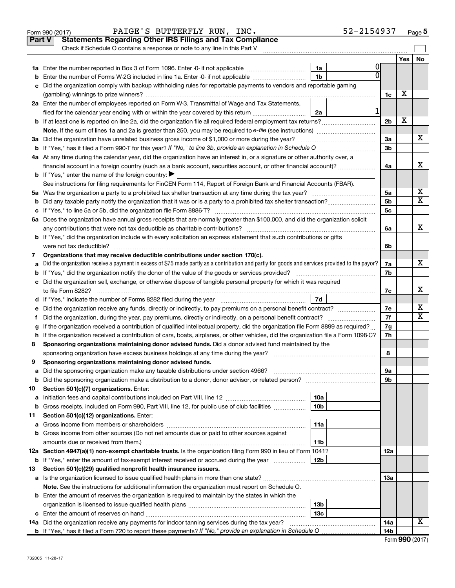|    | PAIGE'S BUTTERFLY RUN, INC.<br>Form 990 (2017)                                                                                                  |                 | 52-2154937 |                 |            | Page 5                  |
|----|-------------------------------------------------------------------------------------------------------------------------------------------------|-----------------|------------|-----------------|------------|-------------------------|
|    | <b>Statements Regarding Other IRS Filings and Tax Compliance</b><br><b>Part V</b>                                                               |                 |            |                 |            |                         |
|    | Check if Schedule O contains a response or note to any line in this Part V                                                                      |                 |            |                 |            |                         |
|    |                                                                                                                                                 |                 |            |                 | <b>Yes</b> | No                      |
|    |                                                                                                                                                 | 1a              | 0          |                 |            |                         |
| b  | Enter the number of Forms W-2G included in line 1a. Enter -0- if not applicable                                                                 | 1 <sub>b</sub>  |            |                 |            |                         |
| с  | Did the organization comply with backup withholding rules for reportable payments to vendors and reportable gaming                              |                 |            |                 |            |                         |
|    |                                                                                                                                                 |                 |            | 1c              | х          |                         |
|    | 2a Enter the number of employees reported on Form W-3, Transmittal of Wage and Tax Statements,                                                  |                 |            |                 |            |                         |
|    | filed for the calendar year ending with or within the year covered by this return                                                               | 2a              | 1          |                 |            |                         |
|    |                                                                                                                                                 |                 |            | 2 <sub>b</sub>  | X          |                         |
|    |                                                                                                                                                 |                 |            |                 |            |                         |
|    | 3a Did the organization have unrelated business gross income of \$1,000 or more during the year?                                                |                 |            | 3a              |            | x                       |
|    |                                                                                                                                                 |                 |            | 3 <sub>b</sub>  |            |                         |
|    | 4a At any time during the calendar year, did the organization have an interest in, or a signature or other authority over, a                    |                 |            |                 |            |                         |
|    | financial account in a foreign country (such as a bank account, securities account, or other financial account)?                                |                 |            | 4a              |            | x                       |
|    | <b>b</b> If "Yes," enter the name of the foreign country: $\blacktriangleright$                                                                 |                 |            |                 |            |                         |
|    | See instructions for filing requirements for FinCEN Form 114, Report of Foreign Bank and Financial Accounts (FBAR).                             |                 |            |                 |            |                         |
|    |                                                                                                                                                 |                 |            | 5a              |            | х                       |
| b  |                                                                                                                                                 |                 |            | 5 <sub>b</sub>  |            | $\overline{\mathbf{X}}$ |
| с  |                                                                                                                                                 |                 |            | 5c              |            |                         |
|    | 6a Does the organization have annual gross receipts that are normally greater than \$100,000, and did the organization solicit                  |                 |            |                 |            | x                       |
|    |                                                                                                                                                 |                 |            | 6a              |            |                         |
|    | <b>b</b> If "Yes," did the organization include with every solicitation an express statement that such contributions or gifts                   |                 |            |                 |            |                         |
|    | were not tax deductible?                                                                                                                        |                 |            | 6b              |            |                         |
| 7  | Organizations that may receive deductible contributions under section 170(c).                                                                   |                 |            |                 |            | x                       |
| а  | Did the organization receive a payment in excess of \$75 made partly as a contribution and partly for goods and services provided to the payor? |                 |            | 7a<br>7b        |            |                         |
| b  |                                                                                                                                                 |                 |            |                 |            |                         |
|    | c Did the organization sell, exchange, or otherwise dispose of tangible personal property for which it was required                             |                 |            |                 |            | х                       |
|    |                                                                                                                                                 |                 |            | 7c              |            |                         |
|    |                                                                                                                                                 |                 |            | 7e              |            | x                       |
| е  | Did the organization receive any funds, directly or indirectly, to pay premiums on a personal benefit contract?                                 |                 |            | 7f              |            | X                       |
| f. | If the organization received a contribution of qualified intellectual property, did the organization file Form 8899 as required?                |                 |            | 7g              |            |                         |
| g  | h If the organization received a contribution of cars, boats, airplanes, or other vehicles, did the organization file a Form 1098-C?            |                 |            | 7h              |            |                         |
| 8  | Sponsoring organizations maintaining donor advised funds. Did a donor advised fund maintained by the                                            |                 |            |                 |            |                         |
|    |                                                                                                                                                 |                 |            | 8               |            |                         |
|    | Sponsoring organizations maintaining donor advised funds.                                                                                       |                 |            |                 |            |                         |
| а  | Did the sponsoring organization make any taxable distributions under section 4966?                                                              |                 |            | 9а              |            |                         |
| b  | Did the sponsoring organization make a distribution to a donor, donor advisor, or related person?                                               |                 |            | 9b              |            |                         |
| 10 | Section 501(c)(7) organizations. Enter:                                                                                                         |                 |            |                 |            |                         |
| а  |                                                                                                                                                 | 10a             |            |                 |            |                         |
| b  | Gross receipts, included on Form 990, Part VIII, line 12, for public use of club facilities                                                     | 10 <sub>b</sub> |            |                 |            |                         |
| 11 | Section 501(c)(12) organizations. Enter:                                                                                                        |                 |            |                 |            |                         |
| а  | Gross income from members or shareholders                                                                                                       | 11a             |            |                 |            |                         |
| b  | Gross income from other sources (Do not net amounts due or paid to other sources against                                                        |                 |            |                 |            |                         |
|    | amounts due or received from them.)                                                                                                             | 11b             |            |                 |            |                         |
|    | 12a Section 4947(a)(1) non-exempt charitable trusts. Is the organization filing Form 990 in lieu of Form 1041?                                  |                 |            | 12a             |            |                         |
|    | <b>b</b> If "Yes," enter the amount of tax-exempt interest received or accrued during the year                                                  | 12b             |            |                 |            |                         |
| 13 | Section 501(c)(29) qualified nonprofit health insurance issuers.                                                                                |                 |            |                 |            |                         |
| а  | Is the organization licensed to issue qualified health plans in more than one state?                                                            |                 |            | 13a             |            |                         |
|    | Note. See the instructions for additional information the organization must report on Schedule O.                                               |                 |            |                 |            |                         |
|    | <b>b</b> Enter the amount of reserves the organization is required to maintain by the states in which the                                       |                 |            |                 |            |                         |
|    |                                                                                                                                                 | 13b             |            |                 |            |                         |
| с  | Enter the amount of reserves on hand                                                                                                            | 13 <sub>c</sub> |            |                 |            |                         |
|    | 14a Did the organization receive any payments for indoor tanning services during the tax year?                                                  |                 |            | 14a             |            | х                       |
|    |                                                                                                                                                 |                 |            | 14 <sub>b</sub> |            |                         |

| Form 990 (2017) |  |
|-----------------|--|
|-----------------|--|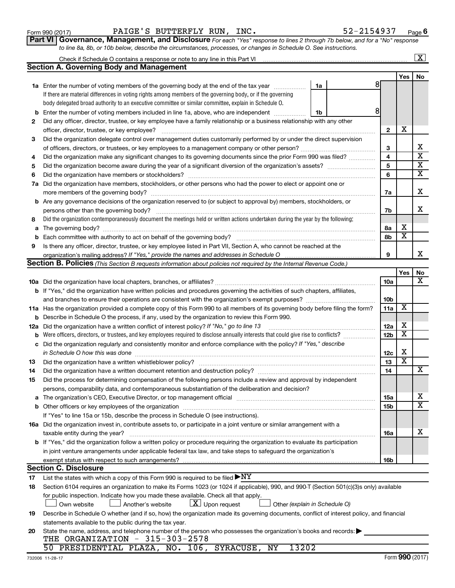|             | If there are material differences in voting rights among members of the governing body, or if the governing                                                                                                                                               |                 |     |                         |
|-------------|-----------------------------------------------------------------------------------------------------------------------------------------------------------------------------------------------------------------------------------------------------------|-----------------|-----|-------------------------|
|             | body delegated broad authority to an executive committee or similar committee, explain in Schedule O.                                                                                                                                                     |                 |     |                         |
| b           | 8<br>Enter the number of voting members included in line 1a, above, who are independent<br>1b                                                                                                                                                             |                 |     |                         |
| 2           | Did any officer, director, trustee, or key employee have a family relationship or a business relationship with any other                                                                                                                                  |                 |     |                         |
|             | officer, director, trustee, or key employee?                                                                                                                                                                                                              | $\mathbf{2}$    | х   |                         |
| з           | Did the organization delegate control over management duties customarily performed by or under the direct supervision                                                                                                                                     |                 |     |                         |
|             |                                                                                                                                                                                                                                                           | 3               |     | X                       |
| 4           | Did the organization make any significant changes to its governing documents since the prior Form 990 was filed?                                                                                                                                          | 4               |     | $\overline{\mathbf{x}}$ |
| 5           |                                                                                                                                                                                                                                                           | 5               |     | х                       |
| 6           |                                                                                                                                                                                                                                                           | 6               |     | х                       |
| 7a          | Did the organization have members, stockholders, or other persons who had the power to elect or appoint one or                                                                                                                                            |                 |     |                         |
|             |                                                                                                                                                                                                                                                           | 7a              |     | х                       |
| b           | Are any governance decisions of the organization reserved to (or subject to approval by) members, stockholders, or                                                                                                                                        |                 |     |                         |
|             | persons other than the governing body?                                                                                                                                                                                                                    | 7b              |     | х                       |
| 8           | Did the organization contemporaneously document the meetings held or written actions undertaken during the year by the following:                                                                                                                         |                 |     |                         |
| a           |                                                                                                                                                                                                                                                           | 8а              | x   |                         |
| $\mathbf b$ |                                                                                                                                                                                                                                                           | 8b              | X   |                         |
| 9           | Is there any officer, director, trustee, or key employee listed in Part VII, Section A, who cannot be reached at the                                                                                                                                      |                 |     |                         |
|             |                                                                                                                                                                                                                                                           | 9               |     | x                       |
|             | Section B. Policies (This Section B requests information about policies not required by the Internal Revenue Code.)                                                                                                                                       |                 |     |                         |
|             |                                                                                                                                                                                                                                                           |                 | Yes | No<br>х                 |
|             |                                                                                                                                                                                                                                                           | 10a             |     |                         |
|             | b If "Yes," did the organization have written policies and procedures governing the activities of such chapters, affiliates,                                                                                                                              |                 |     |                         |
|             |                                                                                                                                                                                                                                                           | 10 <sub>b</sub> | X   |                         |
| 11a         | Has the organization provided a complete copy of this Form 990 to all members of its governing body before filing the form?                                                                                                                               | 11a             |     |                         |
| b           | Describe in Schedule O the process, if any, used by the organization to review this Form 990.                                                                                                                                                             |                 | х   |                         |
| 12a         | Did the organization have a written conflict of interest policy? If "No," go to line 13                                                                                                                                                                   | 12a             | х   |                         |
| b           | Were officers, directors, or trustees, and key employees required to disclose annually interests that could give rise to conflicts?<br>Did the organization regularly and consistently monitor and enforce compliance with the policy? If "Yes," describe | 12 <sub>b</sub> |     |                         |
| c           |                                                                                                                                                                                                                                                           | 12 <sub>c</sub> | х   |                         |
|             | in Schedule O how this was done [11, 2010] [12] contract the state of the state of the state of the state of the state of the state of the state of the state of the state of the state of the state of the state of the state                            | 13              | X   |                         |
| 13          | Did the organization have a written document retention and destruction policy? [11] manufaction manufaction in                                                                                                                                            | 14              |     | х                       |
| 14<br>15    | Did the process for determining compensation of the following persons include a review and approval by independent                                                                                                                                        |                 |     |                         |
|             | persons, comparability data, and contemporaneous substantiation of the deliberation and decision?                                                                                                                                                         |                 |     |                         |
| a           | The organization's CEO, Executive Director, or top management official manufactured content of the organization's CEO, Executive Director, or top management official manufactured content of the state of the state of the st                            | 15a             |     | X                       |
| b           |                                                                                                                                                                                                                                                           | 15b             |     | х                       |
|             | If "Yes" to line 15a or 15b, describe the process in Schedule O (see instructions).                                                                                                                                                                       |                 |     |                         |
|             | 16a Did the organization invest in, contribute assets to, or participate in a joint venture or similar arrangement with a                                                                                                                                 |                 |     |                         |
|             | taxable entity during the year?                                                                                                                                                                                                                           | 16a             |     | х                       |
|             | b If "Yes," did the organization follow a written policy or procedure requiring the organization to evaluate its participation                                                                                                                            |                 |     |                         |
|             | in joint venture arrangements under applicable federal tax law, and take steps to safequard the organization's                                                                                                                                            |                 |     |                         |
|             | exempt status with respect to such arrangements?                                                                                                                                                                                                          | 16b             |     |                         |
|             | <b>Section C. Disclosure</b>                                                                                                                                                                                                                              |                 |     |                         |
| 17          | List the states with which a copy of this Form 990 is required to be filed $\blacktriangleright\text{NY}$                                                                                                                                                 |                 |     |                         |
| 18          | Section 6104 requires an organization to make its Forms 1023 (or 1024 if applicable), 990, and 990-T (Section 501(c)(3)s only) available                                                                                                                  |                 |     |                         |
|             | for public inspection. Indicate how you made these available. Check all that apply.                                                                                                                                                                       |                 |     |                         |
|             | $ \underline{X} $ Upon request<br>Own website<br>Another's website<br>Other (explain in Schedule O)                                                                                                                                                       |                 |     |                         |
| 19          | Describe in Schedule O whether (and if so, how) the organization made its governing documents, conflict of interest policy, and financial                                                                                                                 |                 |     |                         |
|             | statements available to the public during the tax year.                                                                                                                                                                                                   |                 |     |                         |
| 20          | State the name, address, and telephone number of the person who possesses the organization's books and records:                                                                                                                                           |                 |     |                         |
|             | THE ORGANIZATION - 315-303-2578                                                                                                                                                                                                                           |                 |     |                         |
|             | 13202<br>50 PRESIDENTIAL PLAZA, NO. 106, SYRACUSE, NY                                                                                                                                                                                                     |                 |     |                         |

|  | ----------------------- | ---- |  |
|--|-------------------------|------|--|
|  |                         |      |  |
|  |                         |      |  |

**1a** Enter the number of voting members of the governing body at the end of the tax year  $\ldots$   $\ldots$  [1a

Check if Schedule O contains a response or note to any line in this Part VI

**Section A. Governing Body and Management**

Form 990 (2017) Page PAIGE'S BUTTERFLY RUN, INC. 52-2154937 **6**

8

| Part VI   Governance, Management, and Disclosure For each "Yes" response to lines 2 through 7b below, and for a "No" response |  |
|-------------------------------------------------------------------------------------------------------------------------------|--|
| to line 8a, 8b, or 10b below, describe the circumstances, processes, or changes in Schedule O. See instructions.              |  |

**Yes No**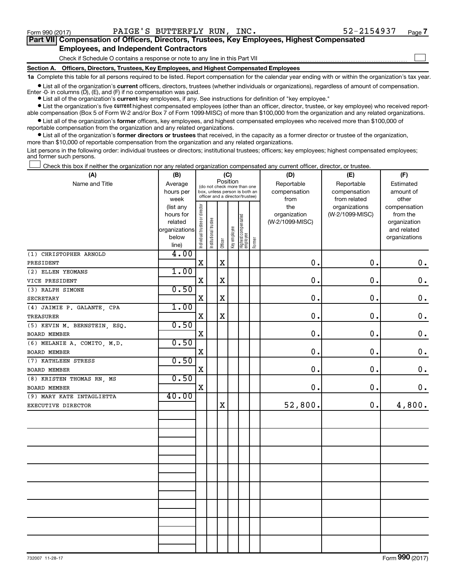$\Box$ 

| Part VII Compensation of Officers, Directors, Trustees, Key Employees, Highest Compensated |  |  |  |
|--------------------------------------------------------------------------------------------|--|--|--|
| <b>Employees, and Independent Contractors</b>                                              |  |  |  |

Check if Schedule O contains a response or note to any line in this Part VII

**Section A. Officers, Directors, Trustees, Key Employees, and Highest Compensated Employees**

**1a**  Complete this table for all persons required to be listed. Report compensation for the calendar year ending with or within the organization's tax year.

**•** List all of the organization's current officers, directors, trustees (whether individuals or organizations), regardless of amount of compensation. Enter  $-0$ - in columns  $(D)$ ,  $(E)$ , and  $(F)$  if no compensation was paid.

**•** List all of the organization's **current** key employees, if any. See instructions for definition of "key employee."

**•** List the organization's five current highest compensated employees (other than an officer, director, trustee, or key employee) who received reportable compensation (Box 5 of Form W-2 and/or Box 7 of Form 1099-MISC) of more than \$100,000 from the organization and any related organizations.

**•** List all of the organization's former officers, key employees, and highest compensated employees who received more than \$100,000 of reportable compensation from the organization and any related organizations.

**•** List all of the organization's former directors or trustees that received, in the capacity as a former director or trustee of the organization, more than \$10,000 of reportable compensation from the organization and any related organizations.

List persons in the following order: individual trustees or directors; institutional trustees; officers; key employees; highest compensated employees; and former such persons.

Check this box if neither the organization nor any related organization compensated any current officer, director, or trustee.  $\Box$ 

| (A)                          | (B)                    |                                |                                                                                                 | (C)         |              |                                 |        | (D)             | (E)             | (F)           |
|------------------------------|------------------------|--------------------------------|-------------------------------------------------------------------------------------------------|-------------|--------------|---------------------------------|--------|-----------------|-----------------|---------------|
| Name and Title               | Average                |                                |                                                                                                 | Position    |              |                                 |        | Reportable      | Reportable      | Estimated     |
|                              | hours per              |                                | (do not check more than one<br>box, unless person is both an<br>officer and a director/trustee) |             |              |                                 |        | compensation    | compensation    | amount of     |
|                              | week                   |                                |                                                                                                 |             |              |                                 |        | from            | from related    | other         |
|                              | (list any              |                                |                                                                                                 |             |              |                                 |        | the             | organizations   | compensation  |
|                              | hours for              |                                |                                                                                                 |             |              |                                 |        | organization    | (W-2/1099-MISC) | from the      |
|                              | related                |                                |                                                                                                 |             |              |                                 |        | (W-2/1099-MISC) |                 | organization  |
|                              | organizations<br>below |                                |                                                                                                 |             |              |                                 |        |                 |                 | and related   |
|                              | line)                  | Individual trustee or director | Institutional trustee                                                                           | Officer     | Key employee | Highest compensated<br>employee | Former |                 |                 | organizations |
| (1) CHRISTOPHER ARNOLD       | 4.00                   |                                |                                                                                                 |             |              |                                 |        |                 |                 |               |
| PRESIDENT                    |                        | $\mathbf X$                    |                                                                                                 | $\mathbf X$ |              |                                 |        | 0.              | 0.              | $\mathbf 0$ . |
| (2) ELLEN YEOMANS            | 1.00                   |                                |                                                                                                 |             |              |                                 |        |                 |                 |               |
| VICE PRESIDENT               |                        | $\mathbf X$                    |                                                                                                 | $\mathbf X$ |              |                                 |        | $\mathbf 0$ .   | 0.              | $\mathbf 0$ . |
| (3) RALPH SIMONE             | 0.50                   |                                |                                                                                                 |             |              |                                 |        |                 |                 |               |
| <b>SECRETARY</b>             |                        | X                              |                                                                                                 | $\mathbf X$ |              |                                 |        | 0.              | 0.              | $\mathbf 0$ . |
| (4) JAIMIE P. GALANTE, CPA   | 1.00                   |                                |                                                                                                 |             |              |                                 |        |                 |                 |               |
| <b>TREASURER</b>             |                        | $\mathbf X$                    |                                                                                                 | $\rm X$     |              |                                 |        | 0.              | 0.              | $\mathbf 0$ . |
| (5) KEVIN M. BERNSTEIN, ESQ. | 0.50                   |                                |                                                                                                 |             |              |                                 |        |                 |                 |               |
| <b>BOARD MEMBER</b>          |                        | $\mathbf X$                    |                                                                                                 |             |              |                                 |        | 0.              | 0.              | $\mathbf 0$ . |
| (6) MELANIE A. COMITO, M.D.  | 0.50                   |                                |                                                                                                 |             |              |                                 |        |                 |                 |               |
| BOARD MEMBER                 |                        | X                              |                                                                                                 |             |              |                                 |        | $\mathbf 0$ .   | 0.              | $\mathbf 0$ . |
| (7) KATHLEEN STRESS          | 0.50                   |                                |                                                                                                 |             |              |                                 |        |                 |                 |               |
| <b>BOARD MEMBER</b>          |                        | X                              |                                                                                                 |             |              |                                 |        | 0.              | 0.              | $\mathbf 0$ . |
| (8) KRISTEN THOMAS RN, MS    | 0.50                   |                                |                                                                                                 |             |              |                                 |        |                 |                 |               |
| <b>BOARD MEMBER</b>          |                        | $\mathbf X$                    |                                                                                                 |             |              |                                 |        | 0.              | 0.              | 0.            |
| (9) MARY KATE INTAGLIETTA    | 40.00                  |                                |                                                                                                 |             |              |                                 |        |                 |                 |               |
| EXECUTIVE DIRECTOR           |                        |                                |                                                                                                 | $\mathbf X$ |              |                                 |        | 52,800.         | 0.              | 4,800.        |
|                              |                        |                                |                                                                                                 |             |              |                                 |        |                 |                 |               |
|                              |                        |                                |                                                                                                 |             |              |                                 |        |                 |                 |               |
|                              |                        |                                |                                                                                                 |             |              |                                 |        |                 |                 |               |
|                              |                        |                                |                                                                                                 |             |              |                                 |        |                 |                 |               |
|                              |                        |                                |                                                                                                 |             |              |                                 |        |                 |                 |               |
|                              |                        |                                |                                                                                                 |             |              |                                 |        |                 |                 |               |
|                              |                        |                                |                                                                                                 |             |              |                                 |        |                 |                 |               |
|                              |                        |                                |                                                                                                 |             |              |                                 |        |                 |                 |               |
|                              |                        |                                |                                                                                                 |             |              |                                 |        |                 |                 |               |
|                              |                        |                                |                                                                                                 |             |              |                                 |        |                 |                 |               |
|                              |                        |                                |                                                                                                 |             |              |                                 |        |                 |                 |               |
|                              |                        |                                |                                                                                                 |             |              |                                 |        |                 |                 |               |
|                              |                        |                                |                                                                                                 |             |              |                                 |        |                 |                 |               |
|                              |                        |                                |                                                                                                 |             |              |                                 |        |                 |                 |               |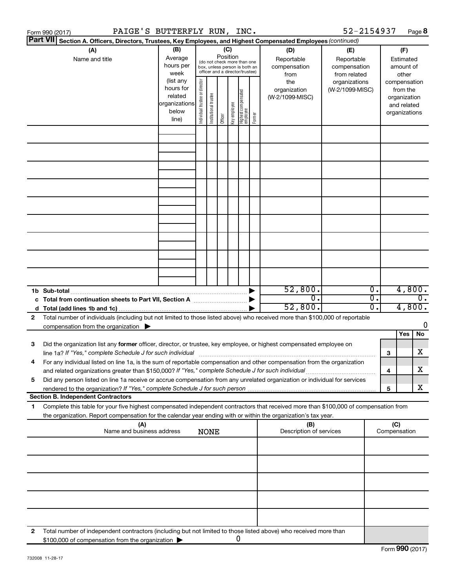|    | PAIGE'S BUTTERFLY RUN, INC.<br>Form 990 (2017)                                                                                                                                                                                                         |                                                         |                                |                                                                                                 |         |              |                                   |        |                                           | 52-2154937                                        |                                                 |                     | Page 8                                                                   |
|----|--------------------------------------------------------------------------------------------------------------------------------------------------------------------------------------------------------------------------------------------------------|---------------------------------------------------------|--------------------------------|-------------------------------------------------------------------------------------------------|---------|--------------|-----------------------------------|--------|-------------------------------------------|---------------------------------------------------|-------------------------------------------------|---------------------|--------------------------------------------------------------------------|
|    | <b>Part VII</b><br>Section A. Officers, Directors, Trustees, Key Employees, and Highest Compensated Employees (continued)                                                                                                                              |                                                         |                                |                                                                                                 |         |              |                                   |        |                                           |                                                   |                                                 |                     |                                                                          |
|    | (A)<br>Name and title                                                                                                                                                                                                                                  | (B)<br>Average<br>hours per<br>week<br>(list any        |                                | (do not check more than one<br>box, unless person is both an<br>officer and a director/trustee) | (C)     | Position     |                                   |        | (D)<br>Reportable<br>compensation<br>from | (E)<br>Reportable<br>compensation<br>from related |                                                 |                     | (F)<br>Estimated<br>amount of<br>other                                   |
|    |                                                                                                                                                                                                                                                        | hours for<br>related<br>organizations<br>below<br>line) | Individual trustee or director | Institutional trustee                                                                           | Officer | Key employee | Highest compensated<br>  employee | Former | the<br>organization<br>(W-2/1099-MISC)    | organizations<br>(W-2/1099-MISC)                  |                                                 |                     | compensation<br>from the<br>organization<br>and related<br>organizations |
|    |                                                                                                                                                                                                                                                        |                                                         |                                |                                                                                                 |         |              |                                   |        |                                           |                                                   |                                                 |                     |                                                                          |
|    |                                                                                                                                                                                                                                                        |                                                         |                                |                                                                                                 |         |              |                                   |        |                                           |                                                   |                                                 |                     |                                                                          |
|    |                                                                                                                                                                                                                                                        |                                                         |                                |                                                                                                 |         |              |                                   |        |                                           |                                                   |                                                 |                     |                                                                          |
|    |                                                                                                                                                                                                                                                        |                                                         |                                |                                                                                                 |         |              |                                   |        |                                           |                                                   |                                                 |                     |                                                                          |
|    |                                                                                                                                                                                                                                                        |                                                         |                                |                                                                                                 |         |              |                                   |        |                                           |                                                   |                                                 |                     |                                                                          |
|    |                                                                                                                                                                                                                                                        |                                                         |                                |                                                                                                 |         |              |                                   |        |                                           |                                                   |                                                 |                     |                                                                          |
|    |                                                                                                                                                                                                                                                        |                                                         |                                |                                                                                                 |         |              |                                   |        |                                           |                                                   |                                                 |                     |                                                                          |
|    |                                                                                                                                                                                                                                                        |                                                         |                                |                                                                                                 |         |              |                                   |        |                                           |                                                   |                                                 |                     |                                                                          |
|    | 1b Sub-total                                                                                                                                                                                                                                           |                                                         |                                |                                                                                                 |         |              |                                   |        | 52,800.                                   |                                                   | $\overline{\mathbf{0}}$ .                       |                     | 4,800.                                                                   |
|    | c Total from continuation sheets to Part VII, Section A manuscreen continuum                                                                                                                                                                           |                                                         |                                |                                                                                                 |         |              |                                   |        | σ.<br>52,800.                             |                                                   | $\overline{0}$ .<br>$\overline{\mathfrak{0}}$ . |                     | $\overline{0}$ .<br>4,800.                                               |
| 2  | Total number of individuals (including but not limited to those listed above) who received more than \$100,000 of reportable<br>compensation from the organization $\blacktriangleright$                                                               |                                                         |                                |                                                                                                 |         |              |                                   |        |                                           |                                                   |                                                 |                     | 0                                                                        |
|    |                                                                                                                                                                                                                                                        |                                                         |                                |                                                                                                 |         |              |                                   |        |                                           |                                                   |                                                 |                     | Yes<br>No                                                                |
| 3  | Did the organization list any former officer, director, or trustee, key employee, or highest compensated employee on<br>line 1a? If "Yes," complete Schedule J for such individual manufactured contains and the set of the schedule J                 |                                                         |                                |                                                                                                 |         |              |                                   |        |                                           |                                                   |                                                 | З                   | X                                                                        |
|    | For any individual listed on line 1a, is the sum of reportable compensation and other compensation from the organization<br>and related organizations greater than \$150,000? If "Yes," complete Schedule J for such individual                        |                                                         |                                |                                                                                                 |         |              |                                   |        |                                           |                                                   |                                                 | 4                   | х                                                                        |
| 5  | Did any person listed on line 1a receive or accrue compensation from any unrelated organization or individual for services                                                                                                                             |                                                         |                                |                                                                                                 |         |              |                                   |        |                                           |                                                   |                                                 | 5                   | X                                                                        |
|    | <b>Section B. Independent Contractors</b>                                                                                                                                                                                                              |                                                         |                                |                                                                                                 |         |              |                                   |        |                                           |                                                   |                                                 |                     |                                                                          |
| 1. | Complete this table for your five highest compensated independent contractors that received more than \$100,000 of compensation from<br>the organization. Report compensation for the calendar year ending with or within the organization's tax year. |                                                         |                                |                                                                                                 |         |              |                                   |        |                                           |                                                   |                                                 |                     |                                                                          |
|    | (A)<br>Name and business address                                                                                                                                                                                                                       |                                                         |                                | <b>NONE</b>                                                                                     |         |              |                                   |        | (B)<br>Description of services            |                                                   |                                                 | (C)<br>Compensation |                                                                          |
|    |                                                                                                                                                                                                                                                        |                                                         |                                |                                                                                                 |         |              |                                   |        |                                           |                                                   |                                                 |                     |                                                                          |
|    |                                                                                                                                                                                                                                                        |                                                         |                                |                                                                                                 |         |              |                                   |        |                                           |                                                   |                                                 |                     |                                                                          |
|    |                                                                                                                                                                                                                                                        |                                                         |                                |                                                                                                 |         |              |                                   |        |                                           |                                                   |                                                 |                     |                                                                          |
|    |                                                                                                                                                                                                                                                        |                                                         |                                |                                                                                                 |         |              |                                   |        |                                           |                                                   |                                                 |                     |                                                                          |
| 2  | Total number of independent contractors (including but not limited to those listed above) who received more than<br>\$100,000 of compensation from the organization                                                                                    |                                                         |                                |                                                                                                 |         |              | 0                                 |        |                                           |                                                   |                                                 |                     |                                                                          |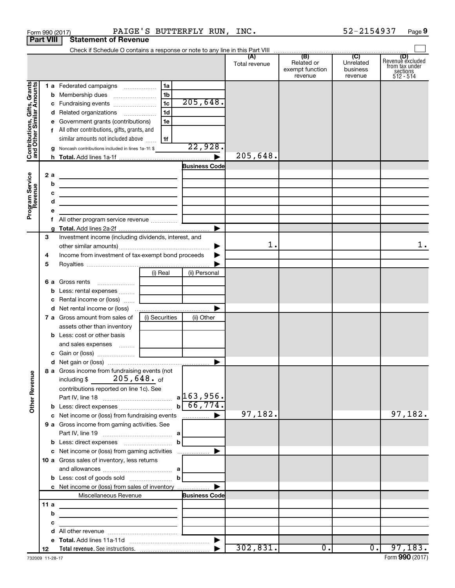|                                                           |                  | PAIGE'S BUTTERFLY RUN, INC.<br>Form 990 (2017)                             |                      |                                                 | 52-2154937                              | Page 9                                                      |
|-----------------------------------------------------------|------------------|----------------------------------------------------------------------------|----------------------|-------------------------------------------------|-----------------------------------------|-------------------------------------------------------------|
|                                                           | <b>Part VIII</b> | <b>Statement of Revenue</b>                                                |                      |                                                 |                                         |                                                             |
|                                                           |                  |                                                                            |                      |                                                 |                                         |                                                             |
|                                                           |                  |                                                                            | (A)<br>Total revenue | (B)<br>Related or<br>exempt function<br>revenue | (C)<br>Unrelated<br>business<br>revenue | Revenue excluded<br>from tax under<br>sections<br>512 - 514 |
|                                                           |                  | 1a<br>1 a Federated campaigns                                              |                      |                                                 |                                         |                                                             |
| Contributions, Gifts, Grants<br>and Other Similar Amounts |                  | 1 <sub>b</sub>                                                             |                      |                                                 |                                         |                                                             |
|                                                           |                  | $\overline{1c}$<br>205,648.<br>c Fundraising events                        |                      |                                                 |                                         |                                                             |
|                                                           |                  | 1 <sub>d</sub><br>d Related organizations                                  |                      |                                                 |                                         |                                                             |
|                                                           |                  | e Government grants (contributions)<br>1e                                  |                      |                                                 |                                         |                                                             |
|                                                           |                  | f All other contributions, gifts, grants, and                              |                      |                                                 |                                         |                                                             |
|                                                           |                  | similar amounts not included above<br>1f                                   |                      |                                                 |                                         |                                                             |
|                                                           |                  | 22,928.<br>g Noncash contributions included in lines 1a-1f: \$             |                      |                                                 |                                         |                                                             |
|                                                           |                  |                                                                            | 205,648.             |                                                 |                                         |                                                             |
|                                                           |                  | <b>Business Code</b>                                                       |                      |                                                 |                                         |                                                             |
|                                                           | 2a               | the control of the control of the control of the control of the control of |                      |                                                 |                                         |                                                             |
|                                                           | b                | <u> 1989 - Johann Barbara, martxa alemaniar arg</u>                        |                      |                                                 |                                         |                                                             |
|                                                           | с                |                                                                            |                      |                                                 |                                         |                                                             |
|                                                           | d                |                                                                            |                      |                                                 |                                         |                                                             |
| Program Service<br>Revenue                                | е                |                                                                            |                      |                                                 |                                         |                                                             |
|                                                           |                  |                                                                            |                      |                                                 |                                         |                                                             |
|                                                           | g                |                                                                            |                      |                                                 |                                         |                                                             |
|                                                           | 3                | Investment income (including dividends, interest, and                      |                      |                                                 |                                         |                                                             |
|                                                           |                  | ▶                                                                          | $1$ .                |                                                 |                                         | 1.                                                          |
|                                                           | 4                | Income from investment of tax-exempt bond proceeds                         |                      |                                                 |                                         |                                                             |
|                                                           | 5                |                                                                            |                      |                                                 |                                         |                                                             |
|                                                           |                  | (i) Real<br>(ii) Personal                                                  |                      |                                                 |                                         |                                                             |
|                                                           |                  | 6 a Gross rents                                                            |                      |                                                 |                                         |                                                             |
|                                                           |                  | <b>b</b> Less: rental expenses                                             |                      |                                                 |                                         |                                                             |
|                                                           |                  | c Rental income or (loss)                                                  |                      |                                                 |                                         |                                                             |
|                                                           |                  | <b>d</b> Net rental income or (loss)                                       |                      |                                                 |                                         |                                                             |
|                                                           |                  | (i) Securities<br>7 a Gross amount from sales of<br>(ii) Other             |                      |                                                 |                                         |                                                             |
|                                                           |                  | assets other than inventory                                                |                      |                                                 |                                         |                                                             |
|                                                           |                  | <b>b</b> Less: cost or other basis                                         |                      |                                                 |                                         |                                                             |
|                                                           |                  | and sales expenses                                                         |                      |                                                 |                                         |                                                             |
|                                                           |                  |                                                                            |                      |                                                 |                                         |                                                             |
|                                                           |                  |                                                                            |                      |                                                 |                                         |                                                             |
|                                                           |                  | 8 a Gross income from fundraising events (not                              |                      |                                                 |                                         |                                                             |
|                                                           |                  | including \$ $205,648$ . of                                                |                      |                                                 |                                         |                                                             |
|                                                           |                  | contributions reported on line 1c). See                                    |                      |                                                 |                                         |                                                             |
|                                                           |                  |                                                                            |                      |                                                 |                                         |                                                             |
| <b>Other Revenue</b>                                      |                  | $b \ 66, 774.$<br><b>b</b> Less: direct expenses <i>manually contained</i> |                      |                                                 |                                         |                                                             |
|                                                           |                  |                                                                            | 97,182.              |                                                 |                                         | 97,182.                                                     |
|                                                           |                  | 9 a Gross income from gaming activities. See                               |                      |                                                 |                                         |                                                             |
|                                                           |                  |                                                                            |                      |                                                 |                                         |                                                             |
|                                                           |                  | b                                                                          |                      |                                                 |                                         |                                                             |
|                                                           |                  |                                                                            |                      |                                                 |                                         |                                                             |
|                                                           |                  | <b>10 a</b> Gross sales of inventory, less returns                         |                      |                                                 |                                         |                                                             |
|                                                           |                  |                                                                            |                      |                                                 |                                         |                                                             |
|                                                           |                  | b                                                                          |                      |                                                 |                                         |                                                             |
|                                                           |                  | c Net income or (loss) from sales of inventory                             |                      |                                                 |                                         |                                                             |
|                                                           |                  | Miscellaneous Revenue<br><b>Business Code</b>                              |                      |                                                 |                                         |                                                             |
|                                                           | 11 a             |                                                                            |                      |                                                 |                                         |                                                             |
|                                                           | b                |                                                                            |                      |                                                 |                                         |                                                             |
|                                                           | с                |                                                                            |                      |                                                 |                                         |                                                             |
|                                                           | d                |                                                                            |                      |                                                 |                                         |                                                             |
|                                                           | 12               |                                                                            | 302,831.             | $\overline{0}$ .                                | $\overline{0}$ .                        | 97,183.                                                     |
|                                                           |                  |                                                                            |                      |                                                 |                                         |                                                             |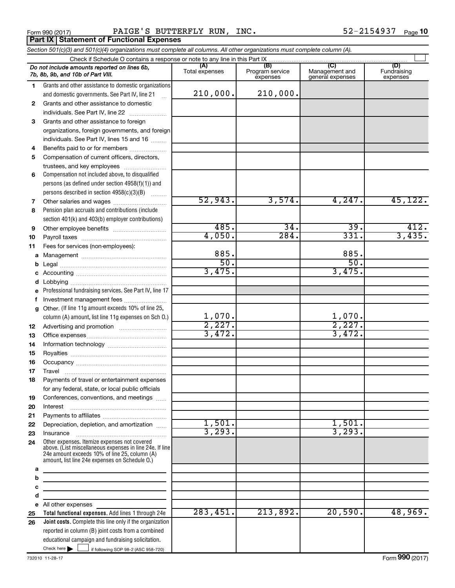**Part IX Statement of Functional Expenses** 

Form 990 (2017) **PAIGE'S BUTTERFLY RUN, INC.** 52-2154937  $_{\text{Page}}$ 

*Section 501(c)(3) and 501(c)(4) organizations must complete all columns. All other organizations must complete column (A).*

|    | Do not include amounts reported on lines 6b,<br>7b, 8b, 9b, and 10b of Part VIII.                                                                                                                           | (A)<br>Total expenses | (B)<br>Program service<br>expenses | (C)<br>Management and<br>general expenses | (D)<br>Fundraising<br>expenses |  |  |  |  |  |
|----|-------------------------------------------------------------------------------------------------------------------------------------------------------------------------------------------------------------|-----------------------|------------------------------------|-------------------------------------------|--------------------------------|--|--|--|--|--|
| 1  | Grants and other assistance to domestic organizations                                                                                                                                                       |                       |                                    |                                           |                                |  |  |  |  |  |
|    | and domestic governments. See Part IV, line 21                                                                                                                                                              | 210,000.              | 210,000.                           |                                           |                                |  |  |  |  |  |
| 2  | Grants and other assistance to domestic                                                                                                                                                                     |                       |                                    |                                           |                                |  |  |  |  |  |
|    | individuals. See Part IV, line 22                                                                                                                                                                           |                       |                                    |                                           |                                |  |  |  |  |  |
| 3  | Grants and other assistance to foreign                                                                                                                                                                      |                       |                                    |                                           |                                |  |  |  |  |  |
|    | organizations, foreign governments, and foreign                                                                                                                                                             |                       |                                    |                                           |                                |  |  |  |  |  |
|    | individuals. See Part IV, lines 15 and 16                                                                                                                                                                   |                       |                                    |                                           |                                |  |  |  |  |  |
| 4  | Benefits paid to or for members                                                                                                                                                                             |                       |                                    |                                           |                                |  |  |  |  |  |
| 5  | Compensation of current officers, directors,                                                                                                                                                                |                       |                                    |                                           |                                |  |  |  |  |  |
|    | trustees, and key employees                                                                                                                                                                                 |                       |                                    |                                           |                                |  |  |  |  |  |
| 6  | Compensation not included above, to disqualified                                                                                                                                                            |                       |                                    |                                           |                                |  |  |  |  |  |
|    | persons (as defined under section $4958(f)(1)$ ) and                                                                                                                                                        |                       |                                    |                                           |                                |  |  |  |  |  |
|    | persons described in section 4958(c)(3)(B)                                                                                                                                                                  |                       |                                    |                                           |                                |  |  |  |  |  |
| 7  |                                                                                                                                                                                                             | 52,943.               | 3,574.                             | 4,247.                                    | 45, 122.                       |  |  |  |  |  |
| 8  | Pension plan accruals and contributions (include                                                                                                                                                            |                       |                                    |                                           |                                |  |  |  |  |  |
|    | section 401(k) and 403(b) employer contributions)                                                                                                                                                           |                       |                                    |                                           |                                |  |  |  |  |  |
| 9  |                                                                                                                                                                                                             | 485.                  | $\overline{34}$ .                  | $\overline{39}$ .                         | 412.                           |  |  |  |  |  |
| 10 |                                                                                                                                                                                                             | 4,050.                | 284.                               | 331.                                      | 3,435.                         |  |  |  |  |  |
| 11 | Fees for services (non-employees):                                                                                                                                                                          |                       |                                    |                                           |                                |  |  |  |  |  |
| a  |                                                                                                                                                                                                             | 885.                  |                                    | 885.                                      |                                |  |  |  |  |  |
| b  |                                                                                                                                                                                                             | 50.                   |                                    | 50.                                       |                                |  |  |  |  |  |
| c  |                                                                                                                                                                                                             | 3,475.                |                                    | 3,475.                                    |                                |  |  |  |  |  |
| d  |                                                                                                                                                                                                             |                       |                                    |                                           |                                |  |  |  |  |  |
| е  | Professional fundraising services. See Part IV, line 17                                                                                                                                                     |                       |                                    |                                           |                                |  |  |  |  |  |
| f  | Investment management fees                                                                                                                                                                                  |                       |                                    |                                           |                                |  |  |  |  |  |
| g  | Other. (If line 11g amount exceeds 10% of line 25,                                                                                                                                                          |                       |                                    |                                           |                                |  |  |  |  |  |
|    | column (A) amount, list line 11g expenses on Sch O.)                                                                                                                                                        | 1,070.                |                                    | 1,070.                                    |                                |  |  |  |  |  |
| 12 |                                                                                                                                                                                                             | 2,227.                |                                    | 2,227.                                    |                                |  |  |  |  |  |
| 13 |                                                                                                                                                                                                             | 3,472.                |                                    | 3,472.                                    |                                |  |  |  |  |  |
| 14 |                                                                                                                                                                                                             |                       |                                    |                                           |                                |  |  |  |  |  |
| 15 |                                                                                                                                                                                                             |                       |                                    |                                           |                                |  |  |  |  |  |
| 16 |                                                                                                                                                                                                             |                       |                                    |                                           |                                |  |  |  |  |  |
| 17 | Travel                                                                                                                                                                                                      |                       |                                    |                                           |                                |  |  |  |  |  |
| 18 | Payments of travel or entertainment expenses                                                                                                                                                                |                       |                                    |                                           |                                |  |  |  |  |  |
|    | for any federal, state, or local public officials                                                                                                                                                           |                       |                                    |                                           |                                |  |  |  |  |  |
| 19 | Conferences, conventions, and meetings                                                                                                                                                                      |                       |                                    |                                           |                                |  |  |  |  |  |
| 20 | Interest                                                                                                                                                                                                    |                       |                                    |                                           |                                |  |  |  |  |  |
| 21 |                                                                                                                                                                                                             |                       |                                    |                                           |                                |  |  |  |  |  |
| 22 | Depreciation, depletion, and amortization                                                                                                                                                                   | 1,501.                |                                    | 1,501.                                    |                                |  |  |  |  |  |
| 23 | Insurance                                                                                                                                                                                                   | 3, 293.               |                                    | 3, 293.                                   |                                |  |  |  |  |  |
| 24 | Other expenses. Itemize expenses not covered<br>above. (List miscellaneous expenses in line 24e. If line<br>24e amount exceeds 10% of line 25, column (A)<br>amount, list line 24e expenses on Schedule O.) |                       |                                    |                                           |                                |  |  |  |  |  |
| a  |                                                                                                                                                                                                             |                       |                                    |                                           |                                |  |  |  |  |  |
| b  | the control of the control of the control of the control of the control of                                                                                                                                  |                       |                                    |                                           |                                |  |  |  |  |  |
| с  | the control of the control of the control of the control of the control of                                                                                                                                  |                       |                                    |                                           |                                |  |  |  |  |  |
| d  | the control of the control of the control of the control of the control of                                                                                                                                  |                       |                                    |                                           |                                |  |  |  |  |  |
|    | e All other expenses                                                                                                                                                                                        |                       |                                    |                                           |                                |  |  |  |  |  |
| 25 | Total functional expenses. Add lines 1 through 24e                                                                                                                                                          | 283,451.              | 213,892.                           | 20,590.                                   | 48,969.                        |  |  |  |  |  |
| 26 | Joint costs. Complete this line only if the organization                                                                                                                                                    |                       |                                    |                                           |                                |  |  |  |  |  |
|    | reported in column (B) joint costs from a combined                                                                                                                                                          |                       |                                    |                                           |                                |  |  |  |  |  |
|    | educational campaign and fundraising solicitation.                                                                                                                                                          |                       |                                    |                                           |                                |  |  |  |  |  |
|    | Check here       if following SOP 98-2 (ASC 958-720)                                                                                                                                                        |                       |                                    |                                           |                                |  |  |  |  |  |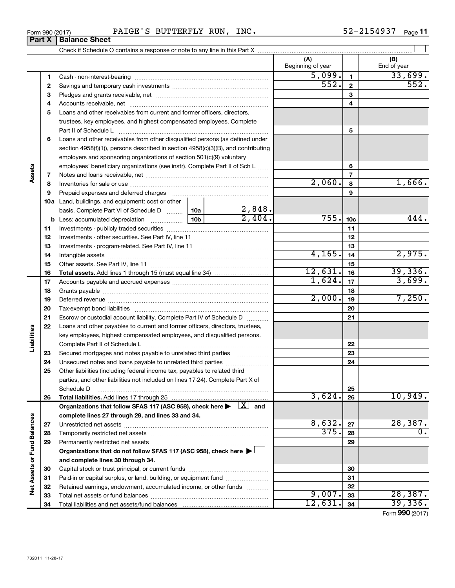| Form 990 (2017) | סיח גם<br>--- | ommunov v<br>r o r<br>DU T<br>$\pm$ DN. | <b>RUN</b> | INC. | . .<br>٠Δ<br>$\cdots$ | Page |
|-----------------|---------------|-----------------------------------------|------------|------|-----------------------|------|
|                 |               |                                         |            |      |                       |      |

|                             |          |                                                                                                                              |                 |                | (A)<br>Beginning of year |                 | (B)<br>End of year |
|-----------------------------|----------|------------------------------------------------------------------------------------------------------------------------------|-----------------|----------------|--------------------------|-----------------|--------------------|
|                             | 1        |                                                                                                                              |                 |                | 5,099.                   | $\mathbf{1}$    | 33,699.            |
|                             | 2        |                                                                                                                              | 552.            | $\overline{2}$ | 552.                     |                 |                    |
|                             | З        |                                                                                                                              |                 |                | 3                        |                 |                    |
|                             | 4        |                                                                                                                              |                 |                |                          | 4               |                    |
|                             | 5        | Loans and other receivables from current and former officers, directors,                                                     |                 |                |                          |                 |                    |
|                             |          | trustees, key employees, and highest compensated employees. Complete                                                         |                 |                |                          |                 |                    |
|                             |          |                                                                                                                              |                 |                |                          | 5               |                    |
|                             | 6        | Loans and other receivables from other disqualified persons (as defined under                                                |                 |                |                          |                 |                    |
|                             |          | section 4958(f)(1)), persons described in section 4958(c)(3)(B), and contributing                                            |                 |                |                          |                 |                    |
|                             |          | employers and sponsoring organizations of section 501(c)(9) voluntary                                                        |                 |                |                          |                 |                    |
|                             |          | employees' beneficiary organizations (see instr). Complete Part II of Sch L                                                  |                 |                |                          | 6               |                    |
| Assets                      | 7        |                                                                                                                              |                 |                |                          | 7               |                    |
|                             | 8        |                                                                                                                              |                 |                | 2,060.                   | 8               | 1,666.             |
|                             | 9        | Prepaid expenses and deferred charges                                                                                        |                 |                |                          | 9               |                    |
|                             |          | 10a Land, buildings, and equipment: cost or other                                                                            |                 |                |                          |                 |                    |
|                             |          | basis. Complete Part VI of Schedule D  10a                                                                                   |                 | 2,848.         |                          |                 |                    |
|                             |          | <b>b</b> Less: accumulated depreciation <i></i>                                                                              | 10 <sub>b</sub> | 2,404.         | 755.                     | 10 <sub>c</sub> | 444.               |
|                             | 11       |                                                                                                                              |                 |                |                          | 11              |                    |
|                             | 12       |                                                                                                                              |                 |                |                          | 12              |                    |
|                             | 13       |                                                                                                                              |                 |                | 13                       |                 |                    |
|                             | 14       |                                                                                                                              | 4,165.          | 14             | 2,975.                   |                 |                    |
|                             | 15       |                                                                                                                              |                 | 15             |                          |                 |                    |
|                             | 16       | <b>Total assets.</b> Add lines 1 through 15 (must equal line 34) <i></i>                                                     |                 |                | 12,631.                  | 16              | 39,336.            |
|                             | 17       |                                                                                                                              |                 | 1,624.         | 17                       | 3,699.          |                    |
|                             | 18       |                                                                                                                              |                 |                | 18                       |                 |                    |
|                             | 19       |                                                                                                                              |                 |                | 2,000.                   | 19              | 7,250.             |
|                             | 20       |                                                                                                                              |                 |                |                          | 20              |                    |
|                             | 21       | Escrow or custodial account liability. Complete Part IV of Schedule D                                                        |                 |                |                          | 21              |                    |
|                             | 22       | Loans and other payables to current and former officers, directors, trustees,                                                |                 |                |                          |                 |                    |
| Liabilities                 |          | key employees, highest compensated employees, and disqualified persons.                                                      |                 |                |                          |                 |                    |
|                             |          |                                                                                                                              |                 |                |                          | 22              |                    |
|                             | 23       | Secured mortgages and notes payable to unrelated third parties                                                               |                 |                |                          | 23              |                    |
|                             | 24       | Unsecured notes and loans payable to unrelated third parties                                                                 |                 |                |                          | 24              |                    |
|                             | 25       | Other liabilities (including federal income tax, payables to related third                                                   |                 |                |                          |                 |                    |
|                             |          | parties, and other liabilities not included on lines 17-24). Complete Part X of                                              |                 |                |                          |                 |                    |
|                             |          | Schedule D                                                                                                                   |                 |                | 3,624.                   | 25              | 10,949.            |
|                             | 26       |                                                                                                                              |                 |                |                          | 26              |                    |
|                             |          | Organizations that follow SFAS 117 (ASC 958), check here $\blacktriangleright \begin{array}{c} \boxed{X} \\ \end{array}$ and |                 |                |                          |                 |                    |
|                             |          | complete lines 27 through 29, and lines 33 and 34.                                                                           |                 |                | 8,632.                   |                 | 28,387.            |
|                             | 27       |                                                                                                                              |                 |                | 375.                     | 27              | $\overline{0}$ .   |
|                             | 28       |                                                                                                                              |                 |                |                          | 28              |                    |
| Net Assets or Fund Balances | 29       | Permanently restricted net assets                                                                                            |                 |                |                          | 29              |                    |
|                             |          | Organizations that do not follow SFAS 117 (ASC 958), check here ▶ □                                                          |                 |                |                          |                 |                    |
|                             |          | and complete lines 30 through 34.                                                                                            |                 |                |                          | 30              |                    |
|                             | 30       | Paid-in or capital surplus, or land, building, or equipment fund                                                             |                 |                |                          | 31              |                    |
|                             | 31<br>32 | Retained earnings, endowment, accumulated income, or other funds                                                             |                 |                |                          | 32              |                    |
|                             | 33       |                                                                                                                              |                 |                | 9,007.                   | 33              | 28,387.            |
|                             | 34       |                                                                                                                              |                 |                | 12,631.                  | 34              | 39,336.            |
|                             |          |                                                                                                                              |                 |                |                          |                 |                    |

Form (2017) **990**

# **Part X Balance Sheet**

| Form 990 (2017 |  |
|----------------|--|
|                |  |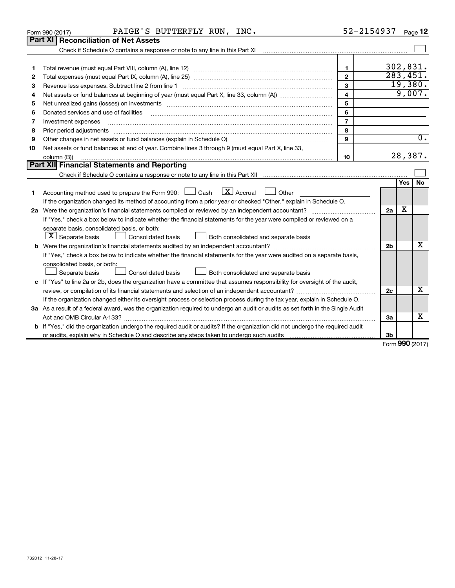|        | PAIGE'S BUTTERFLY RUN, INC.<br>Form 990 (2017)                                                                                                                                                                                 | 52-2154937                     |                |                 | Page 12          |
|--------|--------------------------------------------------------------------------------------------------------------------------------------------------------------------------------------------------------------------------------|--------------------------------|----------------|-----------------|------------------|
|        | Part XI<br><b>Reconciliation of Net Assets</b>                                                                                                                                                                                 |                                |                |                 |                  |
|        |                                                                                                                                                                                                                                |                                |                |                 |                  |
|        |                                                                                                                                                                                                                                |                                |                | 302,831.        |                  |
| 1<br>2 |                                                                                                                                                                                                                                | $\mathbf{1}$<br>$\overline{2}$ |                | 283,451.        |                  |
| З      |                                                                                                                                                                                                                                | 3                              |                | 19,380.         |                  |
| 4      |                                                                                                                                                                                                                                | $\overline{\mathbf{4}}$        |                | 9,007.          |                  |
| 5      | Net unrealized gains (losses) on investments [11] matter than the control of the state of the state of the state of the state of the state of the state of the state of the state of the state of the state of the state of th | 5                              |                |                 |                  |
| 6      | Donated services and use of facilities                                                                                                                                                                                         | 6                              |                |                 |                  |
| 7      | Investment expenses                                                                                                                                                                                                            | $\overline{7}$                 |                |                 |                  |
| 8      | Prior period adjustments                                                                                                                                                                                                       | 8                              |                |                 |                  |
| 9      |                                                                                                                                                                                                                                | 9                              |                |                 | $\overline{0}$ . |
| 10     | Net assets or fund balances at end of year. Combine lines 3 through 9 (must equal Part X, line 33,                                                                                                                             |                                |                |                 |                  |
|        | column (B))                                                                                                                                                                                                                    | 10                             |                | 28,387.         |                  |
|        | Part XII Financial Statements and Reporting                                                                                                                                                                                    |                                |                |                 |                  |
|        |                                                                                                                                                                                                                                |                                |                |                 |                  |
|        |                                                                                                                                                                                                                                |                                |                | <b>Yes</b>      | No               |
| 1      | $\boxed{\text{X}}$ Accrual<br>Accounting method used to prepare the Form 990: $\Box$ Cash<br>Other                                                                                                                             |                                |                |                 |                  |
|        | If the organization changed its method of accounting from a prior year or checked "Other," explain in Schedule O.                                                                                                              |                                |                |                 |                  |
| 2a     |                                                                                                                                                                                                                                |                                | 2a             | x               |                  |
|        | If "Yes," check a box below to indicate whether the financial statements for the year were compiled or reviewed on a                                                                                                           |                                |                |                 |                  |
|        | separate basis, consolidated basis, or both:                                                                                                                                                                                   |                                |                |                 |                  |
|        | $ \mathbf{X} $ Separate basis<br>Consolidated basis<br>Both consolidated and separate basis                                                                                                                                    |                                |                |                 |                  |
|        |                                                                                                                                                                                                                                |                                | 2 <sub>b</sub> |                 | X                |
|        | If "Yes," check a box below to indicate whether the financial statements for the year were audited on a separate basis,                                                                                                        |                                |                |                 |                  |
|        | consolidated basis, or both:                                                                                                                                                                                                   |                                |                |                 |                  |
|        | Separate basis<br>$\Box$ Consolidated basis<br>Both consolidated and separate basis                                                                                                                                            |                                |                |                 |                  |
|        | c If "Yes" to line 2a or 2b, does the organization have a committee that assumes responsibility for oversight of the audit,                                                                                                    |                                |                |                 |                  |
|        |                                                                                                                                                                                                                                |                                | 2c             |                 | х                |
|        | If the organization changed either its oversight process or selection process during the tax year, explain in Schedule O.                                                                                                      |                                |                |                 |                  |
|        | 3a As a result of a federal award, was the organization required to undergo an audit or audits as set forth in the Single Audit                                                                                                |                                |                |                 |                  |
|        |                                                                                                                                                                                                                                |                                | За             |                 | х                |
|        | <b>b</b> If "Yes," did the organization undergo the required audit or audits? If the organization did not undergo the required audit                                                                                           |                                |                |                 |                  |
|        |                                                                                                                                                                                                                                |                                | 3b             |                 |                  |
|        |                                                                                                                                                                                                                                |                                |                | Form 990 (2017) |                  |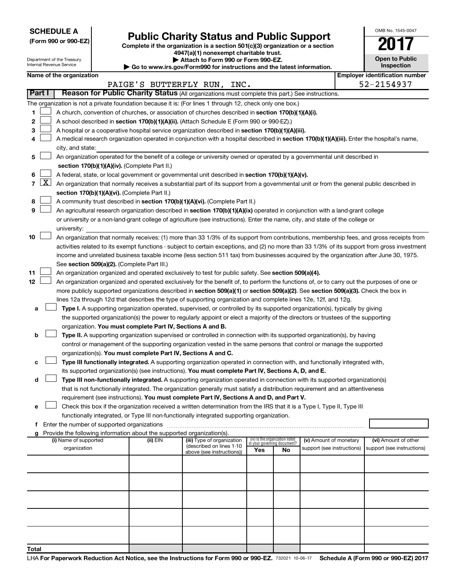**SCHEDULE A**

Department of the Treasury Internal Revenue Service

 $\mathsf{l}$ 

# Form 990 or 990-EZ) **Public Charity Status and Public Support**<br>
Complete if the organization is a section 501(c)(3) organization or a section<br> **2017**

**4947(a)(1) nonexempt charitable trust. | Attach to Form 990 or Form 990-EZ.** 

**| Go to www.irs.gov/Form990 for instructions and the latest information.**

| <b>Open to Public</b><br>Inspection |
|-------------------------------------|
|                                     |

OMB No. 1545-0047

| Name of the organization |  |
|--------------------------|--|
|--------------------------|--|

|                                                                                        |                                                                                                                                                                                                                                                                                                                                                                                                                                                                                                                                                                                                                                                                                                                                                                                                                                                                                                                                                                                                                                                                                                                                                                                                                                                                                                                                                                                                                                                                                                                                                                                                                                                                                                                                                                                                                                                                                                                                                                                                                                                                                                                                                                                                                                                                                                                                                                                             | Name of the organization                                                                                                                                                                                                                                                                                                                                                                                                                                                                                                                                                                                                                                                                                                                                                                                                            |          |                             |                                    |    |                                                      |  | <b>Employer identification number</b>              |
|----------------------------------------------------------------------------------------|---------------------------------------------------------------------------------------------------------------------------------------------------------------------------------------------------------------------------------------------------------------------------------------------------------------------------------------------------------------------------------------------------------------------------------------------------------------------------------------------------------------------------------------------------------------------------------------------------------------------------------------------------------------------------------------------------------------------------------------------------------------------------------------------------------------------------------------------------------------------------------------------------------------------------------------------------------------------------------------------------------------------------------------------------------------------------------------------------------------------------------------------------------------------------------------------------------------------------------------------------------------------------------------------------------------------------------------------------------------------------------------------------------------------------------------------------------------------------------------------------------------------------------------------------------------------------------------------------------------------------------------------------------------------------------------------------------------------------------------------------------------------------------------------------------------------------------------------------------------------------------------------------------------------------------------------------------------------------------------------------------------------------------------------------------------------------------------------------------------------------------------------------------------------------------------------------------------------------------------------------------------------------------------------------------------------------------------------------------------------------------------------|-------------------------------------------------------------------------------------------------------------------------------------------------------------------------------------------------------------------------------------------------------------------------------------------------------------------------------------------------------------------------------------------------------------------------------------------------------------------------------------------------------------------------------------------------------------------------------------------------------------------------------------------------------------------------------------------------------------------------------------------------------------------------------------------------------------------------------------|----------|-----------------------------|------------------------------------|----|------------------------------------------------------|--|----------------------------------------------------|
| Part I                                                                                 |                                                                                                                                                                                                                                                                                                                                                                                                                                                                                                                                                                                                                                                                                                                                                                                                                                                                                                                                                                                                                                                                                                                                                                                                                                                                                                                                                                                                                                                                                                                                                                                                                                                                                                                                                                                                                                                                                                                                                                                                                                                                                                                                                                                                                                                                                                                                                                                             | Reason for Public Charity Status (All organizations must complete this part.) See instructions.                                                                                                                                                                                                                                                                                                                                                                                                                                                                                                                                                                                                                                                                                                                                     |          | PAIGE'S BUTTERFLY RUN, INC. |                                    |    |                                                      |  | 52-2154937                                         |
|                                                                                        |                                                                                                                                                                                                                                                                                                                                                                                                                                                                                                                                                                                                                                                                                                                                                                                                                                                                                                                                                                                                                                                                                                                                                                                                                                                                                                                                                                                                                                                                                                                                                                                                                                                                                                                                                                                                                                                                                                                                                                                                                                                                                                                                                                                                                                                                                                                                                                                             |                                                                                                                                                                                                                                                                                                                                                                                                                                                                                                                                                                                                                                                                                                                                                                                                                                     |          |                             |                                    |    |                                                      |  |                                                    |
| 1<br>2<br>3<br>4                                                                       |                                                                                                                                                                                                                                                                                                                                                                                                                                                                                                                                                                                                                                                                                                                                                                                                                                                                                                                                                                                                                                                                                                                                                                                                                                                                                                                                                                                                                                                                                                                                                                                                                                                                                                                                                                                                                                                                                                                                                                                                                                                                                                                                                                                                                                                                                                                                                                                             | The organization is not a private foundation because it is: (For lines 1 through 12, check only one box.)<br>A church, convention of churches, or association of churches described in section 170(b)(1)(A)(i).<br>A school described in section 170(b)(1)(A)(ii). (Attach Schedule E (Form 990 or 990-EZ).)<br>A hospital or a cooperative hospital service organization described in section 170(b)(1)(A)(iii).<br>A medical research organization operated in conjunction with a hospital described in section 170(b)(1)(A)(iii). Enter the hospital's name,                                                                                                                                                                                                                                                                     |          |                             |                                    |    |                                                      |  |                                                    |
|                                                                                        |                                                                                                                                                                                                                                                                                                                                                                                                                                                                                                                                                                                                                                                                                                                                                                                                                                                                                                                                                                                                                                                                                                                                                                                                                                                                                                                                                                                                                                                                                                                                                                                                                                                                                                                                                                                                                                                                                                                                                                                                                                                                                                                                                                                                                                                                                                                                                                                             | city, and state:                                                                                                                                                                                                                                                                                                                                                                                                                                                                                                                                                                                                                                                                                                                                                                                                                    |          |                             |                                    |    |                                                      |  |                                                    |
| 5<br>6<br>$\overline{7}$<br>8<br>9                                                     |                                                                                                                                                                                                                                                                                                                                                                                                                                                                                                                                                                                                                                                                                                                                                                                                                                                                                                                                                                                                                                                                                                                                                                                                                                                                                                                                                                                                                                                                                                                                                                                                                                                                                                                                                                                                                                                                                                                                                                                                                                                                                                                                                                                                                                                                                                                                                                                             | An organization operated for the benefit of a college or university owned or operated by a governmental unit described in<br>section 170(b)(1)(A)(iv). (Complete Part II.)<br>A federal, state, or local government or governmental unit described in section 170(b)(1)(A)(v).<br>$X$ An organization that normally receives a substantial part of its support from a governmental unit or from the general public described in<br>section 170(b)(1)(A)(vi). (Complete Part II.)<br>A community trust described in section 170(b)(1)(A)(vi). (Complete Part II.)<br>An agricultural research organization described in section 170(b)(1)(A)(ix) operated in conjunction with a land-grant college<br>or university or a non-land-grant college of agriculture (see instructions). Enter the name, city, and state of the college or |          |                             |                                    |    |                                                      |  |                                                    |
| 10<br>11<br>12<br>а<br>b<br>с<br>d<br>Enter the number of supported organizations<br>f | university:<br>An organization that normally receives: (1) more than 33 1/3% of its support from contributions, membership fees, and gross receipts from<br>activities related to its exempt functions - subject to certain exceptions, and (2) no more than 33 1/3% of its support from gross investment<br>income and unrelated business taxable income (less section 511 tax) from businesses acquired by the organization after June 30, 1975.<br>See section 509(a)(2). (Complete Part III.)<br>An organization organized and operated exclusively to test for public safety. See section 509(a)(4).<br>An organization organized and operated exclusively for the benefit of, to perform the functions of, or to carry out the purposes of one or<br>more publicly supported organizations described in section 509(a)(1) or section 509(a)(2). See section 509(a)(3). Check the box in<br>lines 12a through 12d that describes the type of supporting organization and complete lines 12e, 12f, and 12g.<br>Type I. A supporting organization operated, supervised, or controlled by its supported organization(s), typically by giving<br>the supported organization(s) the power to regularly appoint or elect a majority of the directors or trustees of the supporting<br>organization. You must complete Part IV, Sections A and B.<br>Type II. A supporting organization supervised or controlled in connection with its supported organization(s), by having<br>control or management of the supporting organization vested in the same persons that control or manage the supported<br>organization(s). You must complete Part IV, Sections A and C.<br>Type III functionally integrated. A supporting organization operated in connection with, and functionally integrated with,<br>its supported organization(s) (see instructions). You must complete Part IV, Sections A, D, and E.<br>Type III non-functionally integrated. A supporting organization operated in connection with its supported organization(s)<br>that is not functionally integrated. The organization generally must satisfy a distribution requirement and an attentiveness<br>requirement (see instructions). You must complete Part IV, Sections A and D, and Part V.<br>Check this box if the organization received a written determination from the IRS that it is a Type I, Type II, Type III |                                                                                                                                                                                                                                                                                                                                                                                                                                                                                                                                                                                                                                                                                                                                                                                                                                     |          |                             |                                    |    |                                                      |  |                                                    |
|                                                                                        |                                                                                                                                                                                                                                                                                                                                                                                                                                                                                                                                                                                                                                                                                                                                                                                                                                                                                                                                                                                                                                                                                                                                                                                                                                                                                                                                                                                                                                                                                                                                                                                                                                                                                                                                                                                                                                                                                                                                                                                                                                                                                                                                                                                                                                                                                                                                                                                             | g Provide the following information about the supported organization(s).                                                                                                                                                                                                                                                                                                                                                                                                                                                                                                                                                                                                                                                                                                                                                            |          | (iii) Type of organization  | (iv) Is the organization listed    |    |                                                      |  |                                                    |
|                                                                                        |                                                                                                                                                                                                                                                                                                                                                                                                                                                                                                                                                                                                                                                                                                                                                                                                                                                                                                                                                                                                                                                                                                                                                                                                                                                                                                                                                                                                                                                                                                                                                                                                                                                                                                                                                                                                                                                                                                                                                                                                                                                                                                                                                                                                                                                                                                                                                                                             | (i) Name of supported<br>organization                                                                                                                                                                                                                                                                                                                                                                                                                                                                                                                                                                                                                                                                                                                                                                                               | (ii) EIN | (described on lines 1-10    | in your governing document?<br>Yes | No | (v) Amount of monetary<br>support (see instructions) |  | (vi) Amount of other<br>support (see instructions) |
|                                                                                        |                                                                                                                                                                                                                                                                                                                                                                                                                                                                                                                                                                                                                                                                                                                                                                                                                                                                                                                                                                                                                                                                                                                                                                                                                                                                                                                                                                                                                                                                                                                                                                                                                                                                                                                                                                                                                                                                                                                                                                                                                                                                                                                                                                                                                                                                                                                                                                                             |                                                                                                                                                                                                                                                                                                                                                                                                                                                                                                                                                                                                                                                                                                                                                                                                                                     |          | above (see instructions))   |                                    |    |                                                      |  |                                                    |
|                                                                                        |                                                                                                                                                                                                                                                                                                                                                                                                                                                                                                                                                                                                                                                                                                                                                                                                                                                                                                                                                                                                                                                                                                                                                                                                                                                                                                                                                                                                                                                                                                                                                                                                                                                                                                                                                                                                                                                                                                                                                                                                                                                                                                                                                                                                                                                                                                                                                                                             |                                                                                                                                                                                                                                                                                                                                                                                                                                                                                                                                                                                                                                                                                                                                                                                                                                     |          |                             |                                    |    |                                                      |  |                                                    |
|                                                                                        |                                                                                                                                                                                                                                                                                                                                                                                                                                                                                                                                                                                                                                                                                                                                                                                                                                                                                                                                                                                                                                                                                                                                                                                                                                                                                                                                                                                                                                                                                                                                                                                                                                                                                                                                                                                                                                                                                                                                                                                                                                                                                                                                                                                                                                                                                                                                                                                             |                                                                                                                                                                                                                                                                                                                                                                                                                                                                                                                                                                                                                                                                                                                                                                                                                                     |          |                             |                                    |    |                                                      |  |                                                    |
|                                                                                        |                                                                                                                                                                                                                                                                                                                                                                                                                                                                                                                                                                                                                                                                                                                                                                                                                                                                                                                                                                                                                                                                                                                                                                                                                                                                                                                                                                                                                                                                                                                                                                                                                                                                                                                                                                                                                                                                                                                                                                                                                                                                                                                                                                                                                                                                                                                                                                                             |                                                                                                                                                                                                                                                                                                                                                                                                                                                                                                                                                                                                                                                                                                                                                                                                                                     |          |                             |                                    |    |                                                      |  |                                                    |
|                                                                                        |                                                                                                                                                                                                                                                                                                                                                                                                                                                                                                                                                                                                                                                                                                                                                                                                                                                                                                                                                                                                                                                                                                                                                                                                                                                                                                                                                                                                                                                                                                                                                                                                                                                                                                                                                                                                                                                                                                                                                                                                                                                                                                                                                                                                                                                                                                                                                                                             |                                                                                                                                                                                                                                                                                                                                                                                                                                                                                                                                                                                                                                                                                                                                                                                                                                     |          |                             |                                    |    |                                                      |  |                                                    |
| <b>Total</b>                                                                           |                                                                                                                                                                                                                                                                                                                                                                                                                                                                                                                                                                                                                                                                                                                                                                                                                                                                                                                                                                                                                                                                                                                                                                                                                                                                                                                                                                                                                                                                                                                                                                                                                                                                                                                                                                                                                                                                                                                                                                                                                                                                                                                                                                                                                                                                                                                                                                                             |                                                                                                                                                                                                                                                                                                                                                                                                                                                                                                                                                                                                                                                                                                                                                                                                                                     |          |                             |                                    |    |                                                      |  |                                                    |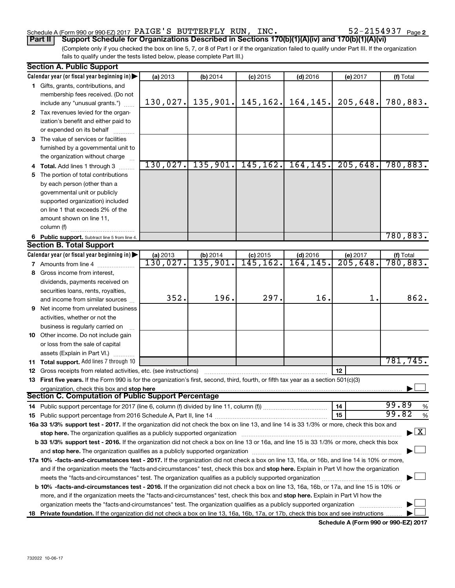# Schedule A (Form 990 or 990-EZ) 2017  $\verb|PAIGE'S|$   $\verb|BUTTERFLY|$   $\verb|RUN|$ ,  $\verb|INC|.$   $\verb|S2-2154937|$   $\verb|Page|$

52-2154937 Page 2

(Complete only if you checked the box on line 5, 7, or 8 of Part I or if the organization failed to qualify under Part III. If the organization fails to qualify under the tests listed below, please complete Part III.) **Part II Support Schedule for Organizations Described in Sections 170(b)(1)(A)(iv) and 170(b)(1)(A)(vi)**

|   | <b>Section A. Public Support</b>                                                                                                               |          |                       |            |            |          |                                          |
|---|------------------------------------------------------------------------------------------------------------------------------------------------|----------|-----------------------|------------|------------|----------|------------------------------------------|
|   | Calendar year (or fiscal year beginning in)                                                                                                    | (a) 2013 | (b) 2014              | $(c)$ 2015 | $(d)$ 2016 | (e) 2017 | (f) Total                                |
|   | 1 Gifts, grants, contributions, and                                                                                                            |          |                       |            |            |          |                                          |
|   | membership fees received. (Do not                                                                                                              |          |                       |            |            |          |                                          |
|   | include any "unusual grants.")                                                                                                                 | 130,027. | 135,901.              | 145, 162.  | 164,145.   | 205,648. | 780,883.                                 |
|   | 2 Tax revenues levied for the organ-                                                                                                           |          |                       |            |            |          |                                          |
|   | ization's benefit and either paid to                                                                                                           |          |                       |            |            |          |                                          |
|   | or expended on its behalf                                                                                                                      |          |                       |            |            |          |                                          |
|   | 3 The value of services or facilities                                                                                                          |          |                       |            |            |          |                                          |
|   | furnished by a governmental unit to                                                                                                            |          |                       |            |            |          |                                          |
|   | the organization without charge                                                                                                                |          |                       |            |            |          |                                          |
|   | 4 Total. Add lines 1 through 3                                                                                                                 |          | $130,027$ , 135, 901. | 145, 162.  | 164, 145.  | 205,648. | 780,883.                                 |
|   | 5 The portion of total contributions                                                                                                           |          |                       |            |            |          |                                          |
|   | by each person (other than a                                                                                                                   |          |                       |            |            |          |                                          |
|   | governmental unit or publicly                                                                                                                  |          |                       |            |            |          |                                          |
|   | supported organization) included                                                                                                               |          |                       |            |            |          |                                          |
|   | on line 1 that exceeds 2% of the                                                                                                               |          |                       |            |            |          |                                          |
|   | amount shown on line 11,                                                                                                                       |          |                       |            |            |          |                                          |
|   | column (f)                                                                                                                                     |          |                       |            |            |          |                                          |
|   | 6 Public support. Subtract line 5 from line 4.                                                                                                 |          |                       |            |            |          | 780,883.                                 |
|   | <b>Section B. Total Support</b>                                                                                                                |          |                       |            |            |          |                                          |
|   | Calendar year (or fiscal year beginning in)                                                                                                    | (a) 2013 | (b) 2014              | $(c)$ 2015 | $(d)$ 2016 | (e) 2017 | (f) Total                                |
|   | <b>7</b> Amounts from line 4                                                                                                                   | 130,027. | 135,901.              | 145, 162.  | 164, 145.  | 205,648. | $\overline{780,883.}$                    |
|   | 8 Gross income from interest,                                                                                                                  |          |                       |            |            |          |                                          |
|   | dividends, payments received on                                                                                                                |          |                       |            |            |          |                                          |
|   | securities loans, rents, royalties,                                                                                                            |          |                       |            |            |          |                                          |
|   | and income from similar sources                                                                                                                | 352.     | 196.                  | 297.       | 16.        | 1.       | 862.                                     |
| 9 | Net income from unrelated business                                                                                                             |          |                       |            |            |          |                                          |
|   | activities, whether or not the                                                                                                                 |          |                       |            |            |          |                                          |
|   | business is regularly carried on                                                                                                               |          |                       |            |            |          |                                          |
|   | 10 Other income. Do not include gain                                                                                                           |          |                       |            |            |          |                                          |
|   | or loss from the sale of capital                                                                                                               |          |                       |            |            |          |                                          |
|   | assets (Explain in Part VI.)                                                                                                                   |          |                       |            |            |          |                                          |
|   | 11 Total support. Add lines 7 through 10                                                                                                       |          |                       |            |            |          | 781,745.                                 |
|   | <b>12</b> Gross receipts from related activities, etc. (see instructions)                                                                      |          |                       |            |            | 12       |                                          |
|   | 13 First five years. If the Form 990 is for the organization's first, second, third, fourth, or fifth tax year as a section 501(c)(3)          |          |                       |            |            |          |                                          |
|   | organization, check this box and stop here                                                                                                     |          |                       |            |            |          |                                          |
|   | <b>Section C. Computation of Public Support Percentage</b>                                                                                     |          |                       |            |            |          |                                          |
|   |                                                                                                                                                |          |                       |            |            | 14       | 99.89<br>$\%$                            |
|   |                                                                                                                                                |          |                       |            |            | 15       | 99.82<br>$\%$                            |
|   | 16a 33 1/3% support test - 2017. If the organization did not check the box on line 13, and line 14 is 33 1/3% or more, check this box and      |          |                       |            |            |          |                                          |
|   |                                                                                                                                                |          |                       |            |            |          | $\blacktriangleright$ $\boxed{\text{X}}$ |
|   | b 33 1/3% support test - 2016. If the organization did not check a box on line 13 or 16a, and line 15 is 33 1/3% or more, check this box       |          |                       |            |            |          |                                          |
|   |                                                                                                                                                |          |                       |            |            |          |                                          |
|   | 17a 10% -facts-and-circumstances test - 2017. If the organization did not check a box on line 13, 16a, or 16b, and line 14 is 10% or more,     |          |                       |            |            |          |                                          |
|   | and if the organization meets the "facts-and-circumstances" test, check this box and stop here. Explain in Part VI how the organization        |          |                       |            |            |          |                                          |
|   |                                                                                                                                                |          |                       |            |            |          |                                          |
|   | <b>b 10%</b> -facts-and-circumstances test - 2016. If the organization did not check a box on line 13, 16a, 16b, or 17a, and line 15 is 10% or |          |                       |            |            |          |                                          |
|   | more, and if the organization meets the "facts-and-circumstances" test, check this box and stop here. Explain in Part VI how the               |          |                       |            |            |          |                                          |
|   | organization meets the "facts-and-circumstances" test. The organization qualifies as a publicly supported organization                         |          |                       |            |            |          |                                          |
|   | 18 Private foundation. If the organization did not check a box on line 13, 16a, 16b, 17a, or 17b, check this box and see instructions          |          |                       |            |            |          |                                          |
|   |                                                                                                                                                |          |                       |            |            |          |                                          |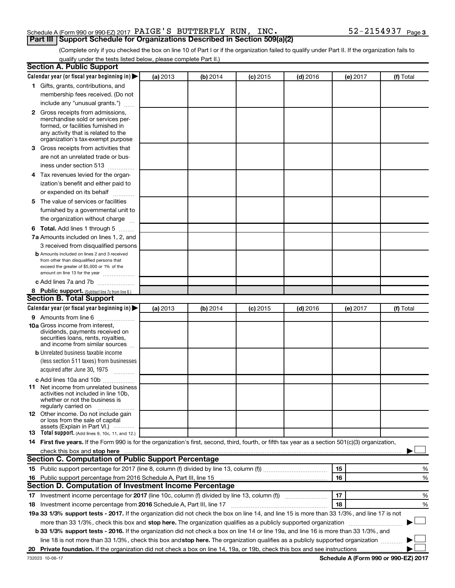# Schedule A (Form 990 or 990-EZ) 2017  $\verb|PAIGE'S|$   $\verb|BUTTERFLY|$   $\verb|RUN|$ ,  $\verb|INC|.$   $\verb|S2-2154937|$   $\verb|Page|$ **Part III Support Schedule for Organizations Described in Section 509(a)(2)**

(Complete only if you checked the box on line 10 of Part I or if the organization failed to qualify under Part II. If the organization fails to qualify under the tests listed below, please complete Part II.)

| <b>Section A. Public Support</b>                                                                                                                                                                                              |          |          |            |            |          |           |
|-------------------------------------------------------------------------------------------------------------------------------------------------------------------------------------------------------------------------------|----------|----------|------------|------------|----------|-----------|
| Calendar year (or fiscal year beginning in)                                                                                                                                                                                   | (a) 2013 | (b) 2014 | $(c)$ 2015 | $(d)$ 2016 | (e) 2017 | (f) Total |
| 1 Gifts, grants, contributions, and                                                                                                                                                                                           |          |          |            |            |          |           |
| membership fees received. (Do not                                                                                                                                                                                             |          |          |            |            |          |           |
| include any "unusual grants.")                                                                                                                                                                                                |          |          |            |            |          |           |
| 2 Gross receipts from admissions,                                                                                                                                                                                             |          |          |            |            |          |           |
| merchandise sold or services per-                                                                                                                                                                                             |          |          |            |            |          |           |
| formed, or facilities furnished in                                                                                                                                                                                            |          |          |            |            |          |           |
| any activity that is related to the<br>organization's tax-exempt purpose                                                                                                                                                      |          |          |            |            |          |           |
| 3 Gross receipts from activities that                                                                                                                                                                                         |          |          |            |            |          |           |
| are not an unrelated trade or bus-                                                                                                                                                                                            |          |          |            |            |          |           |
| iness under section 513                                                                                                                                                                                                       |          |          |            |            |          |           |
| 4 Tax revenues levied for the organ-                                                                                                                                                                                          |          |          |            |            |          |           |
| ization's benefit and either paid to                                                                                                                                                                                          |          |          |            |            |          |           |
| or expended on its behalf                                                                                                                                                                                                     |          |          |            |            |          |           |
| 5 The value of services or facilities                                                                                                                                                                                         |          |          |            |            |          |           |
| furnished by a governmental unit to                                                                                                                                                                                           |          |          |            |            |          |           |
| the organization without charge                                                                                                                                                                                               |          |          |            |            |          |           |
| <b>6 Total.</b> Add lines 1 through 5                                                                                                                                                                                         |          |          |            |            |          |           |
| 7a Amounts included on lines 1, 2, and                                                                                                                                                                                        |          |          |            |            |          |           |
| 3 received from disqualified persons                                                                                                                                                                                          |          |          |            |            |          |           |
| <b>b</b> Amounts included on lines 2 and 3 received                                                                                                                                                                           |          |          |            |            |          |           |
| from other than disqualified persons that                                                                                                                                                                                     |          |          |            |            |          |           |
| exceed the greater of \$5,000 or 1% of the                                                                                                                                                                                    |          |          |            |            |          |           |
| amount on line 13 for the year                                                                                                                                                                                                |          |          |            |            |          |           |
| c Add lines 7a and 7b                                                                                                                                                                                                         |          |          |            |            |          |           |
| 8 Public support. (Subtract line 7c from line 6.)<br><b>Section B. Total Support</b>                                                                                                                                          |          |          |            |            |          |           |
| Calendar year (or fiscal year beginning in)                                                                                                                                                                                   | (a) 2013 | (b) 2014 |            | $(d)$ 2016 |          | (f) Total |
| <b>9</b> Amounts from line 6                                                                                                                                                                                                  |          |          | (c) 2015   |            | (e) 2017 |           |
| <b>10a</b> Gross income from interest,                                                                                                                                                                                        |          |          |            |            |          |           |
| dividends, payments received on                                                                                                                                                                                               |          |          |            |            |          |           |
| securities loans, rents, royalties,                                                                                                                                                                                           |          |          |            |            |          |           |
| and income from similar sources                                                                                                                                                                                               |          |          |            |            |          |           |
| <b>b</b> Unrelated business taxable income                                                                                                                                                                                    |          |          |            |            |          |           |
| (less section 511 taxes) from businesses                                                                                                                                                                                      |          |          |            |            |          |           |
| acquired after June 30, 1975<br>$\frac{1}{2}$                                                                                                                                                                                 |          |          |            |            |          |           |
| c Add lines 10a and 10b                                                                                                                                                                                                       |          |          |            |            |          |           |
| 11 Net income from unrelated business<br>activities not included in line 10b.                                                                                                                                                 |          |          |            |            |          |           |
| whether or not the business is                                                                                                                                                                                                |          |          |            |            |          |           |
| regularly carried on                                                                                                                                                                                                          |          |          |            |            |          |           |
| <b>12</b> Other income. Do not include gain<br>or loss from the sale of capital                                                                                                                                               |          |          |            |            |          |           |
| assets (Explain in Part VI.)                                                                                                                                                                                                  |          |          |            |            |          |           |
| <b>13</b> Total support. (Add lines 9, 10c, 11, and 12.)                                                                                                                                                                      |          |          |            |            |          |           |
| 14 First five years. If the Form 990 is for the organization's first, second, third, fourth, or fifth tax year as a section 501(c)(3) organization,                                                                           |          |          |            |            |          |           |
| check this box and stop here measurements and stop here and stop here are constructed and stop here and stop here and stop here and stop here and stop here and stop here and stop here and stop here are all the stop of the |          |          |            |            |          |           |
| Section C. Computation of Public Support Percentage                                                                                                                                                                           |          |          |            |            |          |           |
|                                                                                                                                                                                                                               |          |          |            |            | 15       | %         |
| 16 Public support percentage from 2016 Schedule A, Part III, line 15                                                                                                                                                          |          |          |            |            | 16       | %         |
| Section D. Computation of Investment Income Percentage                                                                                                                                                                        |          |          |            |            |          |           |
|                                                                                                                                                                                                                               |          |          |            |            | 17       | %         |
| 18 Investment income percentage from 2016 Schedule A, Part III, line 17                                                                                                                                                       |          |          |            |            | 18       | %         |
| 19a 33 1/3% support tests - 2017. If the organization did not check the box on line 14, and line 15 is more than 33 1/3%, and line 17 is not                                                                                  |          |          |            |            |          |           |
| more than 33 1/3%, check this box and stop here. The organization qualifies as a publicly supported organization                                                                                                              |          |          |            |            |          |           |
| b 33 1/3% support tests - 2016. If the organization did not check a box on line 14 or line 19a, and line 16 is more than 33 1/3%, and                                                                                         |          |          |            |            |          |           |
| line 18 is not more than 33 1/3%, check this box and stop here. The organization qualifies as a publicly supported organization                                                                                               |          |          |            |            |          |           |
|                                                                                                                                                                                                                               |          |          |            |            |          |           |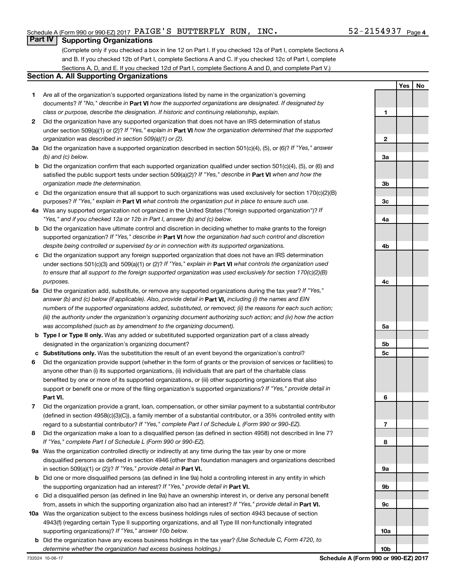**1**

**2**

**Yes No**

# **Part IV Supporting Organizations**

(Complete only if you checked a box in line 12 on Part I. If you checked 12a of Part I, complete Sections A and B. If you checked 12b of Part I, complete Sections A and C. If you checked 12c of Part I, complete Sections A, D, and E. If you checked 12d of Part I, complete Sections A and D, and complete Part V.)

### **Section A. All Supporting Organizations**

- **1** Are all of the organization's supported organizations listed by name in the organization's governing documents? If "No," describe in Part VI how the supported organizations are designated. If designated by *class or purpose, describe the designation. If historic and continuing relationship, explain.*
- **2** Did the organization have any supported organization that does not have an IRS determination of status under section 509(a)(1) or (2)? If "Yes," explain in Part **VI** how the organization determined that the supported *organization was described in section 509(a)(1) or (2).*
- **3a** Did the organization have a supported organization described in section 501(c)(4), (5), or (6)? If "Yes," answer *(b) and (c) below.*
- **b** Did the organization confirm that each supported organization qualified under section 501(c)(4), (5), or (6) and satisfied the public support tests under section 509(a)(2)? If "Yes," describe in Part VI when and how the *organization made the determination.*
- **c** Did the organization ensure that all support to such organizations was used exclusively for section 170(c)(2)(B) purposes? If "Yes," explain in Part VI what controls the organization put in place to ensure such use.
- **4 a** *If* Was any supported organization not organized in the United States ("foreign supported organization")? *"Yes," and if you checked 12a or 12b in Part I, answer (b) and (c) below.*
- **b** Did the organization have ultimate control and discretion in deciding whether to make grants to the foreign supported organization? If "Yes," describe in Part VI how the organization had such control and discretion *despite being controlled or supervised by or in connection with its supported organizations.*
- **c** Did the organization support any foreign supported organization that does not have an IRS determination under sections 501(c)(3) and 509(a)(1) or (2)? If "Yes," explain in Part VI what controls the organization used *to ensure that all support to the foreign supported organization was used exclusively for section 170(c)(2)(B) purposes.*
- **5a** Did the organization add, substitute, or remove any supported organizations during the tax year? If "Yes," answer (b) and (c) below (if applicable). Also, provide detail in **Part VI,** including (i) the names and EIN *numbers of the supported organizations added, substituted, or removed; (ii) the reasons for each such action; (iii) the authority under the organization's organizing document authorizing such action; and (iv) how the action was accomplished (such as by amendment to the organizing document).*
- **b Type I or Type II only.** Was any added or substituted supported organization part of a class already designated in the organization's organizing document?
- **c Substitutions only.**  Was the substitution the result of an event beyond the organization's control?
- **6** Did the organization provide support (whether in the form of grants or the provision of services or facilities) to **Part VI.** support or benefit one or more of the filing organization's supported organizations? If "Yes," provide detail in anyone other than (i) its supported organizations, (ii) individuals that are part of the charitable class benefited by one or more of its supported organizations, or (iii) other supporting organizations that also
- **7** Did the organization provide a grant, loan, compensation, or other similar payment to a substantial contributor regard to a substantial contributor? If "Yes," complete Part I of Schedule L (Form 990 or 990-EZ). (defined in section 4958(c)(3)(C)), a family member of a substantial contributor, or a 35% controlled entity with
- **8** Did the organization make a loan to a disqualified person (as defined in section 4958) not described in line 7? *If "Yes," complete Part I of Schedule L (Form 990 or 990-EZ).*
- **9 a** Was the organization controlled directly or indirectly at any time during the tax year by one or more in section 509(a)(1) or (2))? If "Yes," provide detail in **Part VI.** disqualified persons as defined in section 4946 (other than foundation managers and organizations described
- **b** Did one or more disqualified persons (as defined in line 9a) hold a controlling interest in any entity in which the supporting organization had an interest? If "Yes," provide detail in Part VI.
- **c** Did a disqualified person (as defined in line 9a) have an ownership interest in, or derive any personal benefit from, assets in which the supporting organization also had an interest? If "Yes," provide detail in Part VI.
- **10 a** Was the organization subject to the excess business holdings rules of section 4943 because of section supporting organizations)? If "Yes," answer 10b below. 4943(f) (regarding certain Type II supporting organizations, and all Type III non-functionally integrated
	- **b** Did the organization have any excess business holdings in the tax year? (Use Schedule C, Form 4720, to *determine whether the organization had excess business holdings.)*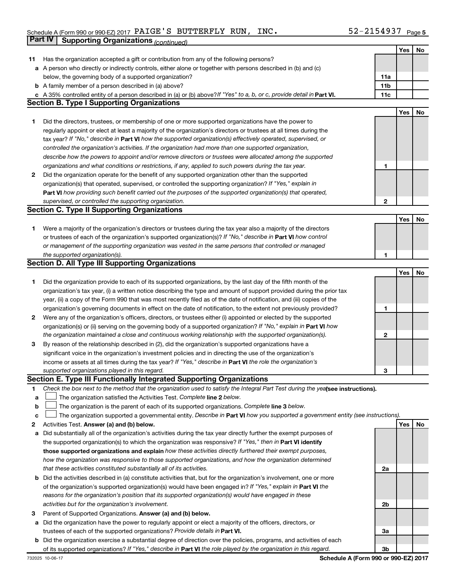#### Schedule A (Form 990 or 990-EZ) 2017 PAIGE S BUTTERFLY RUN, INC 。 5 Z-ZI54 Y3 / Page PAIGE'S BUTTERFLY RUN, INC. 52-2154937

|        | Part IV<br><b>Supporting Organizations (continued)</b>                                                                                                                                                                           |                 |     |    |
|--------|----------------------------------------------------------------------------------------------------------------------------------------------------------------------------------------------------------------------------------|-----------------|-----|----|
|        |                                                                                                                                                                                                                                  |                 | Yes | No |
| 11     | Has the organization accepted a gift or contribution from any of the following persons?                                                                                                                                          |                 |     |    |
|        | a A person who directly or indirectly controls, either alone or together with persons described in (b) and (c)                                                                                                                   |                 |     |    |
|        | below, the governing body of a supported organization?                                                                                                                                                                           | 11a             |     |    |
|        | <b>b</b> A family member of a person described in (a) above?                                                                                                                                                                     | 11 <sub>b</sub> |     |    |
|        | c A 35% controlled entity of a person described in (a) or (b) above? If "Yes" to a, b, or c, provide detail in Part VI.                                                                                                          | 11c             |     |    |
|        | <b>Section B. Type I Supporting Organizations</b>                                                                                                                                                                                |                 |     |    |
|        |                                                                                                                                                                                                                                  |                 | Yes | No |
| 1      | Did the directors, trustees, or membership of one or more supported organizations have the power to                                                                                                                              |                 |     |    |
|        | regularly appoint or elect at least a majority of the organization's directors or trustees at all times during the                                                                                                               |                 |     |    |
|        | tax year? If "No," describe in Part VI how the supported organization(s) effectively operated, supervised, or                                                                                                                    |                 |     |    |
|        | controlled the organization's activities. If the organization had more than one supported organization,                                                                                                                          |                 |     |    |
|        | describe how the powers to appoint and/or remove directors or trustees were allocated among the supported                                                                                                                        |                 |     |    |
|        | organizations and what conditions or restrictions, if any, applied to such powers during the tax year.                                                                                                                           | 1               |     |    |
| 2      | Did the organization operate for the benefit of any supported organization other than the supported                                                                                                                              |                 |     |    |
|        | organization(s) that operated, supervised, or controlled the supporting organization? If "Yes," explain in                                                                                                                       |                 |     |    |
|        | Part VI how providing such benefit carried out the purposes of the supported organization(s) that operated,                                                                                                                      |                 |     |    |
|        | supervised, or controlled the supporting organization.                                                                                                                                                                           | $\mathbf{2}$    |     |    |
|        | <b>Section C. Type II Supporting Organizations</b>                                                                                                                                                                               |                 |     |    |
|        |                                                                                                                                                                                                                                  |                 | Yes | No |
| 1.     | Were a majority of the organization's directors or trustees during the tax year also a majority of the directors                                                                                                                 |                 |     |    |
|        | or trustees of each of the organization's supported organization(s)? If "No," describe in Part VI how control                                                                                                                    |                 |     |    |
|        | or management of the supporting organization was vested in the same persons that controlled or managed                                                                                                                           |                 |     |    |
|        | the supported organization(s).                                                                                                                                                                                                   | 1               |     |    |
|        | <b>Section D. All Type III Supporting Organizations</b>                                                                                                                                                                          |                 |     |    |
|        |                                                                                                                                                                                                                                  |                 | Yes | No |
| 1      | Did the organization provide to each of its supported organizations, by the last day of the fifth month of the                                                                                                                   |                 |     |    |
|        | organization's tax year, (i) a written notice describing the type and amount of support provided during the prior tax                                                                                                            |                 |     |    |
|        | year, (ii) a copy of the Form 990 that was most recently filed as of the date of notification, and (iii) copies of the                                                                                                           |                 |     |    |
|        | organization's governing documents in effect on the date of notification, to the extent not previously provided?                                                                                                                 | 1               |     |    |
| 2      | Were any of the organization's officers, directors, or trustees either (i) appointed or elected by the supported                                                                                                                 |                 |     |    |
|        | organization(s) or (ii) serving on the governing body of a supported organization? If "No," explain in Part VI how                                                                                                               |                 |     |    |
|        | the organization maintained a close and continuous working relationship with the supported organization(s).                                                                                                                      | 2               |     |    |
| 3      | By reason of the relationship described in (2), did the organization's supported organizations have a                                                                                                                            |                 |     |    |
|        | significant voice in the organization's investment policies and in directing the use of the organization's                                                                                                                       |                 |     |    |
|        | income or assets at all times during the tax year? If "Yes," describe in Part VI the role the organization's                                                                                                                     |                 |     |    |
|        | supported organizations played in this regard.                                                                                                                                                                                   | З               |     |    |
|        | Section E. Type III Functionally Integrated Supporting Organizations                                                                                                                                                             |                 |     |    |
| 1      | Check the box next to the method that the organization used to satisfy the Integral Part Test during the yealsee instructions).<br>The organization satisfied the Activities Test. Complete line 2 below.                        |                 |     |    |
| а      |                                                                                                                                                                                                                                  |                 |     |    |
| b      | The organization is the parent of each of its supported organizations. Complete line 3 below.<br>The organization supported a governmental entity. Describe in Part VI how you supported a government entity (see instructions). |                 |     |    |
| с<br>2 | Activities Test. Answer (a) and (b) below.                                                                                                                                                                                       |                 | Yes | No |
|        | Did substantially all of the organization's activities during the tax year directly further the exempt purposes of                                                                                                               |                 |     |    |
| а      | the supported organization(s) to which the organization was responsive? If "Yes," then in Part VI identify                                                                                                                       |                 |     |    |
|        | those supported organizations and explain how these activities directly furthered their exempt purposes,                                                                                                                         |                 |     |    |
|        | how the organization was responsive to those supported organizations, and how the organization determined                                                                                                                        |                 |     |    |
|        | that these activities constituted substantially all of its activities.                                                                                                                                                           | 2a              |     |    |
| b      | Did the activities described in (a) constitute activities that, but for the organization's involvement, one or more                                                                                                              |                 |     |    |
|        | of the organization's supported organization(s) would have been engaged in? If "Yes," explain in Part VI the                                                                                                                     |                 |     |    |
|        | reasons for the organization's position that its supported organization(s) would have engaged in these                                                                                                                           |                 |     |    |
|        | activities but for the organization's involvement.                                                                                                                                                                               | 2b              |     |    |
| 3      | Parent of Supported Organizations. Answer (a) and (b) below.                                                                                                                                                                     |                 |     |    |
| а      | Did the organization have the power to regularly appoint or elect a majority of the officers, directors, or                                                                                                                      |                 |     |    |
|        | trustees of each of the supported organizations? Provide details in Part VI.                                                                                                                                                     | За              |     |    |
| b      | Did the organization exercise a substantial degree of direction over the policies, programs, and activities of each                                                                                                              |                 |     |    |
|        | of its supported organizations? If "Yes," describe in Part VI the role played by the organization in this regard.                                                                                                                | 3b              |     |    |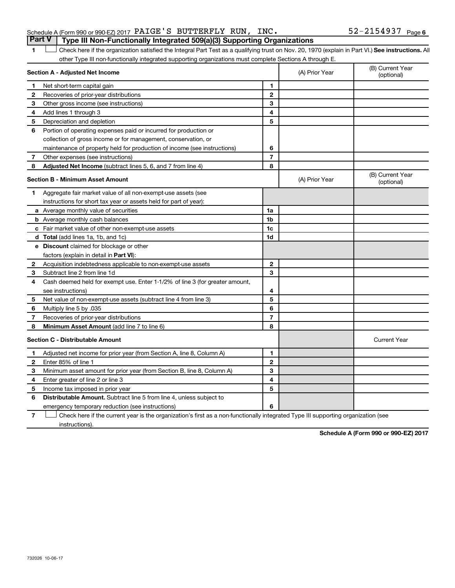1 **Letter See instructions.** All Check here if the organization satisfied the Integral Part Test as a qualifying trust on Nov. 20, 1970 (explain in Part VI.) See instructions. All other Type III non-functionally integrated supporting organizations must complete Sections A through E.

|                | Section A - Adjusted Net Income                                              |                | (A) Prior Year | (B) Current Year<br>(optional) |
|----------------|------------------------------------------------------------------------------|----------------|----------------|--------------------------------|
| 1              | Net short-term capital gain                                                  | 1              |                |                                |
| $\mathbf{2}$   | Recoveries of prior-year distributions                                       | $\mathbf{2}$   |                |                                |
| З              | Other gross income (see instructions)                                        | 3              |                |                                |
| 4              | Add lines 1 through 3                                                        | 4              |                |                                |
| 5              | Depreciation and depletion                                                   | 5              |                |                                |
| 6              | Portion of operating expenses paid or incurred for production or             |                |                |                                |
|                | collection of gross income or for management, conservation, or               |                |                |                                |
|                | maintenance of property held for production of income (see instructions)     | 6              |                |                                |
| 7              | Other expenses (see instructions)                                            | $\overline{7}$ |                |                                |
| 8              | Adjusted Net Income (subtract lines 5, 6, and 7 from line 4)                 | 8              |                |                                |
|                | <b>Section B - Minimum Asset Amount</b>                                      |                | (A) Prior Year | (B) Current Year<br>(optional) |
| 1              | Aggregate fair market value of all non-exempt-use assets (see                |                |                |                                |
|                | instructions for short tax year or assets held for part of year):            |                |                |                                |
|                | a Average monthly value of securities                                        | 1a             |                |                                |
|                | <b>b</b> Average monthly cash balances                                       | 1b             |                |                                |
|                | <b>c</b> Fair market value of other non-exempt-use assets                    | 1c             |                |                                |
|                | d Total (add lines 1a, 1b, and 1c)                                           | 1 <sub>d</sub> |                |                                |
|                | e Discount claimed for blockage or other                                     |                |                |                                |
|                | factors (explain in detail in Part VI):                                      |                |                |                                |
| $\mathbf{2}$   | Acquisition indebtedness applicable to non-exempt-use assets                 | $\mathbf{2}$   |                |                                |
| 3              | Subtract line 2 from line 1d                                                 | 3              |                |                                |
| 4              | Cash deemed held for exempt use. Enter 1-1/2% of line 3 (for greater amount, |                |                |                                |
|                | see instructions)                                                            | 4              |                |                                |
| 5              | Net value of non-exempt-use assets (subtract line 4 from line 3)             | 5              |                |                                |
| 6              | Multiply line 5 by .035                                                      | 6              |                |                                |
| 7              | Recoveries of prior-year distributions                                       | $\overline{7}$ |                |                                |
| 8              | <b>Minimum Asset Amount (add line 7 to line 6)</b>                           | 8              |                |                                |
|                | <b>Section C - Distributable Amount</b>                                      |                |                | <b>Current Year</b>            |
| 1              | Adjusted net income for prior year (from Section A, line 8, Column A)        | 1              |                |                                |
| $\overline{2}$ | Enter 85% of line 1                                                          | $\overline{2}$ |                |                                |
| 3              | Minimum asset amount for prior year (from Section B, line 8, Column A)       | 3              |                |                                |
| 4              | Enter greater of line 2 or line 3                                            | 4              |                |                                |
| 5              | Income tax imposed in prior year                                             | 5              |                |                                |
| 6              | <b>Distributable Amount.</b> Subtract line 5 from line 4, unless subject to  |                |                |                                |
|                | emergency temporary reduction (see instructions)                             | 6              |                |                                |

**7** Let Check here if the current year is the organization's first as a non-functionally integrated Type III supporting organization (see instructions).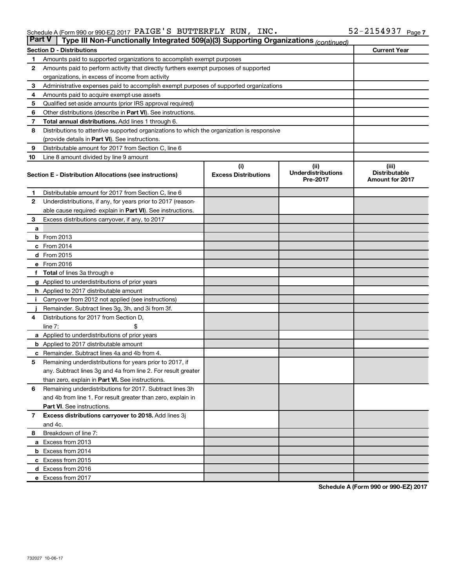| <b>Part V</b> | Type III Non-Functionally Integrated 509(a)(3) Supporting Organizations (continued)        |                             |                                       |                                                |  |  |  |  |  |
|---------------|--------------------------------------------------------------------------------------------|-----------------------------|---------------------------------------|------------------------------------------------|--|--|--|--|--|
|               | <b>Section D - Distributions</b>                                                           |                             |                                       | <b>Current Year</b>                            |  |  |  |  |  |
| 1             | Amounts paid to supported organizations to accomplish exempt purposes                      |                             |                                       |                                                |  |  |  |  |  |
| $\mathbf{2}$  | Amounts paid to perform activity that directly furthers exempt purposes of supported       |                             |                                       |                                                |  |  |  |  |  |
|               | organizations, in excess of income from activity                                           |                             |                                       |                                                |  |  |  |  |  |
| 3             | Administrative expenses paid to accomplish exempt purposes of supported organizations      |                             |                                       |                                                |  |  |  |  |  |
| 4             | Amounts paid to acquire exempt-use assets                                                  |                             |                                       |                                                |  |  |  |  |  |
| 5             | Qualified set-aside amounts (prior IRS approval required)                                  |                             |                                       |                                                |  |  |  |  |  |
| 6             | Other distributions (describe in <b>Part VI</b> ). See instructions.                       |                             |                                       |                                                |  |  |  |  |  |
| 7             | Total annual distributions. Add lines 1 through 6.                                         |                             |                                       |                                                |  |  |  |  |  |
| 8             | Distributions to attentive supported organizations to which the organization is responsive |                             |                                       |                                                |  |  |  |  |  |
|               | (provide details in Part VI). See instructions.                                            |                             |                                       |                                                |  |  |  |  |  |
| 9             | Distributable amount for 2017 from Section C, line 6                                       |                             |                                       |                                                |  |  |  |  |  |
| 10            | Line 8 amount divided by line 9 amount                                                     |                             |                                       |                                                |  |  |  |  |  |
|               |                                                                                            | (i)                         | (ii)                                  | (iii)                                          |  |  |  |  |  |
|               | Section E - Distribution Allocations (see instructions)                                    | <b>Excess Distributions</b> | <b>Underdistributions</b><br>Pre-2017 | <b>Distributable</b><br><b>Amount for 2017</b> |  |  |  |  |  |
| 1             | Distributable amount for 2017 from Section C, line 6                                       |                             |                                       |                                                |  |  |  |  |  |
| $\mathbf{2}$  | Underdistributions, if any, for years prior to 2017 (reason-                               |                             |                                       |                                                |  |  |  |  |  |
|               | able cause required- explain in Part VI). See instructions.                                |                             |                                       |                                                |  |  |  |  |  |
| 3             | Excess distributions carryover, if any, to 2017                                            |                             |                                       |                                                |  |  |  |  |  |
| a             |                                                                                            |                             |                                       |                                                |  |  |  |  |  |
|               | <b>b</b> From 2013                                                                         |                             |                                       |                                                |  |  |  |  |  |
|               | c From 2014                                                                                |                             |                                       |                                                |  |  |  |  |  |
|               | d From 2015                                                                                |                             |                                       |                                                |  |  |  |  |  |
|               | e From 2016                                                                                |                             |                                       |                                                |  |  |  |  |  |
|               | f Total of lines 3a through e                                                              |                             |                                       |                                                |  |  |  |  |  |
|               | <b>g</b> Applied to underdistributions of prior years                                      |                             |                                       |                                                |  |  |  |  |  |
|               | h Applied to 2017 distributable amount                                                     |                             |                                       |                                                |  |  |  |  |  |
| Ť.            | Carryover from 2012 not applied (see instructions)                                         |                             |                                       |                                                |  |  |  |  |  |
|               | Remainder. Subtract lines 3g, 3h, and 3i from 3f.                                          |                             |                                       |                                                |  |  |  |  |  |
| 4             | Distributions for 2017 from Section D,                                                     |                             |                                       |                                                |  |  |  |  |  |
|               | line $7:$                                                                                  |                             |                                       |                                                |  |  |  |  |  |
|               | a Applied to underdistributions of prior years                                             |                             |                                       |                                                |  |  |  |  |  |
|               | <b>b</b> Applied to 2017 distributable amount                                              |                             |                                       |                                                |  |  |  |  |  |
| с             | Remainder. Subtract lines 4a and 4b from 4.                                                |                             |                                       |                                                |  |  |  |  |  |
| 5             | Remaining underdistributions for years prior to 2017, if                                   |                             |                                       |                                                |  |  |  |  |  |
|               | any. Subtract lines 3g and 4a from line 2. For result greater                              |                             |                                       |                                                |  |  |  |  |  |
|               | than zero, explain in Part VI. See instructions.                                           |                             |                                       |                                                |  |  |  |  |  |
| 6             | Remaining underdistributions for 2017. Subtract lines 3h                                   |                             |                                       |                                                |  |  |  |  |  |
|               | and 4b from line 1. For result greater than zero, explain in                               |                             |                                       |                                                |  |  |  |  |  |
|               | <b>Part VI.</b> See instructions.                                                          |                             |                                       |                                                |  |  |  |  |  |
| $\mathbf{7}$  | Excess distributions carryover to 2018. Add lines 3j                                       |                             |                                       |                                                |  |  |  |  |  |
|               | and 4c.                                                                                    |                             |                                       |                                                |  |  |  |  |  |
| 8             | Breakdown of line 7:                                                                       |                             |                                       |                                                |  |  |  |  |  |
|               | a Excess from 2013                                                                         |                             |                                       |                                                |  |  |  |  |  |
|               | <b>b</b> Excess from 2014                                                                  |                             |                                       |                                                |  |  |  |  |  |
|               | c Excess from 2015                                                                         |                             |                                       |                                                |  |  |  |  |  |
|               | d Excess from 2016                                                                         |                             |                                       |                                                |  |  |  |  |  |
|               | e Excess from 2017                                                                         |                             |                                       |                                                |  |  |  |  |  |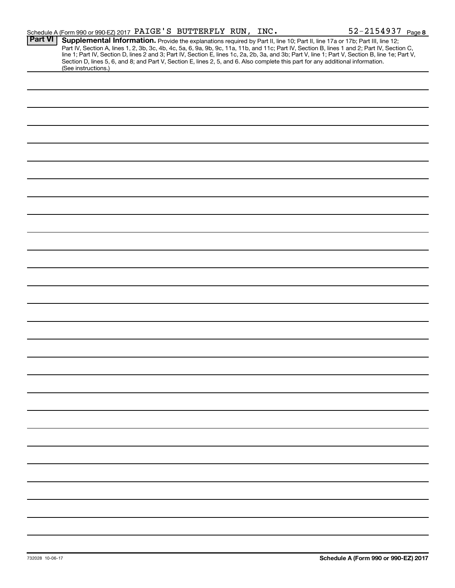|                | Schedule A (Form 990 or 990-EZ) 2017 PAIGE'S BUTTERFLY RUN, INC.                                                                                       |  |  | 52-2154937 Page 8                                                                                                                                                                                                                                                                                                                                              |
|----------------|--------------------------------------------------------------------------------------------------------------------------------------------------------|--|--|----------------------------------------------------------------------------------------------------------------------------------------------------------------------------------------------------------------------------------------------------------------------------------------------------------------------------------------------------------------|
| <b>Part VI</b> | Section D, lines 5, 6, and 8; and Part V, Section E, lines 2, 5, and 6. Also complete this part for any additional information.<br>(See instructions.) |  |  | Supplemental Information. Provide the explanations required by Part II, line 10; Part II, line 17a or 17b; Part III, line 12;<br>Part IV, Section A, lines 1, 2, 3b, 3c, 4b, 4c, 5a, 6, 9a, 9b, 9c, 11a, 11b, and 11c; Part IV, Section B, lines 1 and 2; Part IV, Section C, line 1; Part IV, Section D, lines 2 and 3; Part IV, Section E, lines 1c, 2a, 2b, |
|                |                                                                                                                                                        |  |  |                                                                                                                                                                                                                                                                                                                                                                |
|                |                                                                                                                                                        |  |  |                                                                                                                                                                                                                                                                                                                                                                |
|                |                                                                                                                                                        |  |  |                                                                                                                                                                                                                                                                                                                                                                |
|                |                                                                                                                                                        |  |  |                                                                                                                                                                                                                                                                                                                                                                |
|                |                                                                                                                                                        |  |  |                                                                                                                                                                                                                                                                                                                                                                |
|                |                                                                                                                                                        |  |  |                                                                                                                                                                                                                                                                                                                                                                |
|                |                                                                                                                                                        |  |  |                                                                                                                                                                                                                                                                                                                                                                |
|                |                                                                                                                                                        |  |  |                                                                                                                                                                                                                                                                                                                                                                |
|                |                                                                                                                                                        |  |  |                                                                                                                                                                                                                                                                                                                                                                |
|                |                                                                                                                                                        |  |  |                                                                                                                                                                                                                                                                                                                                                                |
|                |                                                                                                                                                        |  |  |                                                                                                                                                                                                                                                                                                                                                                |
|                |                                                                                                                                                        |  |  |                                                                                                                                                                                                                                                                                                                                                                |
|                |                                                                                                                                                        |  |  |                                                                                                                                                                                                                                                                                                                                                                |
|                |                                                                                                                                                        |  |  |                                                                                                                                                                                                                                                                                                                                                                |
|                |                                                                                                                                                        |  |  |                                                                                                                                                                                                                                                                                                                                                                |
|                |                                                                                                                                                        |  |  |                                                                                                                                                                                                                                                                                                                                                                |
|                |                                                                                                                                                        |  |  |                                                                                                                                                                                                                                                                                                                                                                |
|                |                                                                                                                                                        |  |  |                                                                                                                                                                                                                                                                                                                                                                |
|                |                                                                                                                                                        |  |  |                                                                                                                                                                                                                                                                                                                                                                |
|                |                                                                                                                                                        |  |  |                                                                                                                                                                                                                                                                                                                                                                |
|                |                                                                                                                                                        |  |  |                                                                                                                                                                                                                                                                                                                                                                |
|                |                                                                                                                                                        |  |  |                                                                                                                                                                                                                                                                                                                                                                |
|                |                                                                                                                                                        |  |  |                                                                                                                                                                                                                                                                                                                                                                |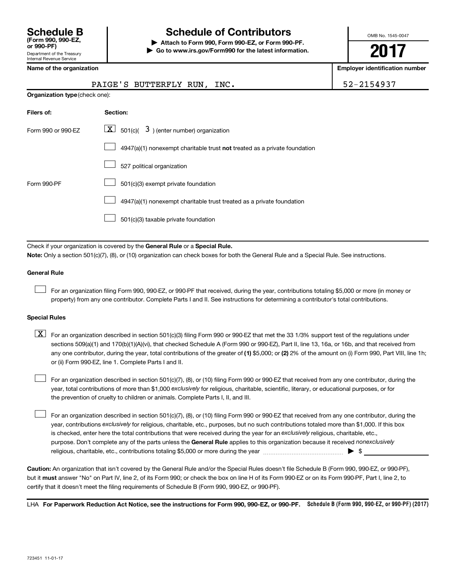# **Schedule B Schedule of Contributors**

**or 990-PF) | Attach to Form 990, Form 990-EZ, or Form 990-PF. | Go to www.irs.gov/Form990 for the latest information.** OMB No. 1545-0047

**2017**

**Name of the organization Employer identification number**

|                                       | PAIGE'S BUTTERFLY RUN, INC.                                                                                                                                                                                               | 52-2154937 |
|---------------------------------------|---------------------------------------------------------------------------------------------------------------------------------------------------------------------------------------------------------------------------|------------|
| <b>Organization type (check one):</b> |                                                                                                                                                                                                                           |            |
| Filers of:                            | Section:                                                                                                                                                                                                                  |            |
| Form 990 or 990-EZ                    | $\lfloor \underline{X} \rfloor$ 501(c)( 3) (enter number) organization                                                                                                                                                    |            |
|                                       | $4947(a)(1)$ nonexempt charitable trust not treated as a private foundation                                                                                                                                               |            |
|                                       | 527 political organization                                                                                                                                                                                                |            |
| Form 990-PF                           | 501(c)(3) exempt private foundation                                                                                                                                                                                       |            |
|                                       | 4947(a)(1) nonexempt charitable trust treated as a private foundation                                                                                                                                                     |            |
|                                       | 501(c)(3) taxable private foundation                                                                                                                                                                                      |            |
|                                       |                                                                                                                                                                                                                           |            |
|                                       | Check if your organization is covered by the General Rule or a Special Rule.<br>Note: Only a section 501(c)(7), (8), or (10) organization can check boxes for both the General Rule and a Special Rule. See instructions, |            |
|                                       |                                                                                                                                                                                                                           |            |

### **General Rule**

 $\Box$ 

For an organization filing Form 990, 990-EZ, or 990-PF that received, during the year, contributions totaling \$5,000 or more (in money or property) from any one contributor. Complete Parts I and II. See instructions for determining a contributor's total contributions.

### **Special Rules**

any one contributor, during the year, total contributions of the greater of (1) \$5,000; or (2) 2% of the amount on (i) Form 990, Part VIII, line 1h;  $\boxed{\text{X}}$  For an organization described in section 501(c)(3) filing Form 990 or 990-EZ that met the 33 1/3% support test of the regulations under sections 509(a)(1) and 170(b)(1)(A)(vi), that checked Schedule A (Form 990 or 990-EZ), Part II, line 13, 16a, or 16b, and that received from or (ii) Form 990-EZ, line 1. Complete Parts I and II.

year, total contributions of more than \$1,000 *exclusively* for religious, charitable, scientific, literary, or educational purposes, or for For an organization described in section 501(c)(7), (8), or (10) filing Form 990 or 990-EZ that received from any one contributor, during the the prevention of cruelty to children or animals. Complete Parts I, II, and III.  $\Box$ 

purpose. Don't complete any of the parts unless the General Rule applies to this organization because it received nonexclusively year, contributions exclusively for religious, charitable, etc., purposes, but no such contributions totaled more than \$1,000. If this box is checked, enter here the total contributions that were received during the year for an exclusively religious, charitable, etc., For an organization described in section 501(c)(7), (8), or (10) filing Form 990 or 990-EZ that received from any one contributor, during the religious, charitable, etc., contributions totaling \$5,000 or more during the year  $\ldots$  $\ldots$  $\ldots$  $\ldots$  $\ldots$  $\ldots$  $\Box$ 

**Caution:**  An organization that isn't covered by the General Rule and/or the Special Rules doesn't file Schedule B (Form 990, 990-EZ, or 990-PF),  **must** but it answer "No" on Part IV, line 2, of its Form 990; or check the box on line H of its Form 990-EZ or on its Form 990-PF, Part I, line 2, to certify that it doesn't meet the filing requirements of Schedule B (Form 990, 990-EZ, or 990-PF).

LHA For Paperwork Reduction Act Notice, see the instructions for Form 990, 990-EZ, or 990-PF. Schedule B (Form 990, 990-EZ, or 990-PF) (2017)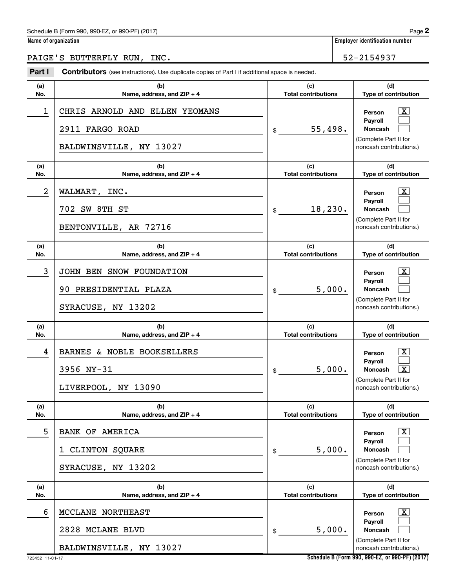# Schedule B (Form 990, 990-EZ, or 990-PF) (2017)

|  | Name of organization |  |
|--|----------------------|--|
|  |                      |  |

**Name of organization Employer identification number** 

PAIGE'S BUTTERFLY RUN, INC. 52-2154937

| Part I     | <b>Contributors</b> (see instructions). Use duplicate copies of Part I if additional space is needed. |                                   |                                                                                                                                                                       |
|------------|-------------------------------------------------------------------------------------------------------|-----------------------------------|-----------------------------------------------------------------------------------------------------------------------------------------------------------------------|
| (a)<br>No. | (b)<br>Name, address, and ZIP + 4                                                                     | (c)<br><b>Total contributions</b> | (d)<br>Type of contribution                                                                                                                                           |
| 1          | CHRIS ARNOLD AND ELLEN YEOMANS<br>2911 FARGO ROAD<br>BALDWINSVILLE, NY 13027                          | 55,498.<br>\$                     | $\mathbf{X}$<br>Person<br>Pavroll<br><b>Noncash</b><br>(Complete Part II for<br>noncash contributions.)                                                               |
| (a)<br>No. | (b)<br>Name, address, and ZIP + 4                                                                     | (c)<br><b>Total contributions</b> | (d)<br>Type of contribution                                                                                                                                           |
| 2          | WALMART, INC.<br>702 SW 8TH ST<br>BENTONVILLE, AR 72716                                               | 18,230.<br>\$                     | $\mathbf{X}$<br>Person<br>Payroll<br>Noncash<br>(Complete Part II for<br>noncash contributions.)                                                                      |
| (a)<br>No. | (b)<br>Name, address, and ZIP + 4                                                                     | (c)<br><b>Total contributions</b> | (d)<br>Type of contribution                                                                                                                                           |
| 3          | JOHN BEN SNOW FOUNDATION<br>90 PRESIDENTIAL PLAZA<br>SYRACUSE, NY 13202                               | 5,000.<br>\$                      | $\overline{\mathbf{X}}$<br>Person<br>Payroll<br>Noncash<br>(Complete Part II for<br>noncash contributions.)                                                           |
| (a)<br>No. | (b)                                                                                                   | (c)<br><b>Total contributions</b> | (d)                                                                                                                                                                   |
| 4          | Name, address, and ZIP + 4<br>BARNES & NOBLE BOOKSELLERS<br>3956 NY-31<br>LIVERPOOL, NY 13090         | 5,000.<br>\$                      | Type of contribution<br>$\overline{\mathbf{X}}$<br>Person<br>Payroll<br>$\overline{\mathbf{x}}$<br><b>Noncash</b><br>(Complete Part II for<br>noncash contributions.) |
| (a)<br>No. | (b)<br>Name, address, and ZIP + 4                                                                     | (c)<br><b>Total contributions</b> | (d)<br>Type of contribution                                                                                                                                           |
| 5          | <b>BANK OF AMERICA</b><br>CLINTON SQUARE<br>SYRACUSE, NY 13202                                        | 5,000.<br>\$                      | $\mathbf{X}$<br>Person<br>Payroll<br>Noncash<br>(Complete Part II for<br>noncash contributions.)                                                                      |
| (a)<br>No. | (b)<br>Name, address, and ZIP + 4                                                                     | (c)<br><b>Total contributions</b> | (d)<br>Type of contribution                                                                                                                                           |
| 6          | MCCLANE NORTHEAST<br>2828 MCLANE BLVD<br>BALDWINSVILLE, NY 13027                                      | 5,000.<br>\$                      | $\mathbf{X}$<br>Person<br><b>Payroll</b><br>Noncash<br>(Complete Part II for<br>noncash contributions.)                                                               |

**Schedule B (Form 990, 990-EZ, or 990-PF) (2017)**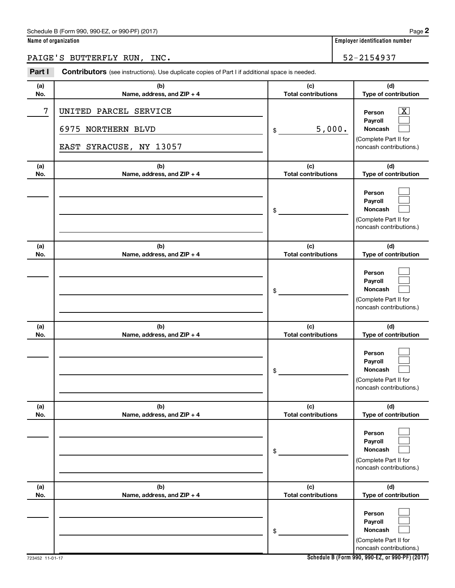# Schedule B (Form 990, 990-EZ, or 990-PF) (2017)

|  | Name of organization |
|--|----------------------|
|  |                      |

# PAIGE'S BUTTERFLY RUN, INC. 52-2154937

| Part I     | Contributors (see instructions). Use duplicate copies of Part I if additional space is needed. |                                   |                                                                                                             |  |  |  |
|------------|------------------------------------------------------------------------------------------------|-----------------------------------|-------------------------------------------------------------------------------------------------------------|--|--|--|
| (a)<br>No. | (b)<br>Name, address, and ZIP + 4                                                              | (c)<br><b>Total contributions</b> | (d)<br>Type of contribution                                                                                 |  |  |  |
| 7          | UNITED PARCEL SERVICE<br>6975 NORTHERN BLVD<br>EAST SYRACUSE, NY 13057                         | 5,000.<br>\$                      | $\overline{\textbf{X}}$<br>Person<br>Payroll<br>Noncash<br>(Complete Part II for<br>noncash contributions.) |  |  |  |
| (a)<br>No. | (b)<br>Name, address, and ZIP + 4                                                              | (c)<br><b>Total contributions</b> | (d)<br>Type of contribution                                                                                 |  |  |  |
|            |                                                                                                | \$                                | Person<br>Payroll<br>Noncash<br>(Complete Part II for<br>noncash contributions.)                            |  |  |  |
| (a)<br>No. | (b)<br>Name, address, and ZIP + 4                                                              | (c)<br><b>Total contributions</b> | (d)<br>Type of contribution                                                                                 |  |  |  |
|            |                                                                                                | \$                                | Person<br>Payroll<br>Noncash<br>(Complete Part II for<br>noncash contributions.)                            |  |  |  |
| (a)<br>No. | (b)<br>Name, address, and ZIP + 4                                                              | (c)<br><b>Total contributions</b> | (d)<br>Type of contribution                                                                                 |  |  |  |
|            |                                                                                                | \$                                | Person<br>Payroll<br>Noncash<br>(Complete Part II for<br>noncash contributions.)                            |  |  |  |
| (a)<br>No. | (b)<br>Name, address, and ZIP + 4                                                              | (c)<br><b>Total contributions</b> | (d)<br>Type of contribution                                                                                 |  |  |  |
|            |                                                                                                | \$                                | Person<br>Payroll<br>Noncash<br>(Complete Part II for<br>noncash contributions.)                            |  |  |  |
| (a)<br>No. | (b)<br>Name, address, and ZIP + 4                                                              | (c)<br><b>Total contributions</b> | (d)<br>Type of contribution                                                                                 |  |  |  |
|            |                                                                                                | \$                                | Person<br>Payroll<br>Noncash<br>(Complete Part II for<br>noncash contributions.)                            |  |  |  |

**Schedule B (Form 990, 990-EZ, or 990-PF) (2017)**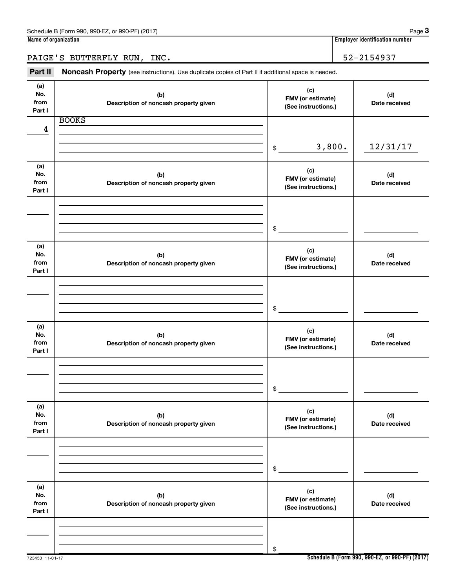PAIGE'S BUTTERFLY RUN, INC. 52-2154937

Part II Noncash Property (see instructions). Use duplicate copies of Part II if additional space is needed.

| (a)<br>No.<br>from<br>Part I | (b)<br>Description of noncash property given | (c)<br>FMV (or estimate)<br>(See instructions.) | (d)<br>Date received |
|------------------------------|----------------------------------------------|-------------------------------------------------|----------------------|
| 4                            | <b>BOOKS</b>                                 |                                                 |                      |
|                              |                                              | 3,800.<br>\$                                    | 12/31/17             |
| (a)<br>No.<br>from<br>Part I | (b)<br>Description of noncash property given | (c)<br>FMV (or estimate)<br>(See instructions.) | (d)<br>Date received |
|                              |                                              | \$                                              |                      |
| (a)<br>No.<br>from<br>Part I | (b)<br>Description of noncash property given | (c)<br>FMV (or estimate)<br>(See instructions.) | (d)<br>Date received |
|                              |                                              | \$                                              |                      |
| (a)<br>No.<br>from<br>Part I | (b)<br>Description of noncash property given | (c)<br>FMV (or estimate)<br>(See instructions.) | (d)<br>Date received |
|                              |                                              | $\$$                                            |                      |
| (a)<br>No.<br>from<br>Part I | (b)<br>Description of noncash property given | (c)<br>FMV (or estimate)<br>(See instructions.) | (d)<br>Date received |
|                              |                                              | $\,$                                            |                      |
| (a)<br>No.<br>from<br>Part I | (b)<br>Description of noncash property given | (c)<br>FMV (or estimate)<br>(See instructions.) | (d)<br>Date received |
|                              |                                              | $\$$                                            |                      |

**Schedule B (Form 990, 990-EZ, or 990-PF) (2017)**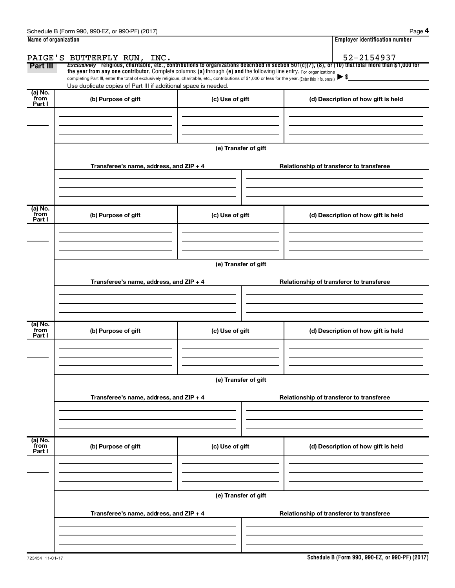| Name of organization |                                                                                                                                                          | <b>Employer identification number</b> |                                                                                                                                                          |  |  |  |  |
|----------------------|----------------------------------------------------------------------------------------------------------------------------------------------------------|---------------------------------------|----------------------------------------------------------------------------------------------------------------------------------------------------------|--|--|--|--|
|                      | PAIGE'S BUTTERFLY RUN, INC.                                                                                                                              |                                       | 52-2154937                                                                                                                                               |  |  |  |  |
| Part III             | the year from any one contributor. Complete columns (a) through (e) and the following line entry. For organizations                                      |                                       | Exclusively religious, charitable, etc., contributions to organizations described in section $501(c)(7)$ , (8), or (10) that total more than \$1,000 for |  |  |  |  |
|                      | completing Part III, enter the total of exclusively religious, charitable, etc., contributions of \$1,000 or less for the year. (Enter this info. once.) |                                       |                                                                                                                                                          |  |  |  |  |
| (a) No.              | Use duplicate copies of Part III if additional space is needed.                                                                                          |                                       |                                                                                                                                                          |  |  |  |  |
| from<br>Part I       | (b) Purpose of gift                                                                                                                                      | (c) Use of gift                       | (d) Description of how gift is held                                                                                                                      |  |  |  |  |
|                      |                                                                                                                                                          |                                       |                                                                                                                                                          |  |  |  |  |
|                      |                                                                                                                                                          |                                       |                                                                                                                                                          |  |  |  |  |
|                      |                                                                                                                                                          |                                       |                                                                                                                                                          |  |  |  |  |
|                      |                                                                                                                                                          |                                       |                                                                                                                                                          |  |  |  |  |
|                      |                                                                                                                                                          | (e) Transfer of gift                  |                                                                                                                                                          |  |  |  |  |
|                      | Transferee's name, address, and ZIP + 4                                                                                                                  |                                       | Relationship of transferor to transferee                                                                                                                 |  |  |  |  |
|                      |                                                                                                                                                          |                                       |                                                                                                                                                          |  |  |  |  |
|                      |                                                                                                                                                          |                                       |                                                                                                                                                          |  |  |  |  |
|                      |                                                                                                                                                          |                                       |                                                                                                                                                          |  |  |  |  |
| (a) No.              |                                                                                                                                                          |                                       |                                                                                                                                                          |  |  |  |  |
| from<br>Part I       | (b) Purpose of gift                                                                                                                                      | (c) Use of gift                       | (d) Description of how gift is held                                                                                                                      |  |  |  |  |
|                      |                                                                                                                                                          |                                       |                                                                                                                                                          |  |  |  |  |
|                      |                                                                                                                                                          |                                       |                                                                                                                                                          |  |  |  |  |
|                      |                                                                                                                                                          |                                       |                                                                                                                                                          |  |  |  |  |
|                      |                                                                                                                                                          | (e) Transfer of gift                  |                                                                                                                                                          |  |  |  |  |
|                      |                                                                                                                                                          |                                       |                                                                                                                                                          |  |  |  |  |
|                      | Transferee's name, address, and ZIP + 4                                                                                                                  |                                       | Relationship of transferor to transferee                                                                                                                 |  |  |  |  |
|                      |                                                                                                                                                          |                                       |                                                                                                                                                          |  |  |  |  |
|                      |                                                                                                                                                          |                                       |                                                                                                                                                          |  |  |  |  |
|                      |                                                                                                                                                          |                                       |                                                                                                                                                          |  |  |  |  |
| (a) No.<br>from      | (b) Purpose of gift                                                                                                                                      | (c) Use of gift                       | (d) Description of how gift is held                                                                                                                      |  |  |  |  |
| Part I               |                                                                                                                                                          |                                       |                                                                                                                                                          |  |  |  |  |
|                      |                                                                                                                                                          |                                       |                                                                                                                                                          |  |  |  |  |
|                      |                                                                                                                                                          |                                       |                                                                                                                                                          |  |  |  |  |
|                      |                                                                                                                                                          |                                       |                                                                                                                                                          |  |  |  |  |
|                      |                                                                                                                                                          | (e) Transfer of gift                  |                                                                                                                                                          |  |  |  |  |
|                      |                                                                                                                                                          |                                       |                                                                                                                                                          |  |  |  |  |
|                      | Transferee's name, address, and ZIP + 4                                                                                                                  |                                       | Relationship of transferor to transferee                                                                                                                 |  |  |  |  |
|                      |                                                                                                                                                          |                                       |                                                                                                                                                          |  |  |  |  |
|                      |                                                                                                                                                          |                                       |                                                                                                                                                          |  |  |  |  |
|                      |                                                                                                                                                          |                                       |                                                                                                                                                          |  |  |  |  |
| (a) No.<br>from      | (b) Purpose of gift                                                                                                                                      | (c) Use of gift                       | (d) Description of how gift is held                                                                                                                      |  |  |  |  |
| Part I               |                                                                                                                                                          |                                       |                                                                                                                                                          |  |  |  |  |
|                      |                                                                                                                                                          |                                       |                                                                                                                                                          |  |  |  |  |
|                      |                                                                                                                                                          |                                       |                                                                                                                                                          |  |  |  |  |
|                      |                                                                                                                                                          |                                       |                                                                                                                                                          |  |  |  |  |
|                      |                                                                                                                                                          | (e) Transfer of gift                  |                                                                                                                                                          |  |  |  |  |
|                      | Transferee's name, address, and ZIP + 4                                                                                                                  |                                       | Relationship of transferor to transferee                                                                                                                 |  |  |  |  |
|                      |                                                                                                                                                          |                                       |                                                                                                                                                          |  |  |  |  |
|                      |                                                                                                                                                          |                                       |                                                                                                                                                          |  |  |  |  |
|                      |                                                                                                                                                          |                                       |                                                                                                                                                          |  |  |  |  |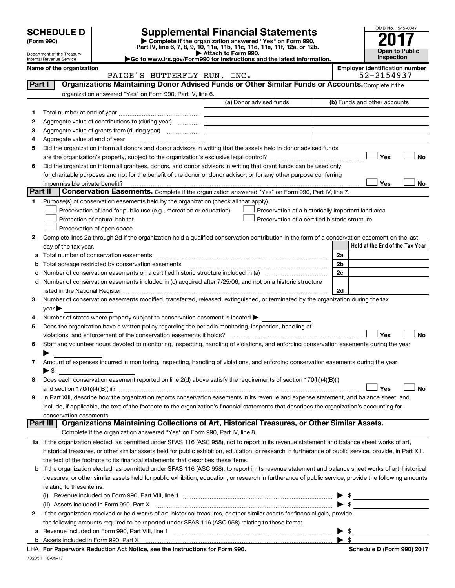

|              | <b>SCHEDULE D</b>                                                                                 |                                                        |                                                                                                        |                                                                                                                                                                           |  |                              |  |                              | OMB No. 1545-0047                     |
|--------------|---------------------------------------------------------------------------------------------------|--------------------------------------------------------|--------------------------------------------------------------------------------------------------------|---------------------------------------------------------------------------------------------------------------------------------------------------------------------------|--|------------------------------|--|------------------------------|---------------------------------------|
|              | (Form 990)                                                                                        |                                                        |                                                                                                        | <b>Supplemental Financial Statements</b><br>Complete if the organization answered "Yes" on Form 990,                                                                      |  |                              |  |                              |                                       |
|              |                                                                                                   | Department of the Treasury<br>Internal Revenue Service |                                                                                                        | Part IV, line 6, 7, 8, 9, 10, 11a, 11b, 11c, 11d, 11e, 11f, 12a, or 12b.<br>Attach to Form 990.<br>Go to www.irs.gov/Form990 for instructions and the latest information. |  | Open to Public<br>Inspection |  |                              |                                       |
|              |                                                                                                   | Name of the organization                               | PAIGE'S BUTTERFLY RUN, INC.                                                                            |                                                                                                                                                                           |  |                              |  | 52-2154937                   | <b>Employer identification number</b> |
| Part I       |                                                                                                   |                                                        |                                                                                                        | Organizations Maintaining Donor Advised Funds or Other Similar Funds or Accounts. Complete if the                                                                         |  |                              |  |                              |                                       |
|              |                                                                                                   |                                                        | organization answered "Yes" on Form 990, Part IV, line 6.                                              |                                                                                                                                                                           |  |                              |  |                              |                                       |
|              |                                                                                                   |                                                        |                                                                                                        | (a) Donor advised funds                                                                                                                                                   |  |                              |  | (b) Funds and other accounts |                                       |
|              |                                                                                                   |                                                        |                                                                                                        |                                                                                                                                                                           |  |                              |  |                              |                                       |
| 1.           |                                                                                                   |                                                        |                                                                                                        |                                                                                                                                                                           |  |                              |  |                              |                                       |
| 2            | Aggregate value of contributions to (during year)<br>Aggregate value of grants from (during year) |                                                        |                                                                                                        |                                                                                                                                                                           |  |                              |  |                              |                                       |
| 3            |                                                                                                   |                                                        |                                                                                                        |                                                                                                                                                                           |  |                              |  |                              |                                       |
| 4            |                                                                                                   |                                                        |                                                                                                        |                                                                                                                                                                           |  |                              |  |                              |                                       |
| 5            |                                                                                                   |                                                        |                                                                                                        | Did the organization inform all donors and donor advisors in writing that the assets held in donor advised funds                                                          |  |                              |  |                              |                                       |
|              |                                                                                                   |                                                        |                                                                                                        |                                                                                                                                                                           |  |                              |  | Yes                          | No                                    |
| 6            |                                                                                                   |                                                        |                                                                                                        | Did the organization inform all grantees, donors, and donor advisors in writing that grant funds can be used only                                                         |  |                              |  |                              |                                       |
|              |                                                                                                   |                                                        |                                                                                                        | for charitable purposes and not for the benefit of the donor or donor advisor, or for any other purpose conferring                                                        |  |                              |  |                              |                                       |
| Part II      |                                                                                                   | impermissible private benefit?                         |                                                                                                        | Conservation Easements. Complete if the organization answered "Yes" on Form 990, Part IV, line 7.                                                                         |  |                              |  | Yes                          | No                                    |
|              |                                                                                                   |                                                        |                                                                                                        |                                                                                                                                                                           |  |                              |  |                              |                                       |
| 1            |                                                                                                   |                                                        | Purpose(s) of conservation easements held by the organization (check all that apply).                  |                                                                                                                                                                           |  |                              |  |                              |                                       |
|              |                                                                                                   |                                                        | Preservation of land for public use (e.g., recreation or education)                                    | Preservation of a historically important land area                                                                                                                        |  |                              |  |                              |                                       |
|              | Protection of natural habitat<br>Preservation of a certified historic structure                   |                                                        |                                                                                                        |                                                                                                                                                                           |  |                              |  |                              |                                       |
|              |                                                                                                   |                                                        | Preservation of open space                                                                             |                                                                                                                                                                           |  |                              |  |                              |                                       |
| $\mathbf{2}$ |                                                                                                   |                                                        |                                                                                                        | Complete lines 2a through 2d if the organization held a qualified conservation contribution in the form of a conservation easement on the last                            |  |                              |  |                              |                                       |
|              |                                                                                                   | day of the tax year.                                   |                                                                                                        |                                                                                                                                                                           |  |                              |  |                              | Held at the End of the Tax Year       |
| а            |                                                                                                   |                                                        |                                                                                                        |                                                                                                                                                                           |  | 2a                           |  |                              |                                       |
| b            |                                                                                                   |                                                        | Total acreage restricted by conservation easements                                                     |                                                                                                                                                                           |  | 2b                           |  |                              |                                       |
| c            |                                                                                                   |                                                        |                                                                                                        |                                                                                                                                                                           |  | 2c                           |  |                              |                                       |
| d            |                                                                                                   |                                                        |                                                                                                        | Number of conservation easements included in (c) acquired after 7/25/06, and not on a historic structure                                                                  |  |                              |  |                              |                                       |
|              |                                                                                                   |                                                        |                                                                                                        |                                                                                                                                                                           |  | 2d                           |  |                              |                                       |
| З.           |                                                                                                   |                                                        |                                                                                                        | Number of conservation easements modified, transferred, released, extinguished, or terminated by the organization during the tax                                          |  |                              |  |                              |                                       |
|              | $year \triangleright$                                                                             |                                                        |                                                                                                        |                                                                                                                                                                           |  |                              |  |                              |                                       |
| 4            |                                                                                                   |                                                        | Number of states where property subject to conservation easement is located >                          |                                                                                                                                                                           |  |                              |  |                              |                                       |
| 5            |                                                                                                   |                                                        | Does the organization have a written policy regarding the periodic monitoring, inspection, handling of |                                                                                                                                                                           |  |                              |  |                              |                                       |
|              |                                                                                                   |                                                        | violations, and enforcement of the conservation easements it holds?                                    |                                                                                                                                                                           |  |                              |  | Yes                          | No                                    |
| 6            |                                                                                                   |                                                        |                                                                                                        | Staff and volunteer hours devoted to monitoring, inspecting, handling of violations, and enforcing conservation easements during the year                                 |  |                              |  |                              |                                       |
|              |                                                                                                   |                                                        |                                                                                                        |                                                                                                                                                                           |  |                              |  |                              |                                       |
| 7            |                                                                                                   |                                                        |                                                                                                        | Amount of expenses incurred in monitoring, inspecting, handling of violations, and enforcing conservation easements during the year                                       |  |                              |  |                              |                                       |
|              | $\blacktriangleright$ \$                                                                          |                                                        |                                                                                                        |                                                                                                                                                                           |  |                              |  |                              |                                       |
| 8            |                                                                                                   |                                                        |                                                                                                        | Does each conservation easement reported on line 2(d) above satisfy the requirements of section 170(h)(4)(B)(i)                                                           |  |                              |  |                              |                                       |
|              |                                                                                                   | and section $170(h)(4)(B)(ii)?$                        |                                                                                                        |                                                                                                                                                                           |  |                              |  | Yes                          | No                                    |
| 9            |                                                                                                   |                                                        |                                                                                                        | In Part XIII, describe how the organization reports conservation easements in its revenue and expense statement, and balance sheet, and                                   |  |                              |  |                              |                                       |
|              |                                                                                                   |                                                        |                                                                                                        | include, if applicable, the text of the footnote to the organization's financial statements that describes the organization's accounting for                              |  |                              |  |                              |                                       |
|              |                                                                                                   | conservation easements.                                |                                                                                                        |                                                                                                                                                                           |  |                              |  |                              |                                       |
|              | Part III                                                                                          |                                                        |                                                                                                        | Organizations Maintaining Collections of Art, Historical Treasures, or Other Similar Assets.                                                                              |  |                              |  |                              |                                       |
|              |                                                                                                   |                                                        | Complete if the organization answered "Yes" on Form 990, Part IV, line 8.                              |                                                                                                                                                                           |  |                              |  |                              |                                       |
|              |                                                                                                   |                                                        |                                                                                                        | 1a If the organization elected, as permitted under SFAS 116 (ASC 958), not to report in its revenue statement and balance sheet works of art,                             |  |                              |  |                              |                                       |
|              |                                                                                                   |                                                        |                                                                                                        | historical treasures, or other similar assets held for public exhibition, education, or research in furtherance of public service, provide, in Part XIII,                 |  |                              |  |                              |                                       |
|              |                                                                                                   |                                                        | the text of the footnote to its financial statements that describes these items.                       |                                                                                                                                                                           |  |                              |  |                              |                                       |
| b            |                                                                                                   |                                                        |                                                                                                        | If the organization elected, as permitted under SFAS 116 (ASC 958), to report in its revenue statement and balance sheet works of art, historical                         |  |                              |  |                              |                                       |
|              |                                                                                                   |                                                        |                                                                                                        | treasures, or other similar assets held for public exhibition, education, or research in furtherance of public service, provide the following amounts                     |  |                              |  |                              |                                       |
|              | relating to these items:                                                                          |                                                        |                                                                                                        |                                                                                                                                                                           |  |                              |  |                              |                                       |

| (i)                                                                                                                            |  |
|--------------------------------------------------------------------------------------------------------------------------------|--|
| (ii) Assets included in Form 990, Part X [11] [12] Assets included in Form 990, Part X                                         |  |
| 2 If the organization received or held works of art, historical treasures, or other similar assets for financial gain, provide |  |
| the following amounts required to be reported under SFAS 116 (ASC 958) relating to these items:                                |  |
| <b>a</b> Revenue included on Form 990, Part VIII, line 1                                                                       |  |
| <b>b</b> Assets included in Form 990, Part X                                                                                   |  |

732051 10-09-17 **For Paperwork Reduction Act Notice, see the Instructions for Form 990. Schedule D (Form 990) 2017** LHA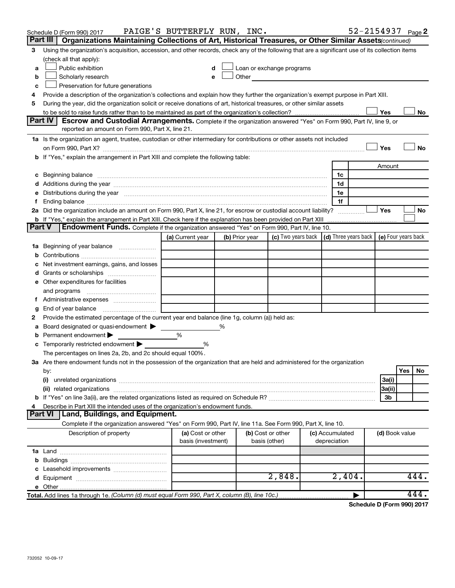|               | Schedule D (Form 990) 2017                                                                                                                                                                                                           | PAIGE'S BUTTERFLY RUN, INC.             |                |                                                                                                                                                                                                                               |  |                                 |  |                | 52-2154937 Page 2 |
|---------------|--------------------------------------------------------------------------------------------------------------------------------------------------------------------------------------------------------------------------------------|-----------------------------------------|----------------|-------------------------------------------------------------------------------------------------------------------------------------------------------------------------------------------------------------------------------|--|---------------------------------|--|----------------|-------------------|
|               | Part III<br>Organizations Maintaining Collections of Art, Historical Treasures, or Other Similar Assets (continued)                                                                                                                  |                                         |                |                                                                                                                                                                                                                               |  |                                 |  |                |                   |
| 3             | Using the organization's acquisition, accession, and other records, check any of the following that are a significant use of its collection items                                                                                    |                                         |                |                                                                                                                                                                                                                               |  |                                 |  |                |                   |
|               | (check all that apply):                                                                                                                                                                                                              |                                         |                |                                                                                                                                                                                                                               |  |                                 |  |                |                   |
| a             | Public exhibition                                                                                                                                                                                                                    | d                                       |                | Loan or exchange programs                                                                                                                                                                                                     |  |                                 |  |                |                   |
| b             | Scholarly research                                                                                                                                                                                                                   | e                                       |                | Other and the contract of the contract of the contract of the contract of the contract of the contract of the contract of the contract of the contract of the contract of the contract of the contract of the contract of the |  |                                 |  |                |                   |
| c             | Preservation for future generations                                                                                                                                                                                                  |                                         |                |                                                                                                                                                                                                                               |  |                                 |  |                |                   |
| 4             | Provide a description of the organization's collections and explain how they further the organization's exempt purpose in Part XIII.                                                                                                 |                                         |                |                                                                                                                                                                                                                               |  |                                 |  |                |                   |
| 5             | During the year, did the organization solicit or receive donations of art, historical treasures, or other similar assets                                                                                                             |                                         |                |                                                                                                                                                                                                                               |  |                                 |  | Yes            | No                |
|               | Part IV<br><b>Escrow and Custodial Arrangements.</b> Complete if the organization answered "Yes" on Form 990, Part IV, line 9, or                                                                                                    |                                         |                |                                                                                                                                                                                                                               |  |                                 |  |                |                   |
|               | reported an amount on Form 990, Part X, line 21.                                                                                                                                                                                     |                                         |                |                                                                                                                                                                                                                               |  |                                 |  |                |                   |
|               | 1a Is the organization an agent, trustee, custodian or other intermediary for contributions or other assets not included                                                                                                             |                                         |                |                                                                                                                                                                                                                               |  |                                 |  |                |                   |
|               |                                                                                                                                                                                                                                      |                                         |                |                                                                                                                                                                                                                               |  |                                 |  | Yes            | No                |
|               | b If "Yes," explain the arrangement in Part XIII and complete the following table:                                                                                                                                                   |                                         |                |                                                                                                                                                                                                                               |  |                                 |  |                |                   |
|               |                                                                                                                                                                                                                                      |                                         |                |                                                                                                                                                                                                                               |  |                                 |  | Amount         |                   |
|               | c Beginning balance <b>contract the contract of the contract of the contract of the contract of the contract of the contract of the contract of the contract of the contract of the contract of the contract of the contract of </b> |                                         |                |                                                                                                                                                                                                                               |  | 1c                              |  |                |                   |
|               |                                                                                                                                                                                                                                      |                                         |                |                                                                                                                                                                                                                               |  | 1d                              |  |                |                   |
|               | e Distributions during the year manufactured and continuum and contract the contract of the contract of the contract of the contract of the contract of the contract of the contract of the contract of the contract of the co       |                                         |                |                                                                                                                                                                                                                               |  | 1e                              |  |                |                   |
|               |                                                                                                                                                                                                                                      |                                         |                |                                                                                                                                                                                                                               |  | 1f                              |  |                |                   |
|               | 2a Did the organization include an amount on Form 990, Part X, line 21, for escrow or custodial account liability?                                                                                                                   |                                         |                |                                                                                                                                                                                                                               |  |                                 |  | Yes            | No                |
|               |                                                                                                                                                                                                                                      |                                         |                |                                                                                                                                                                                                                               |  |                                 |  |                |                   |
| <b>Part V</b> | <b>Endowment Funds.</b> Complete if the organization answered "Yes" on Form 990, Part IV, line 10.                                                                                                                                   |                                         |                |                                                                                                                                                                                                                               |  |                                 |  |                |                   |
|               |                                                                                                                                                                                                                                      | (a) Current year                        | (b) Prior year | (c) Two years back $\vert$ (d) Three years back $\vert$ (e) Four years back                                                                                                                                                   |  |                                 |  |                |                   |
|               | 1a Beginning of year balance                                                                                                                                                                                                         |                                         |                |                                                                                                                                                                                                                               |  |                                 |  |                |                   |
|               |                                                                                                                                                                                                                                      |                                         |                |                                                                                                                                                                                                                               |  |                                 |  |                |                   |
|               | Net investment earnings, gains, and losses                                                                                                                                                                                           |                                         |                |                                                                                                                                                                                                                               |  |                                 |  |                |                   |
|               |                                                                                                                                                                                                                                      |                                         |                |                                                                                                                                                                                                                               |  |                                 |  |                |                   |
|               | e Other expenditures for facilities                                                                                                                                                                                                  |                                         |                |                                                                                                                                                                                                                               |  |                                 |  |                |                   |
|               | and programs                                                                                                                                                                                                                         |                                         |                |                                                                                                                                                                                                                               |  |                                 |  |                |                   |
|               |                                                                                                                                                                                                                                      |                                         |                |                                                                                                                                                                                                                               |  |                                 |  |                |                   |
| g<br>2        | Provide the estimated percentage of the current year end balance (line 1g, column (a)) held as:                                                                                                                                      |                                         |                |                                                                                                                                                                                                                               |  |                                 |  |                |                   |
| а             | Board designated or quasi-endowment >                                                                                                                                                                                                |                                         | %              |                                                                                                                                                                                                                               |  |                                 |  |                |                   |
|               | <b>b</b> Permanent endowment $\blacktriangleright$                                                                                                                                                                                   | %                                       |                |                                                                                                                                                                                                                               |  |                                 |  |                |                   |
|               | <b>c</b> Temporarily restricted endowment $\blacktriangleright$                                                                                                                                                                      | %                                       |                |                                                                                                                                                                                                                               |  |                                 |  |                |                   |
|               | The percentages on lines 2a, 2b, and 2c should equal 100%.                                                                                                                                                                           |                                         |                |                                                                                                                                                                                                                               |  |                                 |  |                |                   |
|               | 3a Are there endowment funds not in the possession of the organization that are held and administered for the organization                                                                                                           |                                         |                |                                                                                                                                                                                                                               |  |                                 |  |                |                   |
|               | by:                                                                                                                                                                                                                                  |                                         |                |                                                                                                                                                                                                                               |  |                                 |  |                | Yes<br>No         |
|               | (i)                                                                                                                                                                                                                                  |                                         |                |                                                                                                                                                                                                                               |  |                                 |  | 3a(i)          |                   |
|               |                                                                                                                                                                                                                                      |                                         |                |                                                                                                                                                                                                                               |  |                                 |  | 3a(ii)         |                   |
|               |                                                                                                                                                                                                                                      |                                         |                |                                                                                                                                                                                                                               |  |                                 |  | 3b             |                   |
| 4             | Describe in Part XIII the intended uses of the organization's endowment funds.                                                                                                                                                       |                                         |                |                                                                                                                                                                                                                               |  |                                 |  |                |                   |
|               | <b>Land, Buildings, and Equipment.</b><br><b>Part VI</b>                                                                                                                                                                             |                                         |                |                                                                                                                                                                                                                               |  |                                 |  |                |                   |
|               | Complete if the organization answered "Yes" on Form 990, Part IV, line 11a. See Form 990, Part X, line 10.                                                                                                                           |                                         |                |                                                                                                                                                                                                                               |  |                                 |  |                |                   |
|               | Description of property                                                                                                                                                                                                              | (a) Cost or other<br>basis (investment) |                | (b) Cost or other<br>basis (other)                                                                                                                                                                                            |  | (c) Accumulated<br>depreciation |  | (d) Book value |                   |
|               |                                                                                                                                                                                                                                      |                                         |                |                                                                                                                                                                                                                               |  |                                 |  |                |                   |
|               |                                                                                                                                                                                                                                      |                                         |                |                                                                                                                                                                                                                               |  |                                 |  |                |                   |
|               |                                                                                                                                                                                                                                      |                                         |                |                                                                                                                                                                                                                               |  |                                 |  |                |                   |
|               |                                                                                                                                                                                                                                      |                                         |                | 2,848.                                                                                                                                                                                                                        |  | 2,404.                          |  |                | 444.              |
|               |                                                                                                                                                                                                                                      |                                         |                |                                                                                                                                                                                                                               |  |                                 |  |                |                   |
|               | Total. Add lines 1a through 1e. (Column (d) must equal Form 990, Part X, column (B), line 10c.)                                                                                                                                      |                                         |                |                                                                                                                                                                                                                               |  |                                 |  |                | 444.              |

**Schedule D (Form 990) 2017**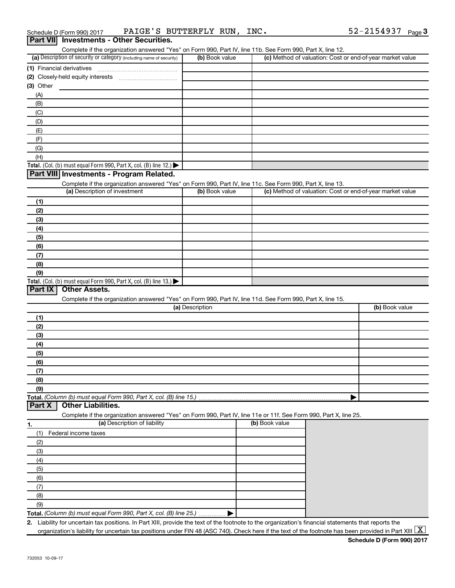| Schedule D (Form 990) 2017 | PAIGE'<br>- 5                         | BUTTERFLY RUN | INC. | 2154937 | Page |
|----------------------------|---------------------------------------|---------------|------|---------|------|
| Part VIII                  | <b>Investments - Other Securities</b> |               |      |         |      |

| .<br>Complete if the organization answered "Yes" on Form 990, Part IV, line 11b. See Form 990, Part X, line 12.                             |                 |                |                                                           |
|---------------------------------------------------------------------------------------------------------------------------------------------|-----------------|----------------|-----------------------------------------------------------|
| (a) Description of security or category (including name of security)                                                                        | (b) Book value  |                | (c) Method of valuation: Cost or end-of-year market value |
| (1) Financial derivatives                                                                                                                   |                 |                |                                                           |
|                                                                                                                                             |                 |                |                                                           |
| (3) Other                                                                                                                                   |                 |                |                                                           |
| (A)                                                                                                                                         |                 |                |                                                           |
| (B)                                                                                                                                         |                 |                |                                                           |
| (C)                                                                                                                                         |                 |                |                                                           |
| (D)                                                                                                                                         |                 |                |                                                           |
| (E)                                                                                                                                         |                 |                |                                                           |
| (F)                                                                                                                                         |                 |                |                                                           |
| (G)                                                                                                                                         |                 |                |                                                           |
| (H)                                                                                                                                         |                 |                |                                                           |
| Total. (Col. (b) must equal Form 990, Part X, col. (B) line 12.)                                                                            |                 |                |                                                           |
| Part VIII Investments - Program Related.                                                                                                    |                 |                |                                                           |
|                                                                                                                                             |                 |                |                                                           |
| Complete if the organization answered "Yes" on Form 990, Part IV, line 11c. See Form 990, Part X, line 13.<br>(a) Description of investment | (b) Book value  |                | (c) Method of valuation: Cost or end-of-year market value |
|                                                                                                                                             |                 |                |                                                           |
| (1)                                                                                                                                         |                 |                |                                                           |
| (2)                                                                                                                                         |                 |                |                                                           |
| (3)                                                                                                                                         |                 |                |                                                           |
| (4)                                                                                                                                         |                 |                |                                                           |
| (5)                                                                                                                                         |                 |                |                                                           |
| (6)                                                                                                                                         |                 |                |                                                           |
| (7)                                                                                                                                         |                 |                |                                                           |
| (8)                                                                                                                                         |                 |                |                                                           |
| (9)                                                                                                                                         |                 |                |                                                           |
| Total. (Col. (b) must equal Form 990, Part X, col. (B) line 13.)                                                                            |                 |                |                                                           |
| <b>Other Assets.</b><br>Part IX                                                                                                             |                 |                |                                                           |
| Complete if the organization answered "Yes" on Form 990, Part IV, line 11d. See Form 990, Part X, line 15.                                  |                 |                |                                                           |
|                                                                                                                                             | (a) Description |                | (b) Book value                                            |
| (1)                                                                                                                                         |                 |                |                                                           |
| (2)                                                                                                                                         |                 |                |                                                           |
| (3)                                                                                                                                         |                 |                |                                                           |
| (4)                                                                                                                                         |                 |                |                                                           |
| (5)                                                                                                                                         |                 |                |                                                           |
|                                                                                                                                             |                 |                |                                                           |
| (6)                                                                                                                                         |                 |                |                                                           |
| (7)                                                                                                                                         |                 |                |                                                           |
| (8)                                                                                                                                         |                 |                |                                                           |
| (9)                                                                                                                                         |                 |                |                                                           |
| Total. (Column (b) must equal Form 990, Part X, col. (B) line 15.)                                                                          |                 |                |                                                           |
| <b>Other Liabilities.</b><br>Part X                                                                                                         |                 |                |                                                           |
| Complete if the organization answered "Yes" on Form 990, Part IV, line 11e or 11f. See Form 990, Part X, line 25.                           |                 |                |                                                           |
| (a) Description of liability<br>1.                                                                                                          |                 | (b) Book value |                                                           |
| Federal income taxes<br>(1)                                                                                                                 |                 |                |                                                           |
| (2)                                                                                                                                         |                 |                |                                                           |
| (3)                                                                                                                                         |                 |                |                                                           |
| (4)                                                                                                                                         |                 |                |                                                           |
| (5)                                                                                                                                         |                 |                |                                                           |
| (6)                                                                                                                                         |                 |                |                                                           |
| (7)                                                                                                                                         |                 |                |                                                           |
| (8)                                                                                                                                         |                 |                |                                                           |
| (9)                                                                                                                                         |                 |                |                                                           |
|                                                                                                                                             |                 |                |                                                           |
| Total. (Column (b) must equal Form 990, Part X, col. (B) line 25.)                                                                          |                 |                |                                                           |

**2.** Liability for uncertain tax positions. In Part XIII, provide the text of the footnote to the organization's financial statements that reports the organization's liability for uncertain tax positions under FIN 48 (ASC 740). Check here if the text of the footnote has been provided in Part XIII  $\boxed{\text{X}}$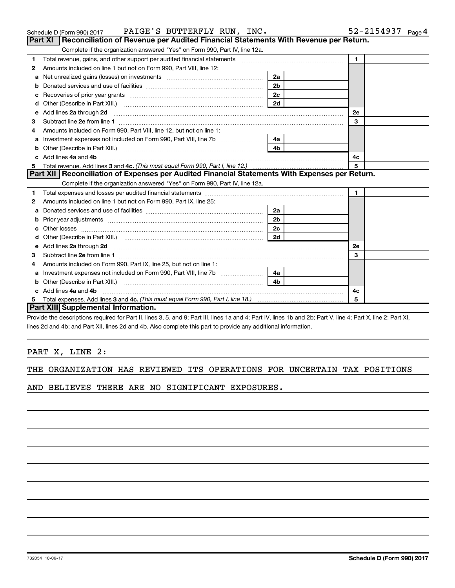|    | Part XI   Reconciliation of Revenue per Audited Financial Statements With Revenue per Return.                                                                                                                                        |                |              |  |
|----|--------------------------------------------------------------------------------------------------------------------------------------------------------------------------------------------------------------------------------------|----------------|--------------|--|
|    | Complete if the organization answered "Yes" on Form 990, Part IV, line 12a.                                                                                                                                                          |                |              |  |
| 1  | Total revenue, gains, and other support per audited financial statements [111] [11] Total revenue, gains, and other support per audited financial statements                                                                         |                | $\mathbf{1}$ |  |
| 2  | Amounts included on line 1 but not on Form 990, Part VIII, line 12:                                                                                                                                                                  |                |              |  |
| a  | Net unrealized gains (losses) on investments [11] matter contracts and the unrealized gains (losses) on investments                                                                                                                  | 2a             |              |  |
|    |                                                                                                                                                                                                                                      | 2 <sub>b</sub> |              |  |
| с  |                                                                                                                                                                                                                                      | 2c             |              |  |
| d  |                                                                                                                                                                                                                                      | 2d             |              |  |
| е  | Add lines 2a through 2d <b>manufacture and contract and contract and contract and contract and contract and contract and contract and contract and contract and contract and contract and contract and contract and contract and</b> |                | <b>2e</b>    |  |
| з  |                                                                                                                                                                                                                                      |                | 3            |  |
| 4  | Amounts included on Form 990, Part VIII, line 12, but not on line 1:                                                                                                                                                                 |                |              |  |
| a  |                                                                                                                                                                                                                                      |                |              |  |
| b  |                                                                                                                                                                                                                                      | 4 <sub>b</sub> |              |  |
| c  | Add lines 4a and 4b                                                                                                                                                                                                                  |                | 4с           |  |
| 5  |                                                                                                                                                                                                                                      |                | 5            |  |
|    |                                                                                                                                                                                                                                      |                |              |  |
|    | Part XII   Reconciliation of Expenses per Audited Financial Statements With Expenses per Return.                                                                                                                                     |                |              |  |
|    | Complete if the organization answered "Yes" on Form 990, Part IV, line 12a.                                                                                                                                                          |                |              |  |
| 1  |                                                                                                                                                                                                                                      |                | $\mathbf{1}$ |  |
| 2  | Amounts included on line 1 but not on Form 990, Part IX, line 25:                                                                                                                                                                    |                |              |  |
|    |                                                                                                                                                                                                                                      | 2a             |              |  |
| b  |                                                                                                                                                                                                                                      | 2 <sub>b</sub> |              |  |
| c. |                                                                                                                                                                                                                                      | 2c             |              |  |
| d  |                                                                                                                                                                                                                                      |                |              |  |
| е  | Add lines 2a through 2d <b>contained a contained a contained a</b> contained a contact the contained and contained a contact the contact of the contact of the contact of the contact of the contact of the contact of the contact   |                | <b>2e</b>    |  |
| З  |                                                                                                                                                                                                                                      |                | 3            |  |
| 4  | Amounts included on Form 990, Part IX, line 25, but not on line 1:                                                                                                                                                                   |                |              |  |
| a  | Investment expenses not included on Form 990, Part VIII, line 7b [130] [142]                                                                                                                                                         |                |              |  |
| b  |                                                                                                                                                                                                                                      |                |              |  |
|    | Add lines 4a and 4b                                                                                                                                                                                                                  |                | 4c           |  |
| 5  | Part XIII Supplemental Information.                                                                                                                                                                                                  |                | 5            |  |

Schedule D (Form 990) 2017  $\qquad$  PAIGE 'S BUTTERFLY RUN, INC.  $\qquad \qquad 52\text{--}2154937$   $\qquad$   $_{\text{Page}}$ 

Provide the descriptions required for Part II, lines 3, 5, and 9; Part III, lines 1a and 4; Part IV, lines 1b and 2b; Part V, line 4; Part X, line 2; Part XI, lines 2d and 4b; and Part XII, lines 2d and 4b. Also complete this part to provide any additional information.

# PART X, LINE 2:

|  | THE ORGANIZATION HAS REVIEWED ITS OPERATIONS FOR UNCERTAIN TAX POSITIONS |  |  |  |  |  |  |  |  |
|--|--------------------------------------------------------------------------|--|--|--|--|--|--|--|--|
|--|--------------------------------------------------------------------------|--|--|--|--|--|--|--|--|

AND BELIEVES THERE ARE NO SIGNIFICANT EXPOSURES.

52-2154937 <sub>Page</sub> 4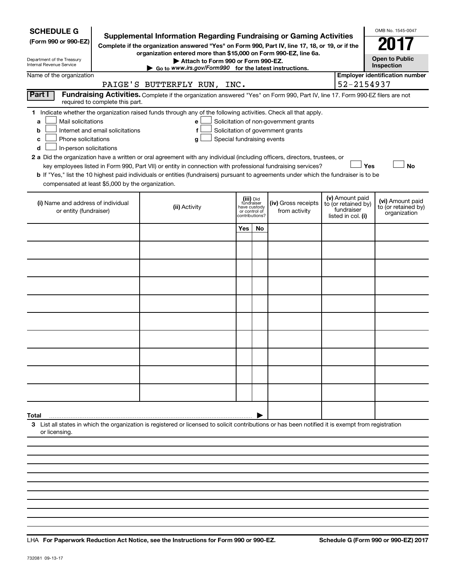| <b>SCHEDULE G</b><br>(Form 990 or 990-EZ)<br>Department of the Treasury<br>Internal Revenue Service                                                                                                                                                                                                                                                                                                                                                                                                                                                                         | Supplemental Information Regarding Fundraising or Gaming Activities<br>Complete if the organization answered "Yes" on Form 990, Part IV, line 17, 18, or 19, or if the<br>organization entered more than \$15,000 on Form 990-EZ, line 6a.<br>Attach to Form 990 or Form 990-EZ.<br>Go to www.irs.gov/Form990 for the latest instructions. |               |                                                           |                                                                            |                                                                            | OMB No. 1545-0047<br><b>Open to Public</b><br>Inspection |
|-----------------------------------------------------------------------------------------------------------------------------------------------------------------------------------------------------------------------------------------------------------------------------------------------------------------------------------------------------------------------------------------------------------------------------------------------------------------------------------------------------------------------------------------------------------------------------|--------------------------------------------------------------------------------------------------------------------------------------------------------------------------------------------------------------------------------------------------------------------------------------------------------------------------------------------|---------------|-----------------------------------------------------------|----------------------------------------------------------------------------|----------------------------------------------------------------------------|----------------------------------------------------------|
| Name of the organization                                                                                                                                                                                                                                                                                                                                                                                                                                                                                                                                                    | PAIGE'S BUTTERFLY RUN, INC.                                                                                                                                                                                                                                                                                                                |               |                                                           |                                                                            | 52-2154937                                                                 | <b>Employer identification number</b>                    |
| Part I<br>required to complete this part.                                                                                                                                                                                                                                                                                                                                                                                                                                                                                                                                   | Fundraising Activities. Complete if the organization answered "Yes" on Form 990, Part IV, line 17. Form 990-EZ filers are not                                                                                                                                                                                                              |               |                                                           |                                                                            |                                                                            |                                                          |
| 1 Indicate whether the organization raised funds through any of the following activities. Check all that apply.<br>Mail solicitations<br>a<br>Internet and email solicitations<br>b<br>Phone solicitations<br>с<br>In-person solicitations<br>d<br>2 a Did the organization have a written or oral agreement with any individual (including officers, directors, trustees, or<br>b If "Yes," list the 10 highest paid individuals or entities (fundraisers) pursuant to agreements under which the fundraiser is to be<br>compensated at least \$5,000 by the organization. | е<br>f<br>Special fundraising events<br>g<br>key employees listed in Form 990, Part VII) or entity in connection with professional fundraising services?                                                                                                                                                                                   |               |                                                           | Solicitation of non-government grants<br>Solicitation of government grants | Yes                                                                        | <b>No</b>                                                |
| (i) Name and address of individual<br>or entity (fundraiser)                                                                                                                                                                                                                                                                                                                                                                                                                                                                                                                | (ii) Activity                                                                                                                                                                                                                                                                                                                              | or control of | (iii) Did<br>fundraiser<br>have custody<br>contributions? | (iv) Gross receipts<br>from activity                                       | (v) Amount paid<br>to (or retained by)<br>fundraiser<br>listed in col. (i) | (vi) Amount paid<br>to (or retained by)<br>organization  |
|                                                                                                                                                                                                                                                                                                                                                                                                                                                                                                                                                                             |                                                                                                                                                                                                                                                                                                                                            | Yes           | No                                                        |                                                                            |                                                                            |                                                          |
|                                                                                                                                                                                                                                                                                                                                                                                                                                                                                                                                                                             |                                                                                                                                                                                                                                                                                                                                            |               |                                                           |                                                                            |                                                                            |                                                          |
|                                                                                                                                                                                                                                                                                                                                                                                                                                                                                                                                                                             |                                                                                                                                                                                                                                                                                                                                            |               |                                                           |                                                                            |                                                                            |                                                          |
|                                                                                                                                                                                                                                                                                                                                                                                                                                                                                                                                                                             |                                                                                                                                                                                                                                                                                                                                            |               |                                                           |                                                                            |                                                                            |                                                          |
|                                                                                                                                                                                                                                                                                                                                                                                                                                                                                                                                                                             |                                                                                                                                                                                                                                                                                                                                            |               |                                                           |                                                                            |                                                                            |                                                          |
|                                                                                                                                                                                                                                                                                                                                                                                                                                                                                                                                                                             |                                                                                                                                                                                                                                                                                                                                            |               |                                                           |                                                                            |                                                                            |                                                          |
|                                                                                                                                                                                                                                                                                                                                                                                                                                                                                                                                                                             |                                                                                                                                                                                                                                                                                                                                            |               |                                                           |                                                                            |                                                                            |                                                          |
|                                                                                                                                                                                                                                                                                                                                                                                                                                                                                                                                                                             |                                                                                                                                                                                                                                                                                                                                            |               |                                                           |                                                                            |                                                                            |                                                          |
|                                                                                                                                                                                                                                                                                                                                                                                                                                                                                                                                                                             |                                                                                                                                                                                                                                                                                                                                            |               |                                                           |                                                                            |                                                                            |                                                          |
|                                                                                                                                                                                                                                                                                                                                                                                                                                                                                                                                                                             |                                                                                                                                                                                                                                                                                                                                            |               |                                                           |                                                                            |                                                                            |                                                          |
| Total                                                                                                                                                                                                                                                                                                                                                                                                                                                                                                                                                                       |                                                                                                                                                                                                                                                                                                                                            |               |                                                           |                                                                            |                                                                            |                                                          |
| 3 List all states in which the organization is registered or licensed to solicit contributions or has been notified it is exempt from registration<br>or licensing.                                                                                                                                                                                                                                                                                                                                                                                                         |                                                                                                                                                                                                                                                                                                                                            |               |                                                           |                                                                            |                                                                            |                                                          |
|                                                                                                                                                                                                                                                                                                                                                                                                                                                                                                                                                                             |                                                                                                                                                                                                                                                                                                                                            |               |                                                           |                                                                            |                                                                            |                                                          |
|                                                                                                                                                                                                                                                                                                                                                                                                                                                                                                                                                                             |                                                                                                                                                                                                                                                                                                                                            |               |                                                           |                                                                            |                                                                            |                                                          |

**For Paperwork Reduction Act Notice, see the Instructions for Form 990 or 990-EZ. Schedule G (Form 990 or 990-EZ) 2017** LHA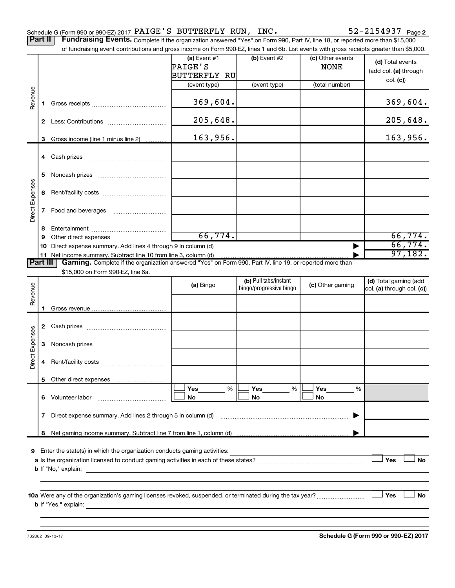Part II | Fundraising Events. Complete if the organization answered "Yes" on Form 990, Part IV, line 18, or reported more than \$15,000 of fundraising event contributions and gross income on Form 990-EZ, lines 1 and 6b. List events with gross receipts greater than \$5,000.

|                 |    | OF fundraising event contributions and gross income on Form 990-EZ, lines T and 6D. Elst events with gross receipts greater than \$5,000.                                                                                                 |                                           |                         |                                 |                                           |
|-----------------|----|-------------------------------------------------------------------------------------------------------------------------------------------------------------------------------------------------------------------------------------------|-------------------------------------------|-------------------------|---------------------------------|-------------------------------------------|
|                 |    |                                                                                                                                                                                                                                           | (a) Event $#1$<br>PAIGE'S<br>BUTTERFLY RU | (b) Event $#2$          | (c) Other events<br><b>NONE</b> | (d) Total events<br>(add col. (a) through |
|                 |    |                                                                                                                                                                                                                                           | (event type)                              | (event type)            | (total number)                  | col. (c)                                  |
| Revenue         | 1. |                                                                                                                                                                                                                                           | 369,604.                                  |                         |                                 | 369,604.                                  |
|                 |    |                                                                                                                                                                                                                                           | 205,648.                                  |                         |                                 | 205,648.                                  |
|                 | 3  | Gross income (line 1 minus line 2)                                                                                                                                                                                                        | 163,956.                                  |                         |                                 | 163,956.                                  |
|                 |    |                                                                                                                                                                                                                                           |                                           |                         |                                 |                                           |
|                 |    |                                                                                                                                                                                                                                           |                                           |                         |                                 |                                           |
|                 | 5  |                                                                                                                                                                                                                                           |                                           |                         |                                 |                                           |
|                 |    |                                                                                                                                                                                                                                           |                                           |                         |                                 |                                           |
| Direct Expenses |    | 7 Food and beverages                                                                                                                                                                                                                      |                                           |                         |                                 |                                           |
|                 | 8  |                                                                                                                                                                                                                                           |                                           |                         |                                 |                                           |
|                 | 9  |                                                                                                                                                                                                                                           | 66,774.                                   |                         |                                 | 66,774.                                   |
|                 |    | 10 Direct expense summary. Add lines 4 through 9 in column (d)                                                                                                                                                                            |                                           |                         |                                 | 66,774.<br>97,182.                        |
| <b>Part III</b> |    | Gaming. Complete if the organization answered "Yes" on Form 990, Part IV, line 19, or reported more than                                                                                                                                  |                                           |                         |                                 |                                           |
|                 |    | \$15,000 on Form 990-EZ, line 6a.                                                                                                                                                                                                         |                                           |                         |                                 |                                           |
|                 |    |                                                                                                                                                                                                                                           | (a) Bingo                                 | (b) Pull tabs/instant   | (c) Other gaming                | (d) Total gaming (add                     |
| Revenue         |    |                                                                                                                                                                                                                                           |                                           | bingo/progressive bingo |                                 | col. (a) through col. (c))                |
|                 |    |                                                                                                                                                                                                                                           |                                           |                         |                                 |                                           |
|                 |    |                                                                                                                                                                                                                                           |                                           |                         |                                 |                                           |
|                 |    |                                                                                                                                                                                                                                           |                                           |                         |                                 |                                           |
| Direct Expenses | 3  |                                                                                                                                                                                                                                           |                                           |                         |                                 |                                           |
|                 | 4  |                                                                                                                                                                                                                                           |                                           |                         |                                 |                                           |
|                 |    |                                                                                                                                                                                                                                           |                                           |                         |                                 |                                           |
|                 |    |                                                                                                                                                                                                                                           | Yes<br>%                                  | Yes<br>%                | Yes<br>%                        |                                           |
|                 |    | 6 Volunteer labor                                                                                                                                                                                                                         | No                                        | No                      | <b>No</b>                       |                                           |
|                 | 7  | Direct expense summary. Add lines 2 through 5 in column (d)                                                                                                                                                                               |                                           |                         |                                 |                                           |
|                 | 8  |                                                                                                                                                                                                                                           |                                           |                         |                                 |                                           |
|                 |    |                                                                                                                                                                                                                                           |                                           |                         |                                 |                                           |
| 9               |    | Enter the state(s) in which the organization conducts gaming activities:<br><b>b</b> If "No," explain:                                                                                                                                    |                                           |                         |                                 | Yes<br>No                                 |
|                 |    |                                                                                                                                                                                                                                           |                                           |                         |                                 |                                           |
|                 |    | <b>b</b> If "Yes," explain: <u>And a set of the set of the set of the set of the set of the set of the set of the set of the set of the set of the set of the set of the set of the set of the set of the set of the set of the set o</u> |                                           |                         |                                 | Yes<br>No                                 |
|                 |    |                                                                                                                                                                                                                                           |                                           |                         |                                 |                                           |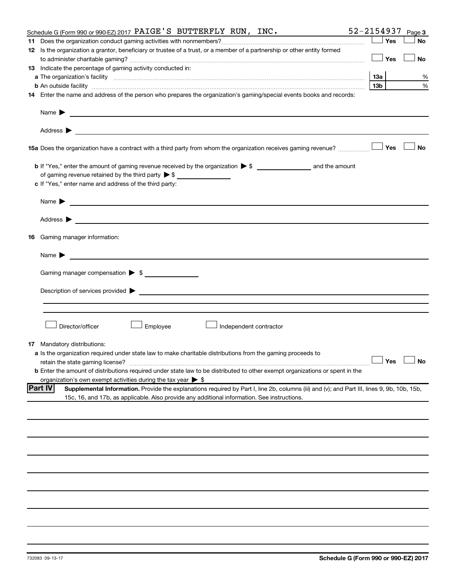| Schedule G (Form 990 or 990-EZ) 2017 PAIGE'S BUTTERFLY RUN, INC.                                                                                                                                                                          | 52-2154937 |     | Page 3               |
|-------------------------------------------------------------------------------------------------------------------------------------------------------------------------------------------------------------------------------------------|------------|-----|----------------------|
|                                                                                                                                                                                                                                           |            | Yes | <b>No</b>            |
| 12 Is the organization a grantor, beneficiary or trustee of a trust, or a member of a partnership or other entity formed                                                                                                                  |            |     |                      |
|                                                                                                                                                                                                                                           |            | Yes | No                   |
| 13 Indicate the percentage of gaming activity conducted in:                                                                                                                                                                               |            |     |                      |
| a The organization's facility <i>measurement assemble to the companion of the companisation</i> in the state of the companion of the companion of the companion of the companion of the companion of the companion of the companion       |            |     | %                    |
| <b>b</b> An outside facility <i>www.communically.communically.communically.communically.communically.communically.communically.communically.communically.communically.communically.communically.communically.communically.communicall</i> | 13b l      |     | %                    |
| 14 Enter the name and address of the person who prepares the organization's gaming/special events books and records:                                                                                                                      |            |     |                      |
| Name $\blacktriangleright$<br><u> 1989 - Johann Barbara, marka a shekara tsa 1989 - An tsa 1989 - An tsa 1989 - An tsa 1989 - An tsa 1989 - An</u>                                                                                        |            |     |                      |
|                                                                                                                                                                                                                                           |            |     |                      |
|                                                                                                                                                                                                                                           |            |     | ⊥No                  |
|                                                                                                                                                                                                                                           |            |     |                      |
| of gaming revenue retained by the third party $\triangleright$ \$                                                                                                                                                                         |            |     |                      |
| c If "Yes," enter name and address of the third party:                                                                                                                                                                                    |            |     |                      |
| Name $\blacktriangleright$<br><u> 1989 - Johann Stein, marwolaethau a bhann an t-Amhainn an t-Amhainn an t-Amhainn an t-Amhainn an t-Amhainn an</u>                                                                                       |            |     |                      |
|                                                                                                                                                                                                                                           |            |     |                      |
| 16 Gaming manager information:                                                                                                                                                                                                            |            |     |                      |
|                                                                                                                                                                                                                                           |            |     |                      |
| Gaming manager compensation > \$                                                                                                                                                                                                          |            |     |                      |
|                                                                                                                                                                                                                                           |            |     |                      |
|                                                                                                                                                                                                                                           |            |     |                      |
|                                                                                                                                                                                                                                           |            |     |                      |
|                                                                                                                                                                                                                                           |            |     |                      |
| Employee<br>Director/officer<br>Independent contractor                                                                                                                                                                                    |            |     |                      |
| <b>17</b> Mandatory distributions:                                                                                                                                                                                                        |            |     |                      |
| a Is the organization required under state law to make charitable distributions from the gaming proceeds to                                                                                                                               |            |     |                      |
|                                                                                                                                                                                                                                           |            |     | $\Box$ Yes $\Box$ No |
| <b>b</b> Enter the amount of distributions required under state law to be distributed to other exempt organizations or spent in the                                                                                                       |            |     |                      |
| organization's own exempt activities during the tax year $\triangleright$ \$                                                                                                                                                              |            |     |                      |
| <b>Part IV</b><br>Supplemental Information. Provide the explanations required by Part I, line 2b, columns (iii) and (v); and Part III, lines 9, 9b, 10b, 15b,                                                                             |            |     |                      |
| 15c, 16, and 17b, as applicable. Also provide any additional information. See instructions.                                                                                                                                               |            |     |                      |
|                                                                                                                                                                                                                                           |            |     |                      |
|                                                                                                                                                                                                                                           |            |     |                      |
|                                                                                                                                                                                                                                           |            |     |                      |
|                                                                                                                                                                                                                                           |            |     |                      |
|                                                                                                                                                                                                                                           |            |     |                      |
|                                                                                                                                                                                                                                           |            |     |                      |
|                                                                                                                                                                                                                                           |            |     |                      |
|                                                                                                                                                                                                                                           |            |     |                      |
|                                                                                                                                                                                                                                           |            |     |                      |
|                                                                                                                                                                                                                                           |            |     |                      |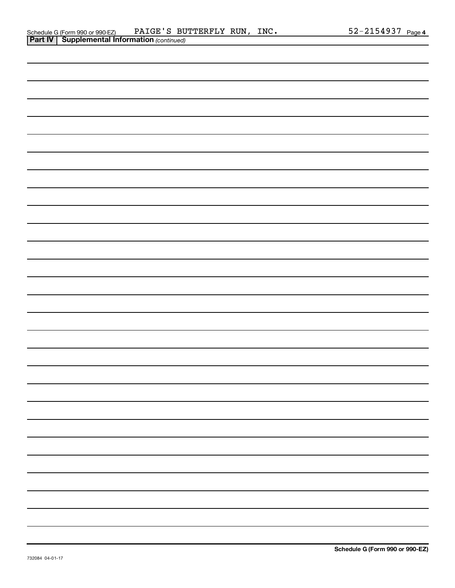| Schedule G (Form 990 or 990-EZ)                       | PAIGE'S BUTTERFLY RUN, | INC. | 52-2154937 | Page 4 |
|-------------------------------------------------------|------------------------|------|------------|--------|
| <b>Part IV   Supplemental Information (continued)</b> |                        |      |            |        |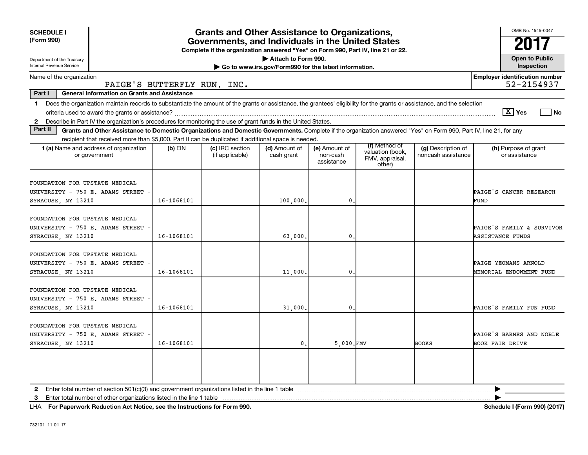| <b>SCHEDULE I</b><br>(Form 990)                                                                                                                                                                                                                                                                   |            | <b>Grants and Other Assistance to Organizations,</b><br>Governments, and Individuals in the United States<br>Complete if the organization answered "Yes" on Form 990, Part IV, line 21 or 22. |                                                                              |                                         |                                                                |                                          | OMB No. 1545-0047                                    |
|---------------------------------------------------------------------------------------------------------------------------------------------------------------------------------------------------------------------------------------------------------------------------------------------------|------------|-----------------------------------------------------------------------------------------------------------------------------------------------------------------------------------------------|------------------------------------------------------------------------------|-----------------------------------------|----------------------------------------------------------------|------------------------------------------|------------------------------------------------------|
| Department of the Treasury<br>Internal Revenue Service                                                                                                                                                                                                                                            |            |                                                                                                                                                                                               | Attach to Form 990.<br>Go to www.irs.gov/Form990 for the latest information. |                                         |                                                                |                                          | <b>Open to Public</b><br>Inspection                  |
| Name of the organization<br>PAIGE'S BUTTERFLY RUN, INC.                                                                                                                                                                                                                                           |            |                                                                                                                                                                                               |                                                                              |                                         |                                                                |                                          | <b>Employer identification number</b><br>52-2154937  |
| Part I<br><b>General Information on Grants and Assistance</b>                                                                                                                                                                                                                                     |            |                                                                                                                                                                                               |                                                                              |                                         |                                                                |                                          |                                                      |
| Does the organization maintain records to substantiate the amount of the grants or assistance, the grantees' eligibility for the grants or assistance, and the selection<br>1.<br>2 Describe in Part IV the organization's procedures for monitoring the use of grant funds in the United States. |            |                                                                                                                                                                                               |                                                                              |                                         |                                                                |                                          | $\boxed{\text{X}}$ Yes<br>l No                       |
| Part II<br>Grants and Other Assistance to Domestic Organizations and Domestic Governments. Complete if the organization answered "Yes" on Form 990, Part IV, line 21, for any                                                                                                                     |            |                                                                                                                                                                                               |                                                                              |                                         |                                                                |                                          |                                                      |
| recipient that received more than \$5,000. Part II can be duplicated if additional space is needed.                                                                                                                                                                                               |            |                                                                                                                                                                                               |                                                                              |                                         |                                                                |                                          |                                                      |
| <b>1 (a)</b> Name and address of organization<br>or government                                                                                                                                                                                                                                    | $(b)$ EIN  | (c) IRC section<br>(if applicable)                                                                                                                                                            | (d) Amount of<br>cash grant                                                  | (e) Amount of<br>non-cash<br>assistance | (f) Method of<br>valuation (book,<br>FMV, appraisal,<br>other) | (g) Description of<br>noncash assistance | (h) Purpose of grant<br>or assistance                |
| FOUNDATION FOR UPSTATE MEDICAL<br>UNIVERSITY - 750 E. ADAMS STREET<br>SYRACUSE, NY 13210                                                                                                                                                                                                          | 16-1068101 |                                                                                                                                                                                               | 100,000                                                                      | 0                                       |                                                                |                                          | PAIGE'S CANCER RESEARCH<br>FUND                      |
| FOUNDATION FOR UPSTATE MEDICAL<br>UNIVERSITY - 750 E. ADAMS STREET<br>SYRACUSE, NY 13210                                                                                                                                                                                                          | 16-1068101 |                                                                                                                                                                                               | 63,000                                                                       | 0                                       |                                                                |                                          | PAIGE'S FAMILY & SURVIVOR<br><b>ASSISTANCE FUNDS</b> |
| FOUNDATION FOR UPSTATE MEDICAL<br>UNIVERSITY - 750 E. ADAMS STREET<br>SYRACUSE, NY 13210                                                                                                                                                                                                          | 16-1068101 |                                                                                                                                                                                               | 11,000                                                                       | 0                                       |                                                                |                                          | PAIGE YEOMANS ARNOLD<br>MEMORIAL ENDOWMENT FUND      |
| FOUNDATION FOR UPSTATE MEDICAL<br>UNIVERSITY - 750 E. ADAMS STREET<br>SYRACUSE, NY 13210                                                                                                                                                                                                          | 16-1068101 |                                                                                                                                                                                               | 31,000                                                                       | 0                                       |                                                                |                                          | PAIGE'S FAMILY FUN FUND                              |
| FOUNDATION FOR UPSTATE MEDICAL<br>UNIVERSITY - 750 E. ADAMS STREET<br>SYRACUSE, NY 13210                                                                                                                                                                                                          | 16-1068101 |                                                                                                                                                                                               | $\mathbf{0}$                                                                 | $5,000$ . FMV                           |                                                                | <b>BOOKS</b>                             | PAIGE'S BARNES AND NOBLE<br><b>BOOK FAIR DRIVE</b>   |
|                                                                                                                                                                                                                                                                                                   |            |                                                                                                                                                                                               |                                                                              |                                         |                                                                |                                          |                                                      |
|                                                                                                                                                                                                                                                                                                   |            |                                                                                                                                                                                               |                                                                              |                                         |                                                                |                                          | ▶                                                    |
|                                                                                                                                                                                                                                                                                                   |            |                                                                                                                                                                                               |                                                                              |                                         |                                                                |                                          |                                                      |

**For Paperwork Reduction Act Notice, see the Instructions for Form 990. Schedule I (Form 990) (2017)** LHA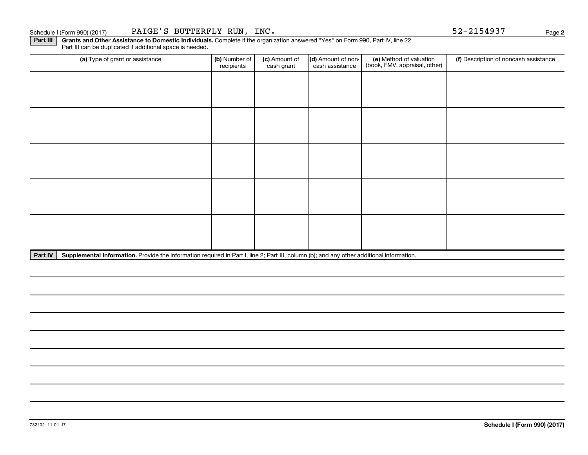Part III | Grants and Other Assistance to Domestic Individuals. Complete if the organization answered "Yes" on Form 990, Part IV, line 22. Part III can be duplicated if additional space is needed.

| (a) Type of grant or assistance | (b) Number of<br>recipients | (c) Amount of<br>cash grant | (d) Amount of non-<br>cash assistance | (e) Method of valuation<br>(book, FMV, appraisal, other) | (f) Description of noncash assistance |
|---------------------------------|-----------------------------|-----------------------------|---------------------------------------|----------------------------------------------------------|---------------------------------------|
|                                 |                             |                             |                                       |                                                          |                                       |
|                                 |                             |                             |                                       |                                                          |                                       |
|                                 |                             |                             |                                       |                                                          |                                       |
|                                 |                             |                             |                                       |                                                          |                                       |
|                                 |                             |                             |                                       |                                                          |                                       |
|                                 |                             |                             |                                       |                                                          |                                       |
|                                 |                             |                             |                                       |                                                          |                                       |
|                                 |                             |                             |                                       |                                                          |                                       |
|                                 |                             |                             |                                       |                                                          |                                       |
|                                 |                             |                             |                                       |                                                          |                                       |

Part IV | Supplemental Information. Provide the information required in Part I, line 2; Part III, column (b); and any other additional information.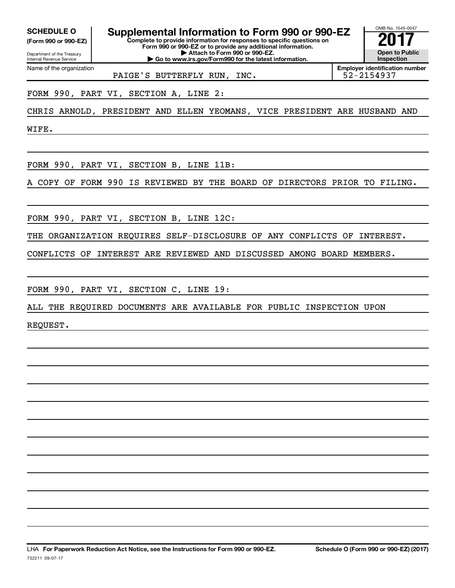**(Form 990 or 990-EZ)**

Department of the Treasury Internal Revenue Service Name of the organization

**Complete to provide information for responses to specific questions on SCHEDULE O Supplemental Information to Form 990 or 990-EZ** <br> **Complete to provide information for responses to specific questions on** 

**Form 990 or 990-EZ or to provide any additional information. | Attach to Form 990 or 990-EZ. | Go to www.irs.gov/Form990 for the latest information.**



**Employer identification number**

PAIGE'S BUTTERFLY RUN, INC.

FORM 990, PART VI, SECTION A, LINE 2:

CHRIS ARNOLD, PRESIDENT AND ELLEN YEOMANS, VICE PRESIDENT ARE HUSBAND AND

WIFE.

FORM 990, PART VI, SECTION B, LINE 11B:

A COPY OF FORM 990 IS REVIEWED BY THE BOARD OF DIRECTORS PRIOR TO FILING.

FORM 990, PART VI, SECTION B, LINE 12C:

THE ORGANIZATION REQUIRES SELF-DISCLOSURE OF ANY CONFLICTS OF INTEREST.

CONFLICTS OF INTEREST ARE REVIEWED AND DISCUSSED AMONG BOARD MEMBERS.

FORM 990, PART VI, SECTION C, LINE 19:

ALL THE REQUIRED DOCUMENTS ARE AVAILABLE FOR PUBLIC INSPECTION UPON

REQUEST.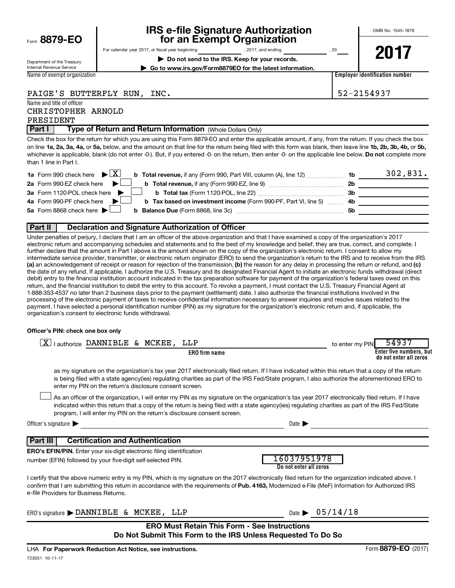| Form 8879-EO |  |  |  |  |
|--------------|--|--|--|--|
|--------------|--|--|--|--|

# **IRS e-file Signature Authorization**<br>**687 For an Exempt Organization**

OMB No. 1545-1878

Department of the Treasury Internal Revenue Service Name of exempt organization For calendar year 2017, or fiscal year beginning and the set of the set of the set of the set of the set of the set of the set of the set of the set of the set of the set of the set of the set of the set of the set of the **| Do not send to the IRS. Keep for your records. | Go to www.irs.gov/Form8879EO for the latest information.**

**2017**

**Employer identification number**

PAIGE'S BUTTERFLY RUN, INC. 52-2154937

#### Name and title of officer CHRISTOPHER ARNOLD

PRESIDENT

**Part I** | Type of Return and Return Information (Whole Dollars Only)

on line 1a, 2a, 3a, 4a, or 5a, below, and the amount on that line for the return being filed with this form was blank, then leave line 1b, 2b, 3b, 4b, or 5b, whichever is applicable, blank (do not enter -0-). But, if you entered -0- on the return, then enter -0- on the applicable line below. **Do not** complete more Check the box for the return for which you are using this Form 8879-EO and enter the applicable amount, if any, from the return. If you check the box than 1 line in Part I.

| <b>1a</b> Form 990 check here $\triangleright$ $\boxed{X}$<br><b>b Total revenue,</b> if any (Form 990, Part VIII, column (A), line 12) | 1b  | 302,831. |
|-----------------------------------------------------------------------------------------------------------------------------------------|-----|----------|
| 2a Form 990-EZ check here $\blacktriangleright$<br>b Total revenue, if any (Form 990-EZ, line 9)                                        | 2b  |          |
| 3a Form 1120-POL check here $\blacktriangleright$                                                                                       | 3b  |          |
| 4a Form 990-PF check here $\blacktriangleright$<br><b>b</b> Tax based on investment income (Form 990-PF, Part VI, line 5) 4b            |     |          |
| 5a Form 8868 check here $\blacktriangleright$                                                                                           | -5b |          |
|                                                                                                                                         |     |          |

# **Part II Declaration and Signature Authorization of Officer**

(a) an acknowledgement of receipt or reason for rejection of the transmission, (b) the reason for any delay in processing the return or refund, and (c) Under penalties of perjury, I declare that I am an officer of the above organization and that I have examined a copy of the organization's 2017 electronic return and accompanying schedules and statements and to the best of my knowledge and belief, they are true, correct, and complete. I further declare that the amount in Part I above is the amount shown on the copy of the organization's electronic return. I consent to allow my intermediate service provider, transmitter, or electronic return originator (ERO) to send the organization's return to the IRS and to receive from the IRS the date of any refund. If applicable, I authorize the U.S. Treasury and its designated Financial Agent to initiate an electronic funds withdrawal (direct debit) entry to the financial institution account indicated in the tax preparation software for payment of the organization's federal taxes owed on this return, and the financial institution to debit the entry to this account. To revoke a payment, I must contact the U.S. Treasury Financial Agent at 1-888-353-4537 no later than 2 business days prior to the payment (settlement) date. I also authorize the financial institutions involved in the processing of the electronic payment of taxes to receive confidential information necessary to answer inquiries and resolve issues related to the payment. I have selected a personal identification number (PIN) as my signature for the organization's electronic return and, if applicable, the organization's consent to electronic funds withdrawal.

## **Officer's PIN: check one box only**

| lauthorize DANNIBLE & MCKEE,<br>LLP                                                                                                                                                                                                                                                                                                                                              | to enter my PIN                | 54937                                             |
|----------------------------------------------------------------------------------------------------------------------------------------------------------------------------------------------------------------------------------------------------------------------------------------------------------------------------------------------------------------------------------|--------------------------------|---------------------------------------------------|
| <b>ERO</b> firm name                                                                                                                                                                                                                                                                                                                                                             |                                | Enter five numbers, but<br>do not enter all zeros |
| as my signature on the organization's tax year 2017 electronically filed return. If I have indicated within this return that a copy of the return<br>is being filed with a state agency(ies) regulating charities as part of the IRS Fed/State program, I also authorize the aforementioned ERO to<br>enter my PIN on the return's disclosure consent screen.                    |                                |                                                   |
| As an officer of the organization, I will enter my PIN as my signature on the organization's tax year 2017 electronically filed return. If I have<br>indicated within this return that a copy of the return is being filed with a state agency(ies) regulating charities as part of the IRS Fed/State<br>program, I will enter my PIN on the return's disclosure consent screen. |                                |                                                   |
| Officer's signature<br>Date <b>D</b>                                                                                                                                                                                                                                                                                                                                             |                                |                                                   |
| <b>Certification and Authentication</b><br>Part III                                                                                                                                                                                                                                                                                                                              |                                |                                                   |
| <b>ERO's EFIN/PIN.</b> Enter your six-digit electronic filing identification                                                                                                                                                                                                                                                                                                     |                                |                                                   |
| 16037951978<br>number (EFIN) followed by your five-digit self-selected PIN.<br>Do not enter all zeros                                                                                                                                                                                                                                                                            |                                |                                                   |
| I certify that the above numeric entry is my PIN, which is my signature on the 2017 electronically filed return for the organization indicated above. I<br>confirm that I am submitting this return in accordance with the requirements of Pub. 4163, Modernized e-File (MeF) Information for Authorized IRS<br>e-file Providers for Business Returns.                           |                                |                                                   |
| ERO's signature > DANNIBLE & MCKEE, LLP                                                                                                                                                                                                                                                                                                                                          | Date $\triangleright$ 05/14/18 |                                                   |
| <b>ERO Must Retain This Form - See Instructions</b><br>Do Not Submit This Form to the IRS Unless Requested To Do So                                                                                                                                                                                                                                                              |                                |                                                   |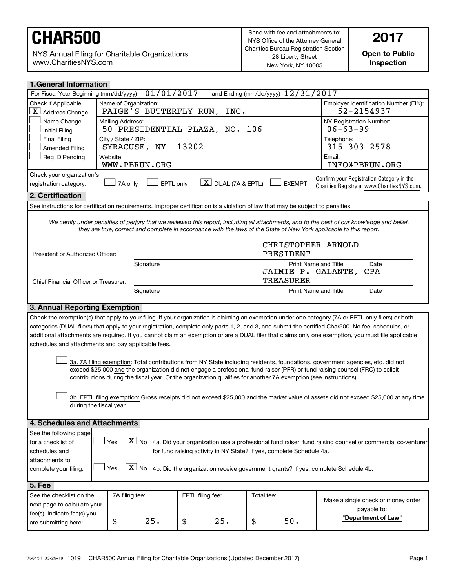NYS Annual Filing for Charitable Organizations www.CharitiesNYS.com

**Open to Public Inspection**

| and Ending (mm/dd/yyyy) $12/31/2017$<br>For Fiscal Year Beginning (mm/dd/yyyy)<br>Check if Applicable:<br>Name of Organization:<br>Employer Identification Number (EIN):<br>PAIGE'S BUTTERFLY RUN,<br>52-2154937<br>$ \underline{X} $ Address Change<br>INC.<br>Name Change<br>NY Registration Number:<br>Mailing Address:<br>50 PRESIDENTIAL PLAZA, NO. 106<br>$06 - 63 - 99$<br><b>Initial Filing</b><br><b>Final Filing</b><br>City / State / ZIP:<br>Telephone:<br>13202<br>315 303-2578<br>SYRACUSE, NY<br>Amended Filing<br>Reg ID Pending<br>Website:<br>Email:<br>INFO@PBRUN.ORG<br>WWW.PBRUN.ORG<br>Check your organization's<br>Confirm your Registration Category in the<br>$\lfloor X \rfloor$ DUAL (7A & EPTL)<br>EPTL only<br><b>EXEMPT</b><br>7A only<br>registration category:<br>Charities Registry at www.CharitiesNYS.com.<br>2. Certification<br>See instructions for certification requirements. Improper certification is a violation of law that may be subject to penalties.<br>We certify under penalties of perjury that we reviewed this report, including all attachments, and to the best of our knowledge and belief,<br>they are true, correct and complete in accordance with the laws of the State of New York applicable to this report.<br>CHRISTOPHER ARNOLD<br>PRESIDENT<br>President or Authorized Officer:<br>Print Name and Title<br>Signature<br>Date<br>JAIMIE P. GALANTE,<br>CPA<br><b>TREASURER</b><br>Chief Financial Officer or Treasurer:<br>Signature<br>Print Name and Title<br>Date<br>3. Annual Reporting Exemption<br>Check the exemption(s) that apply to your filing. If your organization is claiming an exemption under one category (7A or EPTL only filers) or both<br>categories (DUAL filers) that apply to your registration, complete only parts 1, 2, and 3, and submit the certified Char500. No fee, schedules, or<br>additional attachments are required. If you cannot claim an exemption or are a DUAL filer that claims only one exemption, you must file applicable<br>schedules and attachments and pay applicable fees.<br>3a. 7A filing exemption: Total contributions from NY State including residents, foundations, government agencies, etc. did not<br>exceed \$25,000 and the organization did not engage a professional fund raiser (PFR) or fund raising counsel (FRC) to solicit<br>contributions during the fiscal year. Or the organization qualifies for another 7A exemption (see instructions).<br>3b. EPTL filing exemption: Gross receipts did not exceed \$25,000 and the market value of assets did not exceed \$25,000 at any time<br>during the fiscal year.<br>4. Schedules and Attachments<br>See the following page<br>$\boxed{\textbf{X}}$ No 4a. Did your organization use a professional fund raiser, fund raising counsel or commercial co-venturer<br>Yes<br>for a checklist of<br>schedules and<br>for fund raising activity in NY State? If yes, complete Schedule 4a.<br>attachments to<br>$X_{N0}$<br>4b. Did the organization receive government grants? If yes, complete Schedule 4b.<br>Yes<br>complete your filing.<br>5. Fee<br>See the checklist on the<br>7A filing fee:<br>EPTL filing fee:<br>Total fee:<br>Make a single check or money order<br>next page to calculate your<br>payable to:<br>fee(s). Indicate fee(s) you<br>"Department of Law"<br>25.<br>25.<br>50.<br>\$<br>\$<br>\$ | <b>1. General Information</b> |  |  |  |  |  |  |
|-------------------------------------------------------------------------------------------------------------------------------------------------------------------------------------------------------------------------------------------------------------------------------------------------------------------------------------------------------------------------------------------------------------------------------------------------------------------------------------------------------------------------------------------------------------------------------------------------------------------------------------------------------------------------------------------------------------------------------------------------------------------------------------------------------------------------------------------------------------------------------------------------------------------------------------------------------------------------------------------------------------------------------------------------------------------------------------------------------------------------------------------------------------------------------------------------------------------------------------------------------------------------------------------------------------------------------------------------------------------------------------------------------------------------------------------------------------------------------------------------------------------------------------------------------------------------------------------------------------------------------------------------------------------------------------------------------------------------------------------------------------------------------------------------------------------------------------------------------------------------------------------------------------------------------------------------------------------------------------------------------------------------------------------------------------------------------------------------------------------------------------------------------------------------------------------------------------------------------------------------------------------------------------------------------------------------------------------------------------------------------------------------------------------------------------------------------------------------------------------------------------------------------------------------------------------------------------------------------------------------------------------------------------------------------------------------------------------------------------------------------------------------------------------------------------------------------------------------------------------------------------------------------------------------------------------------------------------------------------------------------------------------------------------------------------------------------------------------------------------------------------------------------------------------------------------------------------------------------------------------------------------------------------------------------------------------------------------------------------------------------------------------------------|-------------------------------|--|--|--|--|--|--|
|                                                                                                                                                                                                                                                                                                                                                                                                                                                                                                                                                                                                                                                                                                                                                                                                                                                                                                                                                                                                                                                                                                                                                                                                                                                                                                                                                                                                                                                                                                                                                                                                                                                                                                                                                                                                                                                                                                                                                                                                                                                                                                                                                                                                                                                                                                                                                                                                                                                                                                                                                                                                                                                                                                                                                                                                                                                                                                                                                                                                                                                                                                                                                                                                                                                                                                                                                                                                             | 01/01/2017                    |  |  |  |  |  |  |
|                                                                                                                                                                                                                                                                                                                                                                                                                                                                                                                                                                                                                                                                                                                                                                                                                                                                                                                                                                                                                                                                                                                                                                                                                                                                                                                                                                                                                                                                                                                                                                                                                                                                                                                                                                                                                                                                                                                                                                                                                                                                                                                                                                                                                                                                                                                                                                                                                                                                                                                                                                                                                                                                                                                                                                                                                                                                                                                                                                                                                                                                                                                                                                                                                                                                                                                                                                                                             |                               |  |  |  |  |  |  |
|                                                                                                                                                                                                                                                                                                                                                                                                                                                                                                                                                                                                                                                                                                                                                                                                                                                                                                                                                                                                                                                                                                                                                                                                                                                                                                                                                                                                                                                                                                                                                                                                                                                                                                                                                                                                                                                                                                                                                                                                                                                                                                                                                                                                                                                                                                                                                                                                                                                                                                                                                                                                                                                                                                                                                                                                                                                                                                                                                                                                                                                                                                                                                                                                                                                                                                                                                                                                             |                               |  |  |  |  |  |  |
|                                                                                                                                                                                                                                                                                                                                                                                                                                                                                                                                                                                                                                                                                                                                                                                                                                                                                                                                                                                                                                                                                                                                                                                                                                                                                                                                                                                                                                                                                                                                                                                                                                                                                                                                                                                                                                                                                                                                                                                                                                                                                                                                                                                                                                                                                                                                                                                                                                                                                                                                                                                                                                                                                                                                                                                                                                                                                                                                                                                                                                                                                                                                                                                                                                                                                                                                                                                                             |                               |  |  |  |  |  |  |
|                                                                                                                                                                                                                                                                                                                                                                                                                                                                                                                                                                                                                                                                                                                                                                                                                                                                                                                                                                                                                                                                                                                                                                                                                                                                                                                                                                                                                                                                                                                                                                                                                                                                                                                                                                                                                                                                                                                                                                                                                                                                                                                                                                                                                                                                                                                                                                                                                                                                                                                                                                                                                                                                                                                                                                                                                                                                                                                                                                                                                                                                                                                                                                                                                                                                                                                                                                                                             |                               |  |  |  |  |  |  |
|                                                                                                                                                                                                                                                                                                                                                                                                                                                                                                                                                                                                                                                                                                                                                                                                                                                                                                                                                                                                                                                                                                                                                                                                                                                                                                                                                                                                                                                                                                                                                                                                                                                                                                                                                                                                                                                                                                                                                                                                                                                                                                                                                                                                                                                                                                                                                                                                                                                                                                                                                                                                                                                                                                                                                                                                                                                                                                                                                                                                                                                                                                                                                                                                                                                                                                                                                                                                             |                               |  |  |  |  |  |  |
|                                                                                                                                                                                                                                                                                                                                                                                                                                                                                                                                                                                                                                                                                                                                                                                                                                                                                                                                                                                                                                                                                                                                                                                                                                                                                                                                                                                                                                                                                                                                                                                                                                                                                                                                                                                                                                                                                                                                                                                                                                                                                                                                                                                                                                                                                                                                                                                                                                                                                                                                                                                                                                                                                                                                                                                                                                                                                                                                                                                                                                                                                                                                                                                                                                                                                                                                                                                                             |                               |  |  |  |  |  |  |
|                                                                                                                                                                                                                                                                                                                                                                                                                                                                                                                                                                                                                                                                                                                                                                                                                                                                                                                                                                                                                                                                                                                                                                                                                                                                                                                                                                                                                                                                                                                                                                                                                                                                                                                                                                                                                                                                                                                                                                                                                                                                                                                                                                                                                                                                                                                                                                                                                                                                                                                                                                                                                                                                                                                                                                                                                                                                                                                                                                                                                                                                                                                                                                                                                                                                                                                                                                                                             |                               |  |  |  |  |  |  |
|                                                                                                                                                                                                                                                                                                                                                                                                                                                                                                                                                                                                                                                                                                                                                                                                                                                                                                                                                                                                                                                                                                                                                                                                                                                                                                                                                                                                                                                                                                                                                                                                                                                                                                                                                                                                                                                                                                                                                                                                                                                                                                                                                                                                                                                                                                                                                                                                                                                                                                                                                                                                                                                                                                                                                                                                                                                                                                                                                                                                                                                                                                                                                                                                                                                                                                                                                                                                             |                               |  |  |  |  |  |  |
|                                                                                                                                                                                                                                                                                                                                                                                                                                                                                                                                                                                                                                                                                                                                                                                                                                                                                                                                                                                                                                                                                                                                                                                                                                                                                                                                                                                                                                                                                                                                                                                                                                                                                                                                                                                                                                                                                                                                                                                                                                                                                                                                                                                                                                                                                                                                                                                                                                                                                                                                                                                                                                                                                                                                                                                                                                                                                                                                                                                                                                                                                                                                                                                                                                                                                                                                                                                                             |                               |  |  |  |  |  |  |
|                                                                                                                                                                                                                                                                                                                                                                                                                                                                                                                                                                                                                                                                                                                                                                                                                                                                                                                                                                                                                                                                                                                                                                                                                                                                                                                                                                                                                                                                                                                                                                                                                                                                                                                                                                                                                                                                                                                                                                                                                                                                                                                                                                                                                                                                                                                                                                                                                                                                                                                                                                                                                                                                                                                                                                                                                                                                                                                                                                                                                                                                                                                                                                                                                                                                                                                                                                                                             |                               |  |  |  |  |  |  |
|                                                                                                                                                                                                                                                                                                                                                                                                                                                                                                                                                                                                                                                                                                                                                                                                                                                                                                                                                                                                                                                                                                                                                                                                                                                                                                                                                                                                                                                                                                                                                                                                                                                                                                                                                                                                                                                                                                                                                                                                                                                                                                                                                                                                                                                                                                                                                                                                                                                                                                                                                                                                                                                                                                                                                                                                                                                                                                                                                                                                                                                                                                                                                                                                                                                                                                                                                                                                             |                               |  |  |  |  |  |  |
|                                                                                                                                                                                                                                                                                                                                                                                                                                                                                                                                                                                                                                                                                                                                                                                                                                                                                                                                                                                                                                                                                                                                                                                                                                                                                                                                                                                                                                                                                                                                                                                                                                                                                                                                                                                                                                                                                                                                                                                                                                                                                                                                                                                                                                                                                                                                                                                                                                                                                                                                                                                                                                                                                                                                                                                                                                                                                                                                                                                                                                                                                                                                                                                                                                                                                                                                                                                                             |                               |  |  |  |  |  |  |
|                                                                                                                                                                                                                                                                                                                                                                                                                                                                                                                                                                                                                                                                                                                                                                                                                                                                                                                                                                                                                                                                                                                                                                                                                                                                                                                                                                                                                                                                                                                                                                                                                                                                                                                                                                                                                                                                                                                                                                                                                                                                                                                                                                                                                                                                                                                                                                                                                                                                                                                                                                                                                                                                                                                                                                                                                                                                                                                                                                                                                                                                                                                                                                                                                                                                                                                                                                                                             |                               |  |  |  |  |  |  |
|                                                                                                                                                                                                                                                                                                                                                                                                                                                                                                                                                                                                                                                                                                                                                                                                                                                                                                                                                                                                                                                                                                                                                                                                                                                                                                                                                                                                                                                                                                                                                                                                                                                                                                                                                                                                                                                                                                                                                                                                                                                                                                                                                                                                                                                                                                                                                                                                                                                                                                                                                                                                                                                                                                                                                                                                                                                                                                                                                                                                                                                                                                                                                                                                                                                                                                                                                                                                             |                               |  |  |  |  |  |  |
|                                                                                                                                                                                                                                                                                                                                                                                                                                                                                                                                                                                                                                                                                                                                                                                                                                                                                                                                                                                                                                                                                                                                                                                                                                                                                                                                                                                                                                                                                                                                                                                                                                                                                                                                                                                                                                                                                                                                                                                                                                                                                                                                                                                                                                                                                                                                                                                                                                                                                                                                                                                                                                                                                                                                                                                                                                                                                                                                                                                                                                                                                                                                                                                                                                                                                                                                                                                                             |                               |  |  |  |  |  |  |
|                                                                                                                                                                                                                                                                                                                                                                                                                                                                                                                                                                                                                                                                                                                                                                                                                                                                                                                                                                                                                                                                                                                                                                                                                                                                                                                                                                                                                                                                                                                                                                                                                                                                                                                                                                                                                                                                                                                                                                                                                                                                                                                                                                                                                                                                                                                                                                                                                                                                                                                                                                                                                                                                                                                                                                                                                                                                                                                                                                                                                                                                                                                                                                                                                                                                                                                                                                                                             |                               |  |  |  |  |  |  |
|                                                                                                                                                                                                                                                                                                                                                                                                                                                                                                                                                                                                                                                                                                                                                                                                                                                                                                                                                                                                                                                                                                                                                                                                                                                                                                                                                                                                                                                                                                                                                                                                                                                                                                                                                                                                                                                                                                                                                                                                                                                                                                                                                                                                                                                                                                                                                                                                                                                                                                                                                                                                                                                                                                                                                                                                                                                                                                                                                                                                                                                                                                                                                                                                                                                                                                                                                                                                             |                               |  |  |  |  |  |  |
|                                                                                                                                                                                                                                                                                                                                                                                                                                                                                                                                                                                                                                                                                                                                                                                                                                                                                                                                                                                                                                                                                                                                                                                                                                                                                                                                                                                                                                                                                                                                                                                                                                                                                                                                                                                                                                                                                                                                                                                                                                                                                                                                                                                                                                                                                                                                                                                                                                                                                                                                                                                                                                                                                                                                                                                                                                                                                                                                                                                                                                                                                                                                                                                                                                                                                                                                                                                                             |                               |  |  |  |  |  |  |
|                                                                                                                                                                                                                                                                                                                                                                                                                                                                                                                                                                                                                                                                                                                                                                                                                                                                                                                                                                                                                                                                                                                                                                                                                                                                                                                                                                                                                                                                                                                                                                                                                                                                                                                                                                                                                                                                                                                                                                                                                                                                                                                                                                                                                                                                                                                                                                                                                                                                                                                                                                                                                                                                                                                                                                                                                                                                                                                                                                                                                                                                                                                                                                                                                                                                                                                                                                                                             |                               |  |  |  |  |  |  |
|                                                                                                                                                                                                                                                                                                                                                                                                                                                                                                                                                                                                                                                                                                                                                                                                                                                                                                                                                                                                                                                                                                                                                                                                                                                                                                                                                                                                                                                                                                                                                                                                                                                                                                                                                                                                                                                                                                                                                                                                                                                                                                                                                                                                                                                                                                                                                                                                                                                                                                                                                                                                                                                                                                                                                                                                                                                                                                                                                                                                                                                                                                                                                                                                                                                                                                                                                                                                             |                               |  |  |  |  |  |  |
|                                                                                                                                                                                                                                                                                                                                                                                                                                                                                                                                                                                                                                                                                                                                                                                                                                                                                                                                                                                                                                                                                                                                                                                                                                                                                                                                                                                                                                                                                                                                                                                                                                                                                                                                                                                                                                                                                                                                                                                                                                                                                                                                                                                                                                                                                                                                                                                                                                                                                                                                                                                                                                                                                                                                                                                                                                                                                                                                                                                                                                                                                                                                                                                                                                                                                                                                                                                                             |                               |  |  |  |  |  |  |
|                                                                                                                                                                                                                                                                                                                                                                                                                                                                                                                                                                                                                                                                                                                                                                                                                                                                                                                                                                                                                                                                                                                                                                                                                                                                                                                                                                                                                                                                                                                                                                                                                                                                                                                                                                                                                                                                                                                                                                                                                                                                                                                                                                                                                                                                                                                                                                                                                                                                                                                                                                                                                                                                                                                                                                                                                                                                                                                                                                                                                                                                                                                                                                                                                                                                                                                                                                                                             |                               |  |  |  |  |  |  |
|                                                                                                                                                                                                                                                                                                                                                                                                                                                                                                                                                                                                                                                                                                                                                                                                                                                                                                                                                                                                                                                                                                                                                                                                                                                                                                                                                                                                                                                                                                                                                                                                                                                                                                                                                                                                                                                                                                                                                                                                                                                                                                                                                                                                                                                                                                                                                                                                                                                                                                                                                                                                                                                                                                                                                                                                                                                                                                                                                                                                                                                                                                                                                                                                                                                                                                                                                                                                             |                               |  |  |  |  |  |  |
|                                                                                                                                                                                                                                                                                                                                                                                                                                                                                                                                                                                                                                                                                                                                                                                                                                                                                                                                                                                                                                                                                                                                                                                                                                                                                                                                                                                                                                                                                                                                                                                                                                                                                                                                                                                                                                                                                                                                                                                                                                                                                                                                                                                                                                                                                                                                                                                                                                                                                                                                                                                                                                                                                                                                                                                                                                                                                                                                                                                                                                                                                                                                                                                                                                                                                                                                                                                                             |                               |  |  |  |  |  |  |
|                                                                                                                                                                                                                                                                                                                                                                                                                                                                                                                                                                                                                                                                                                                                                                                                                                                                                                                                                                                                                                                                                                                                                                                                                                                                                                                                                                                                                                                                                                                                                                                                                                                                                                                                                                                                                                                                                                                                                                                                                                                                                                                                                                                                                                                                                                                                                                                                                                                                                                                                                                                                                                                                                                                                                                                                                                                                                                                                                                                                                                                                                                                                                                                                                                                                                                                                                                                                             |                               |  |  |  |  |  |  |
|                                                                                                                                                                                                                                                                                                                                                                                                                                                                                                                                                                                                                                                                                                                                                                                                                                                                                                                                                                                                                                                                                                                                                                                                                                                                                                                                                                                                                                                                                                                                                                                                                                                                                                                                                                                                                                                                                                                                                                                                                                                                                                                                                                                                                                                                                                                                                                                                                                                                                                                                                                                                                                                                                                                                                                                                                                                                                                                                                                                                                                                                                                                                                                                                                                                                                                                                                                                                             |                               |  |  |  |  |  |  |
|                                                                                                                                                                                                                                                                                                                                                                                                                                                                                                                                                                                                                                                                                                                                                                                                                                                                                                                                                                                                                                                                                                                                                                                                                                                                                                                                                                                                                                                                                                                                                                                                                                                                                                                                                                                                                                                                                                                                                                                                                                                                                                                                                                                                                                                                                                                                                                                                                                                                                                                                                                                                                                                                                                                                                                                                                                                                                                                                                                                                                                                                                                                                                                                                                                                                                                                                                                                                             |                               |  |  |  |  |  |  |
|                                                                                                                                                                                                                                                                                                                                                                                                                                                                                                                                                                                                                                                                                                                                                                                                                                                                                                                                                                                                                                                                                                                                                                                                                                                                                                                                                                                                                                                                                                                                                                                                                                                                                                                                                                                                                                                                                                                                                                                                                                                                                                                                                                                                                                                                                                                                                                                                                                                                                                                                                                                                                                                                                                                                                                                                                                                                                                                                                                                                                                                                                                                                                                                                                                                                                                                                                                                                             |                               |  |  |  |  |  |  |
|                                                                                                                                                                                                                                                                                                                                                                                                                                                                                                                                                                                                                                                                                                                                                                                                                                                                                                                                                                                                                                                                                                                                                                                                                                                                                                                                                                                                                                                                                                                                                                                                                                                                                                                                                                                                                                                                                                                                                                                                                                                                                                                                                                                                                                                                                                                                                                                                                                                                                                                                                                                                                                                                                                                                                                                                                                                                                                                                                                                                                                                                                                                                                                                                                                                                                                                                                                                                             |                               |  |  |  |  |  |  |
|                                                                                                                                                                                                                                                                                                                                                                                                                                                                                                                                                                                                                                                                                                                                                                                                                                                                                                                                                                                                                                                                                                                                                                                                                                                                                                                                                                                                                                                                                                                                                                                                                                                                                                                                                                                                                                                                                                                                                                                                                                                                                                                                                                                                                                                                                                                                                                                                                                                                                                                                                                                                                                                                                                                                                                                                                                                                                                                                                                                                                                                                                                                                                                                                                                                                                                                                                                                                             | are submitting here:          |  |  |  |  |  |  |